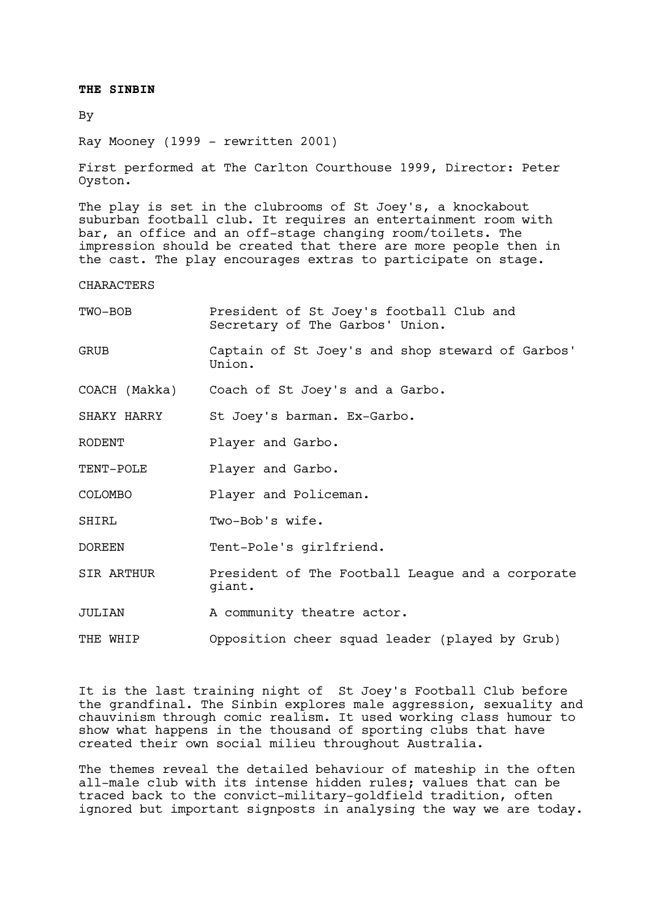# **THE SINBIN**

# By

Ray Mooney (1999 - rewritten 2001)

First performed at The Carlton Courthouse 1999, Director: Peter Oyston.

The play is set in the clubrooms of St Joey's, a knockabout suburban football club. It requires an entertainment room with bar, an office and an off-stage changing room/toilets. The impression should be created that there are more people then in the cast. The play encourages extras to participate on stage.

#### **CHARACTERS**

| TWO-BOB     | President of St Joey's football Club and<br>Secretary of The Garbos' Union. |
|-------------|-----------------------------------------------------------------------------|
| <b>GRUB</b> | Captain of St Joey's and shop steward of Garbos'<br>Union.                  |
|             | COACH (Makka) Coach of St Joey's and a Garbo.                               |
| SHAKY HARRY | St Joey's barman. Ex-Garbo.                                                 |
| RODENT      | Player and Garbo.                                                           |
| TENT-POLE   | Player and Garbo.                                                           |
| COLOMBO     | Player and Policeman.                                                       |
| SHIRL       | Two-Bob's wife.                                                             |
| DOREEN      | Tent-Pole's girlfriend.                                                     |
| SIR ARTHUR  | President of The Football League and a corporate<br>giant.                  |
| JULIAN      | A community theatre actor.                                                  |
| THE WHIP    | Opposition cheer squad leader (played by Grub)                              |

It is the last training night of St Joey's Football Club before the grandfinal. The Sinbin explores male aggression, sexuality and chauvinism through comic realism. It used working class humour to show what happens in the thousand of sporting clubs that have created their own social milieu throughout Australia.

The themes reveal the detailed behaviour of mateship in the often all-male club with its intense hidden rules; values that can be traced back to the convict-military-goldfield tradition, often ignored but important signposts in analysing the way we are today.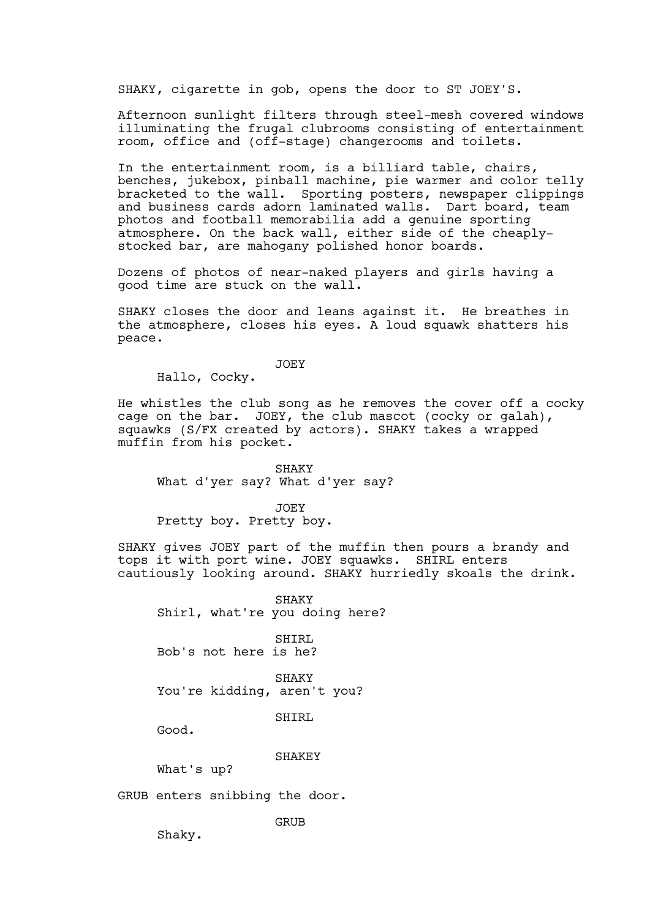SHAKY, cigarette in gob, opens the door to ST JOEY'S.

Afternoon sunlight filters through steel-mesh covered windows illuminating the frugal clubrooms consisting of entertainment room, office and (off-stage) changerooms and toilets.

In the entertainment room, is a billiard table, chairs, benches, jukebox, pinball machine, pie warmer and color telly bracketed to the wall. Sporting posters, newspaper clippings and business cards adorn laminated walls. Dart board, team photos and football memorabilia add a genuine sporting atmosphere. On the back wall, either side of the cheaplystocked bar, are mahogany polished honor boards.

Dozens of photos of near-naked players and girls having a good time are stuck on the wall.

SHAKY closes the door and leans against it. He breathes in the atmosphere, closes his eyes. A loud squawk shatters his peace.

JOEY

Hallo, Cocky.

He whistles the club song as he removes the cover off a cocky cage on the bar. JOEY, the club mascot (cocky or galah), squawks (S/FX created by actors). SHAKY takes a wrapped muffin from his pocket.

SHAKY What d'yer say? What d'yer say?

JOEY Pretty boy. Pretty boy.

SHAKY gives JOEY part of the muffin then pours a brandy and tops it with port wine. JOEY squawks. SHIRL enters cautiously looking around. SHAKY hurriedly skoals the drink.

SHAKY Shirl, what're you doing here?

SHIRL Bob's not here is he?

SHAKY You're kidding, aren't you?

SHTRL

Good.

SHAKEY

What's up?

GRUB enters snibbing the door.

GRUB

Shaky.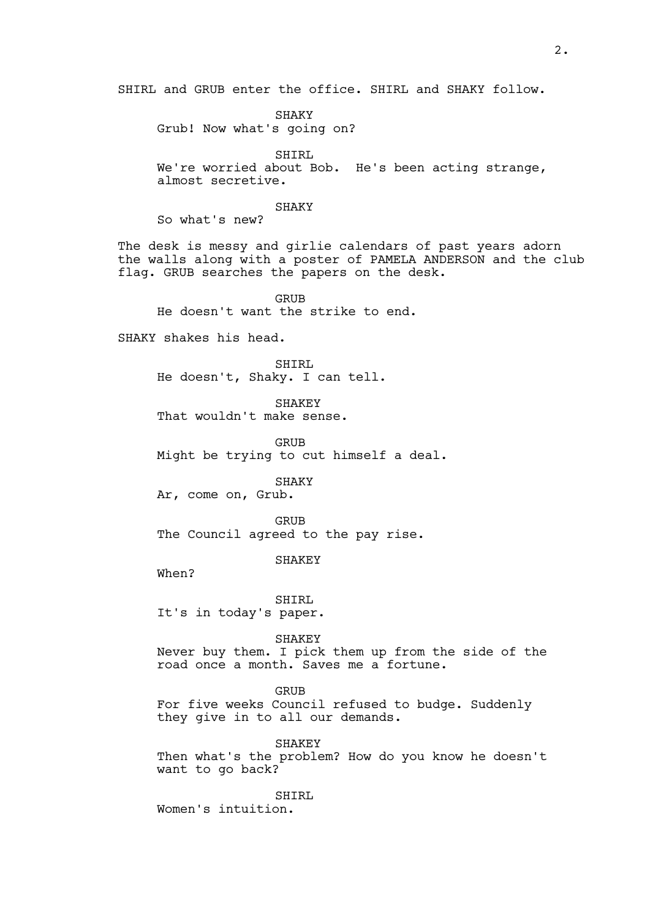SHIRL and GRUB enter the office. SHIRL and SHAKY follow.

SHAKY Grub! Now what's going on?

SHIRL We're worried about Bob. He's been acting strange, almost secretive.

#### SHAKY

So what's new?

The desk is messy and girlie calendars of past years adorn the walls along with a poster of PAMELA ANDERSON and the club flag. GRUB searches the papers on the desk.

GRUB He doesn't want the strike to end.

SHAKY shakes his head.

SHIRL He doesn't, Shaky. I can tell.

SHAKEY That wouldn't make sense.

GRUB Might be trying to cut himself a deal.

SHAKY

Ar, come on, Grub.

**GRUB** The Council agreed to the pay rise.

SHAKEY

When?

SHIRL It's in today's paper.

SHAKEY

Never buy them. I pick them up from the side of the road once a month. Saves me a fortune.

GRUB

For five weeks Council refused to budge. Suddenly they give in to all our demands.

SHAKEY Then what's the problem? How do you know he doesn't want to go back?

SHIRL Women's intuition.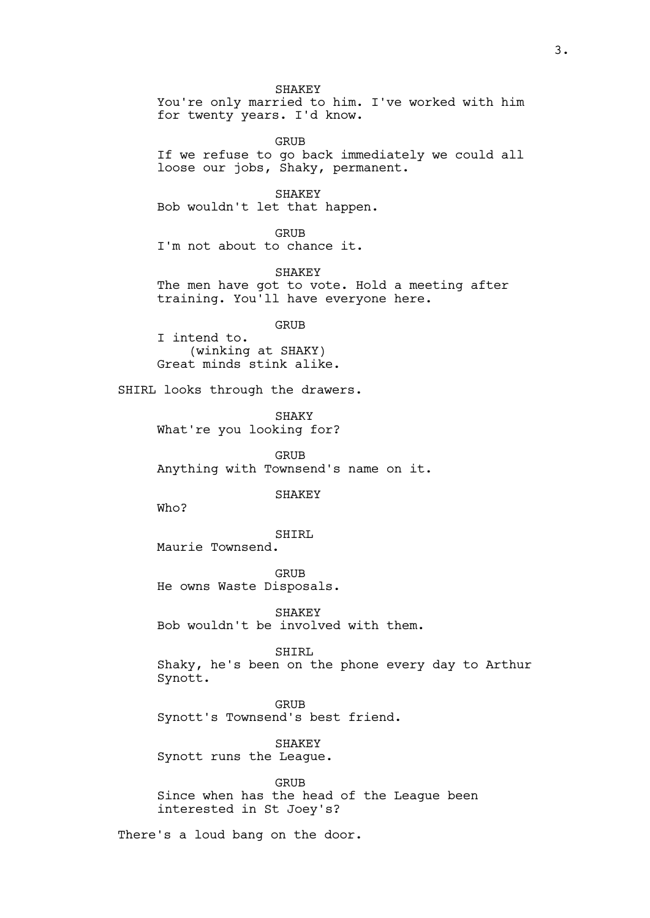SHAKEY You're only married to him. I've worked with him for twenty years. I'd know.

GRUB If we refuse to go back immediately we could all loose our jobs, Shaky, permanent.

SHAKEY Bob wouldn't let that happen.

GRUB I'm not about to chance it.

SHAKEY The men have got to vote. Hold a meeting after training. You'll have everyone here.

GRUB

I intend to. (winking at SHAKY) Great minds stink alike.

SHIRL looks through the drawers.

SHAKY What're you looking for?

GRUB Anything with Townsend's name on it.

SHAKEY

Who?

SHIRL Maurie Townsend.

GRUB He owns Waste Disposals.

SHAKEY Bob wouldn't be involved with them.

SHIRL Shaky, he's been on the phone every day to Arthur Synott.

GRUB Synott's Townsend's best friend.

SHAKEY Synott runs the League.

GRIJB Since when has the head of the League been interested in St Joey's?

There's a loud bang on the door.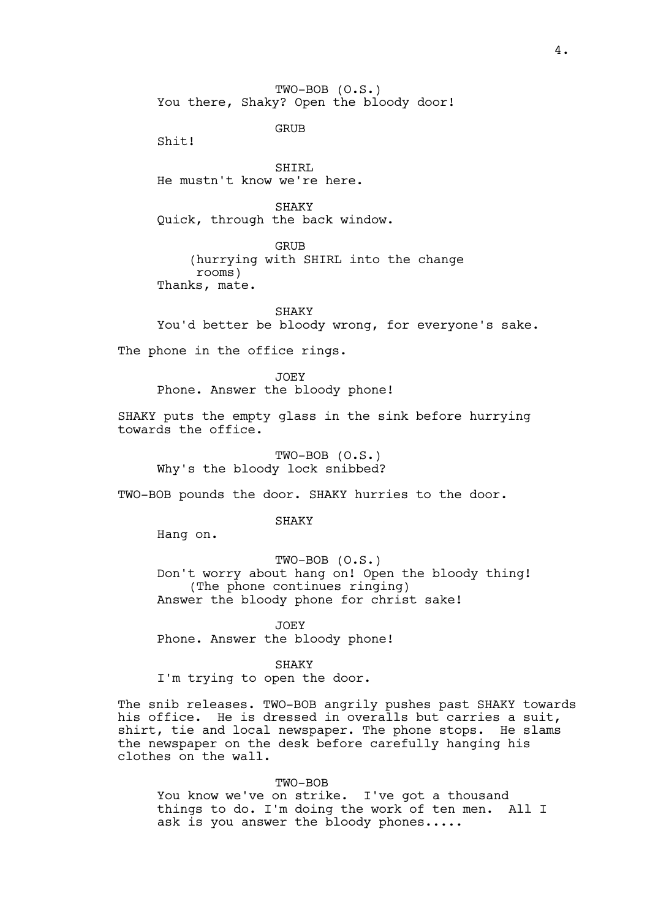TWO-BOB (O.S.) You there, Shaky? Open the bloody door!

GRUB

Shit!

SHIRL He mustn't know we're here.

SHAKY Quick, through the back window.

GRUB

(hurrying with SHIRL into the change rooms)

Thanks, mate.

SHAKY You'd better be bloody wrong, for everyone's sake.

The phone in the office rings.

JOEY Phone. Answer the bloody phone!

SHAKY puts the empty glass in the sink before hurrying towards the office.

TWO-BOB (O.S.) Why's the bloody lock snibbed?

TWO-BOB pounds the door. SHAKY hurries to the door.

**SHAKY** 

Hang on.

TWO-BOB (O.S.) Don't worry about hang on! Open the bloody thing! (The phone continues ringing) Answer the bloody phone for christ sake!

JOEY Phone. Answer the bloody phone!

**SHAKY** I'm trying to open the door.

The snib releases. TWO-BOB angrily pushes past SHAKY towards his office. He is dressed in overalls but carries a suit, shirt, tie and local newspaper. The phone stops. He slams the newspaper on the desk before carefully hanging his clothes on the wall.

TWO-BOB

You know we've on strike. I've got a thousand things to do. I'm doing the work of ten men. All I ask is you answer the bloody phones.....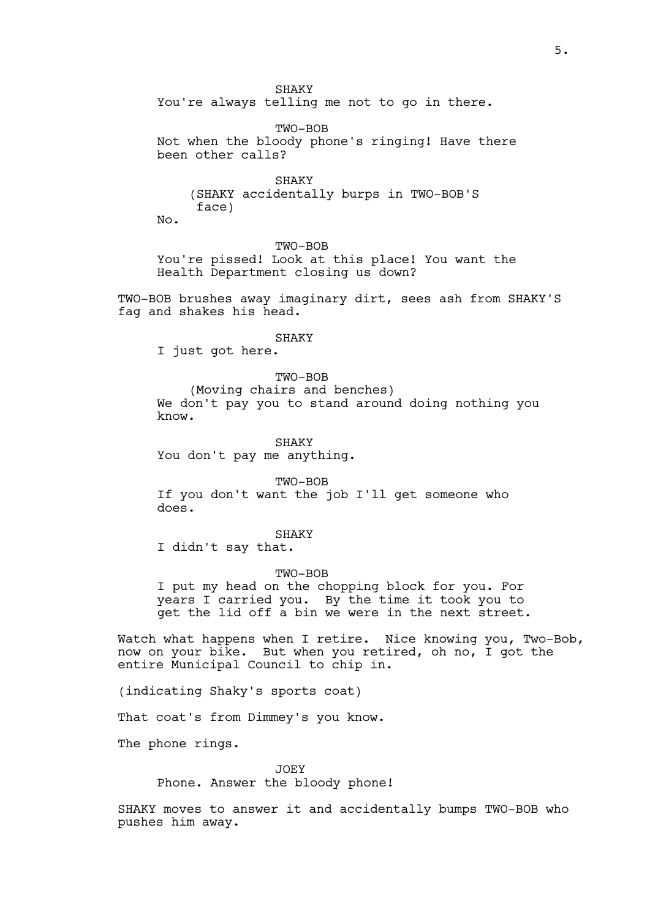SHAKY

You're always telling me not to go in there.

TWO-BOB Not when the bloody phone's ringing! Have there been other calls?

**SHAKY** (SHAKY accidentally burps in TWO-BOB'S face)

No.

TWO-BOB

You're pissed! Look at this place! You want the Health Department closing us down?

TWO-BOB brushes away imaginary dirt, sees ash from SHAKY'S fag and shakes his head.

## SHAKY

I just got here.

# TWO-BOB

(Moving chairs and benches) We don't pay you to stand around doing nothing you know.

SHAKY You don't pay me anything.

TWO-BOB If you don't want the job I'll get someone who does.

SHAKY

I didn't say that.

#### TWO-BOB

I put my head on the chopping block for you. For years I carried you. By the time it took you to get the lid off a bin we were in the next street.

Watch what happens when I retire. Nice knowing you, Two-Bob, now on your bike. But when you retired, oh no, I got the entire Municipal Council to chip in.

(indicating Shaky's sports coat)

That coat's from Dimmey's you know.

The phone rings.

JOEY

Phone. Answer the bloody phone!

SHAKY moves to answer it and accidentally bumps TWO-BOB who pushes him away.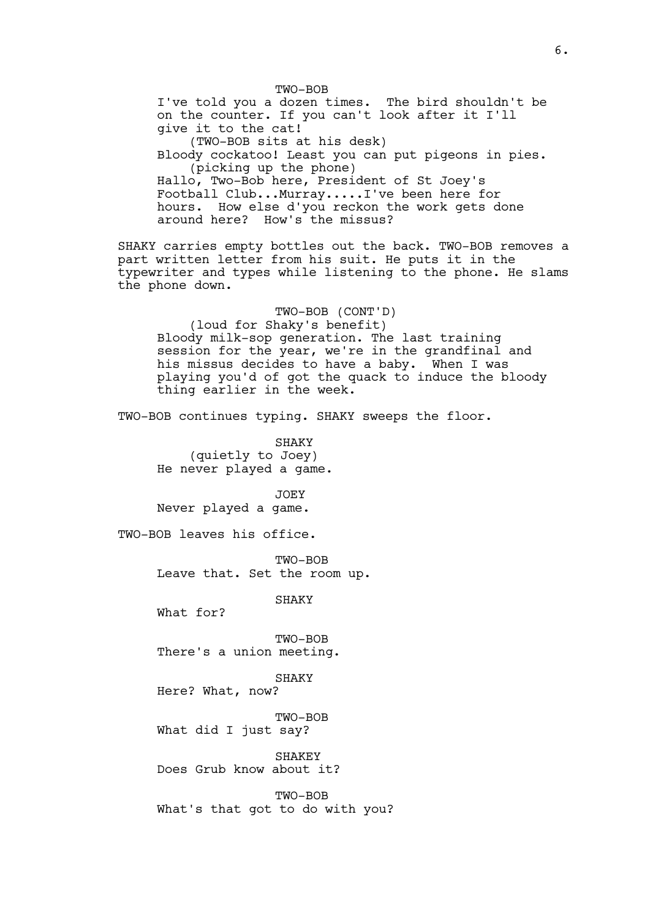TWO-BOB I've told you a dozen times. The bird shouldn't be on the counter. If you can't look after it I'll give it to the cat! (TWO-BOB sits at his desk) Bloody cockatoo! Least you can put pigeons in pies. (picking up the phone) Hallo, Two-Bob here, President of St Joey's Football Club...Murray.....I've been here for hours. How else d'you reckon the work gets done around here? How's the missus? SHAKY carries empty bottles out the back. TWO-BOB removes a part written letter from his suit. He puts it in the typewriter and types while listening to the phone. He slams the phone down. TWO-BOB (CONT'D) (loud for Shaky's benefit) Bloody milk-sop generation. The last training session for the year, we're in the grandfinal and his missus decides to have a baby. When I was playing you'd of got the quack to induce the bloody thing earlier in the week. TWO-BOB continues typing. SHAKY sweeps the floor. SHAKY (quietly to Joey) He never played a game. JOEY Never played a game. TWO-BOB leaves his office. TWO-BOB Leave that. Set the room up. SHAKY What for? TWO-BOB There's a union meeting. SHAKY Here? What, now? TWO-BOB What did I just say? SHAKEY Does Grub know about it? TWO-BOB What's that got to do with you?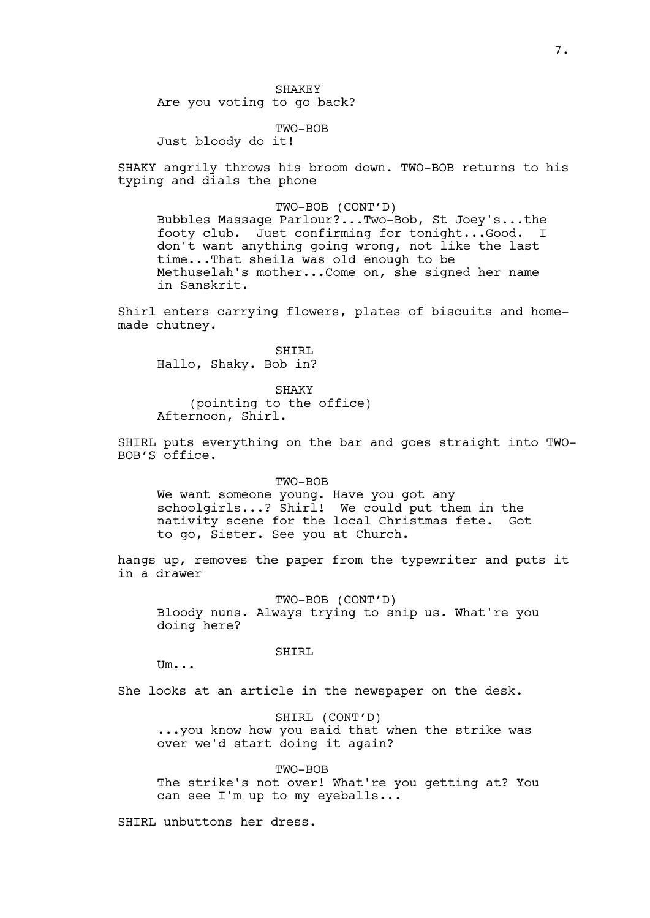SHAKEY Are you voting to go back?

TWO-BOB

Just bloody do it!

SHAKY angrily throws his broom down. TWO-BOB returns to his typing and dials the phone

## TWO-BOB (CONT'D)

Bubbles Massage Parlour?...Two-Bob, St Joey's...the footy club. Just confirming for tonight...Good. I don't want anything going wrong, not like the last time...That sheila was old enough to be Methuselah's mother...Come on, she signed her name in Sanskrit.

Shirl enters carrying flowers, plates of biscuits and homemade chutney.

SHIRL Hallo, Shaky. Bob in?

SHAKY (pointing to the office) Afternoon, Shirl.

SHIRL puts everything on the bar and goes straight into TWO-BOB'S office.

#### TWO-BOB

We want someone young. Have you got any schoolgirls...? Shirl! We could put them in the nativity scene for the local Christmas fete. Got to go, Sister. See you at Church.

hangs up, removes the paper from the typewriter and puts it in a drawer

TWO-BOB (CONT'D)

Bloody nuns. Always trying to snip us. What're you doing here?

SHIRL

 $Um...$ 

She looks at an article in the newspaper on the desk.

SHIRL (CONT'D) ...you know how you said that when the strike was over we'd start doing it again?

TWO-BOB The strike's not over! What're you getting at? You can see I'm up to my eyeballs...

SHIRL unbuttons her dress.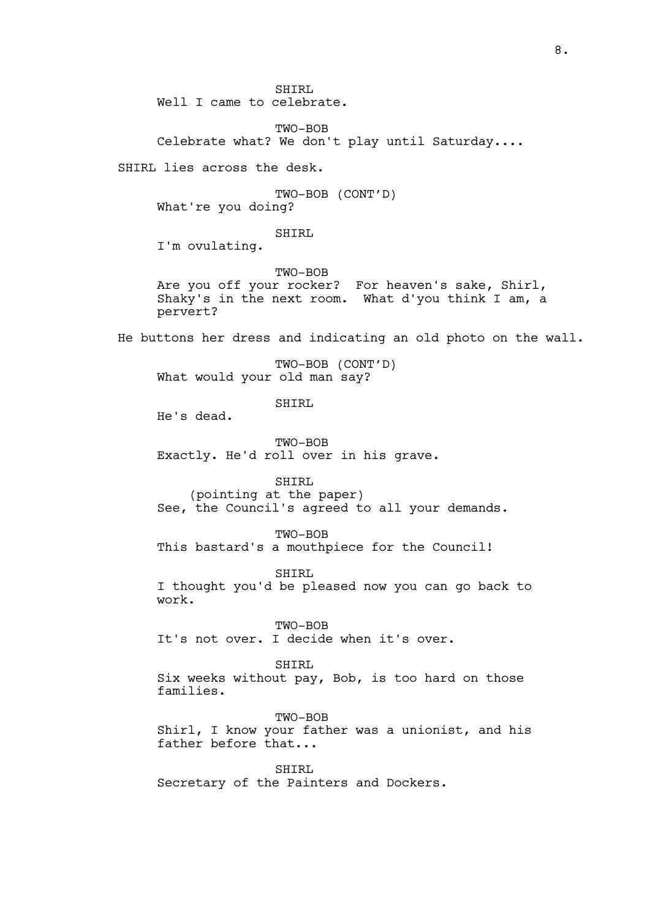SHIRL Well I came to celebrate.

TWO-BOB Celebrate what? We don't play until Saturday....

SHIRL lies across the desk.

TWO-BOB (CONT'D) What're you doing?

SHIRL

I'm ovulating.

TWO-BOB Are you off your rocker? For heaven's sake, Shirl, Shaky's in the next room. What d'you think I am, a pervert?

He buttons her dress and indicating an old photo on the wall.

TWO-BOB (CONT'D) What would your old man say?

SHIRL

He's dead.

TWO-BOB Exactly. He'd roll over in his grave.

SHIRL

(pointing at the paper) See, the Council's agreed to all your demands.

TWO-BOB

This bastard's a mouthpiece for the Council!

SHIRL

I thought you'd be pleased now you can go back to work.

TWO-BOB It's not over. I decide when it's over.

## SHIRL

Six weeks without pay, Bob, is too hard on those families.

TWO-BOB Shirl, I know your father was a unionist, and his father before that...

SHTRL Secretary of the Painters and Dockers.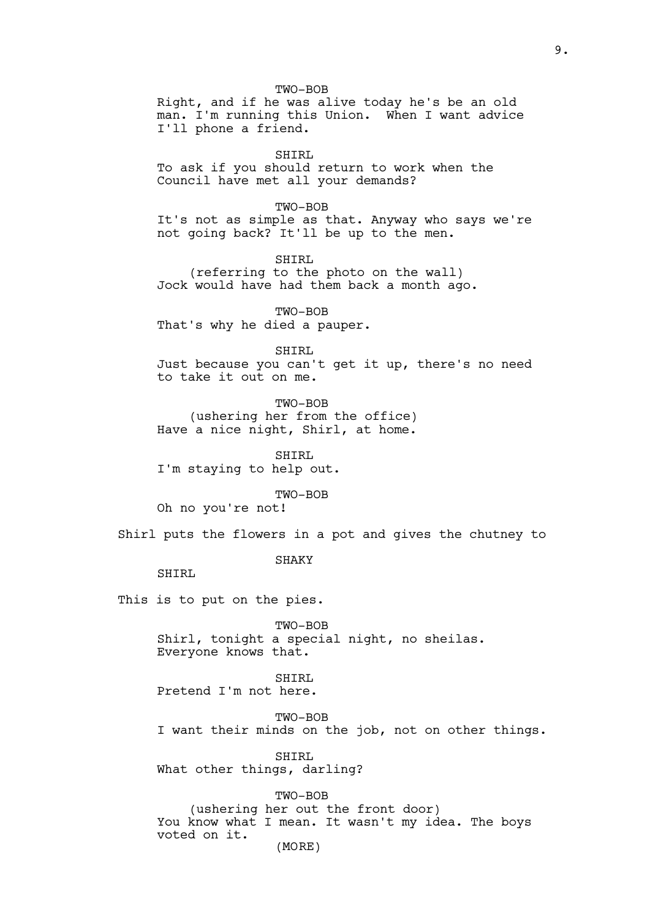TWO-BOB Right, and if he was alive today he's be an old man. I'm running this Union. When I want advice I'll phone a friend.

SHIRL

To ask if you should return to work when the Council have met all your demands?

TWO-BOB

It's not as simple as that. Anyway who says we're not going back? It'll be up to the men.

SHIRL (referring to the photo on the wall) Jock would have had them back a month ago.

TWO-BOB That's why he died a pauper.

SHIRL Just because you can't get it up, there's no need to take it out on me.

TWO-BOB (ushering her from the office) Have a nice night, Shirl, at home.

SHIRL I'm staying to help out.

TWO-BOB

Oh no you're not!

Shirl puts the flowers in a pot and gives the chutney to

SHAKY

SHIRL

This is to put on the pies.

TWO-BOB Shirl, tonight a special night, no sheilas. Everyone knows that.

SHIRL Pretend I'm not here.

TWO-BOB

I want their minds on the job, not on other things.

SHIRL What other things, darling?

TWO-BOB (ushering her out the front door) You know what I mean. It wasn't my idea. The boys voted on it.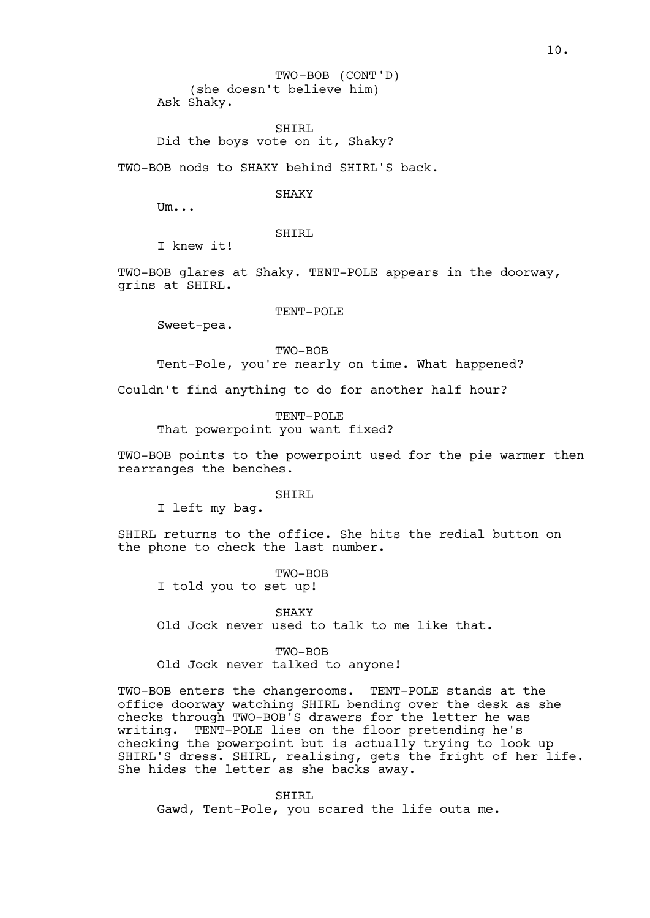(she doesn't believe him) Ask Shaky. TWO-BOB (CONT'D)

SHIRL Did the boys vote on it, Shaky?

TWO-BOB nods to SHAKY behind SHIRL'S back.

**SHAKY** 

Um...

SHIRL

I knew it!

TWO-BOB glares at Shaky. TENT-POLE appears in the doorway, grins at SHIRL.

TENT-POLE

Sweet-pea.

TWO-BOB

Tent-Pole, you're nearly on time. What happened?

Couldn't find anything to do for another half hour?

TENT-POLE That powerpoint you want fixed?

TWO-BOB points to the powerpoint used for the pie warmer then rearranges the benches.

SHIRL

I left my bag.

SHIRL returns to the office. She hits the redial button on the phone to check the last number.

TWO-BOB I told you to set up!

SHAKY Old Jock never used to talk to me like that.

TWO-BOB Old Jock never talked to anyone!

TWO-BOB enters the changerooms. TENT-POLE stands at the office doorway watching SHIRL bending over the desk as she checks through TWO-BOB'S drawers for the letter he was writing. TENT-POLE lies on the floor pretending he's checking the powerpoint but is actually trying to look up SHIRL'S dress. SHIRL, realising, gets the fright of her life. She hides the letter as she backs away.

SHIRL Gawd, Tent-Pole, you scared the life outa me.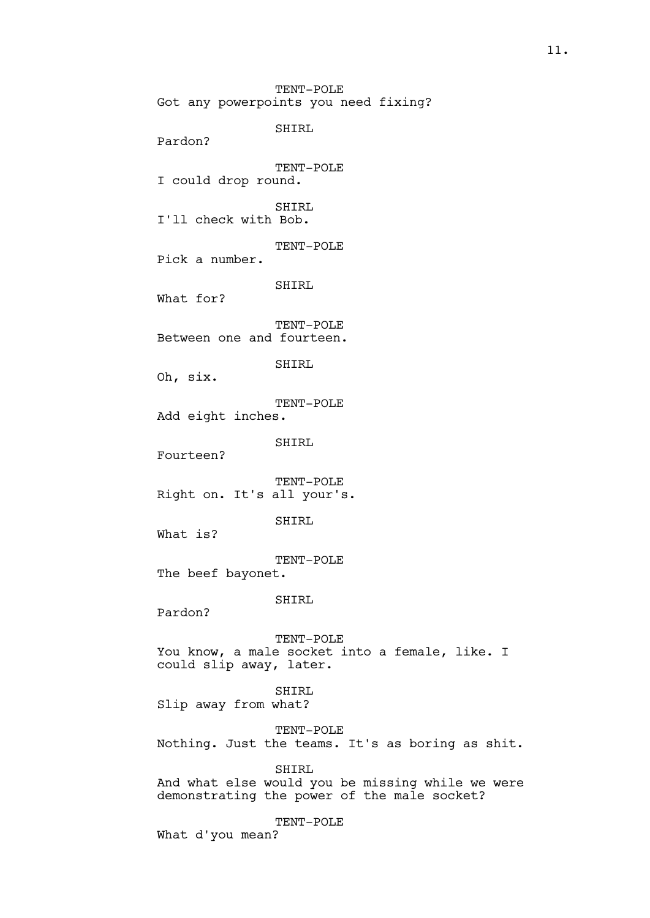TENT-POLE Got any powerpoints you need fixing? SHIRL Pardon? TENT-POLE I could drop round. SHIRL I'll check with Bob. TENT-POLE Pick a number. SHIRL What for? TENT-POLE Between one and fourteen. SHIRL Oh, six. TENT-POLE Add eight inches. SHIRL Fourteen? TENT-POLE Right on. It's all your's. SHIRL What is? TENT-POLE The beef bayonet. SHIRL Pardon? TENT-POLE You know, a male socket into a female, like. I could slip away, later. SHIRL Slip away from what? TENT-POLE Nothing. Just the teams. It's as boring as shit. SHIRL And what else would you be missing while we were demonstrating the power of the male socket? TENT-POLE What d'you mean?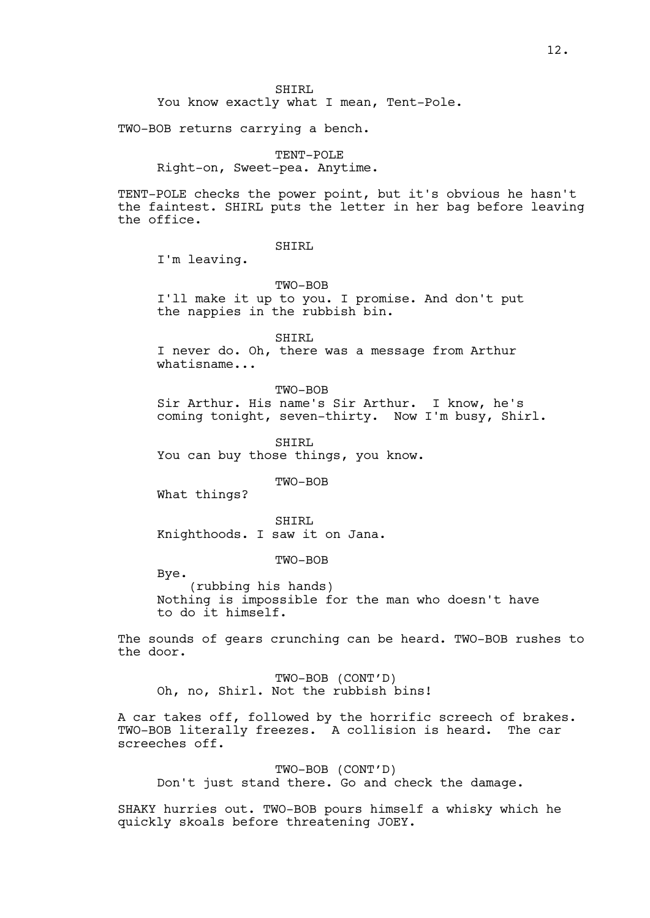SHIRL

You know exactly what I mean, Tent-Pole.

TWO-BOB returns carrying a bench.

TENT-POLE

Right-on, Sweet-pea. Anytime.

TENT-POLE checks the power point, but it's obvious he hasn't the faintest. SHIRL puts the letter in her bag before leaving the office.

SHIRL

I'm leaving.

TWO-BOB

I'll make it up to you. I promise. And don't put the nappies in the rubbish bin.

SHIRL

I never do. Oh, there was a message from Arthur whatisname...

TWO-BOB

Sir Arthur. His name's Sir Arthur. I know, he's coming tonight, seven-thirty. Now I'm busy, Shirl.

SHIRL You can buy those things, you know.

TWO-BOB

What things?

SHIRL Knighthoods. I saw it on Jana.

TWO-BOB

Bye.

(rubbing his hands) Nothing is impossible for the man who doesn't have to do it himself.

The sounds of gears crunching can be heard. TWO-BOB rushes to the door.

TWO-BOB (CONT'D) Oh, no, Shirl. Not the rubbish bins!

A car takes off, followed by the horrific screech of brakes. TWO-BOB literally freezes. A collision is heard. The car screeches off.

TWO-BOB (CONT'D) Don't just stand there. Go and check the damage.

SHAKY hurries out. TWO-BOB pours himself a whisky which he quickly skoals before threatening JOEY.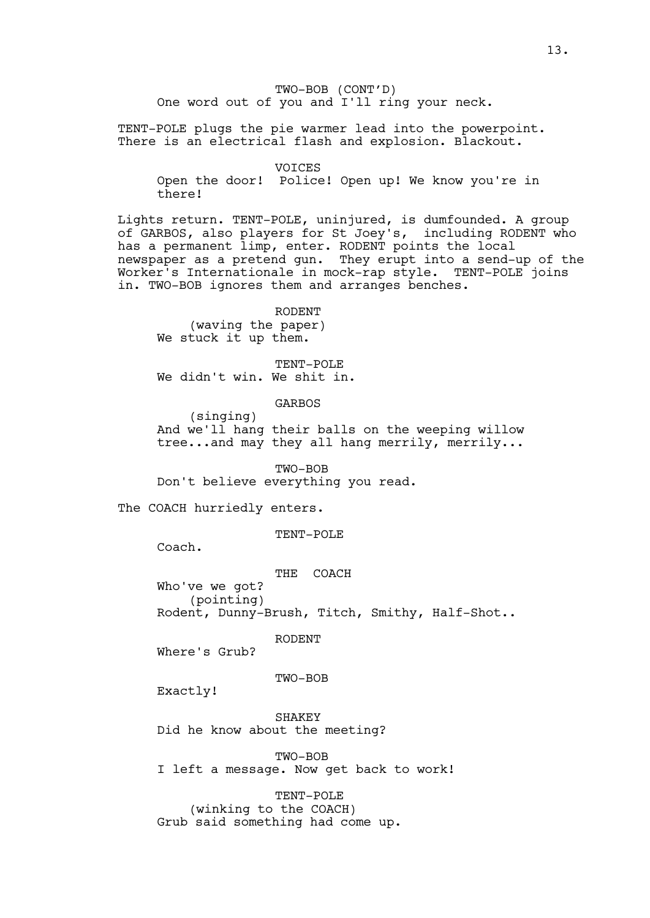TWO-BOB (CONT'D) One word out of you and I'll ring your neck.

TENT-POLE plugs the pie warmer lead into the powerpoint. There is an electrical flash and explosion. Blackout.

VOICES

Open the door! Police! Open up! We know you're in there!

Lights return. TENT-POLE, uninjured, is dumfounded. A group of GARBOS, also players for St Joey's, including RODENT who has a permanent limp, enter. RODENT points the local newspaper as a pretend gun. They erupt into a send-up of the Worker's Internationale in mock-rap style. TENT-POLE joins in. TWO-BOB ignores them and arranges benches.

RODENT (waving the paper) We stuck it up them.

TENT-POLE We didn't win. We shit in.

GARBOS

(singing) And we'll hang their balls on the weeping willow tree...and may they all hang merrily, merrily...

TWO-BOB

Don't believe everything you read.

The COACH hurriedly enters.

TENT-POLE

Coach.

THE COACH

(pointing) Rodent, Dunny-Brush, Titch, Smithy, Half-Shot..

RODENT

Where's Grub?

Who've we got?

TWO-BOB

Exactly!

**SHAKEY** Did he know about the meeting?

TWO-BOB

I left a message. Now get back to work!

TENT-POLE (winking to the COACH)

Grub said something had come up.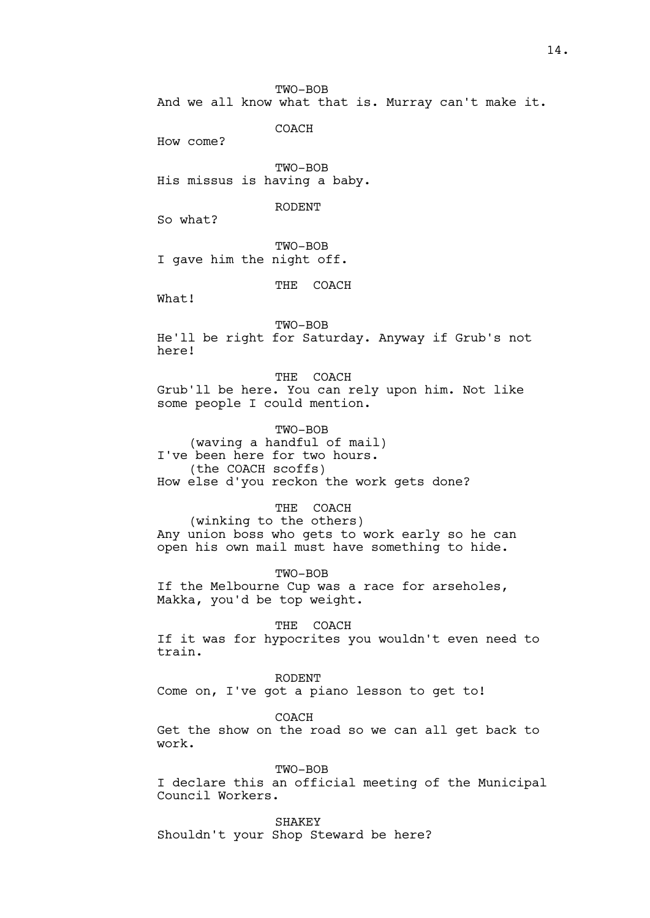TWO-BOB

And we all know what that is. Murray can't make it.

**COACH** 

How come?

TWO-BOB His missus is having a baby.

RODENT

So what?

TWO-BOB I gave him the night off.

THE COACH

What!

TWO-BOB He'll be right for Saturday. Anyway if Grub's not here!

THE COACH Grub'll be here. You can rely upon him. Not like some people I could mention.

TWO-BOB (waving a handful of mail) I've been here for two hours. (the COACH scoffs) How else d'you reckon the work gets done?

THE COACH

(winking to the others) Any union boss who gets to work early so he can open his own mail must have something to hide.

TWO-BOB If the Melbourne Cup was a race for arseholes, Makka, you'd be top weight.

THE COACH If it was for hypocrites you wouldn't even need to train.

RODENT Come on, I've got a piano lesson to get to!

COACH Get the show on the road so we can all get back to work.

TWO-BOB I declare this an official meeting of the Municipal Council Workers.

**SHAKEY** Shouldn't your Shop Steward be here?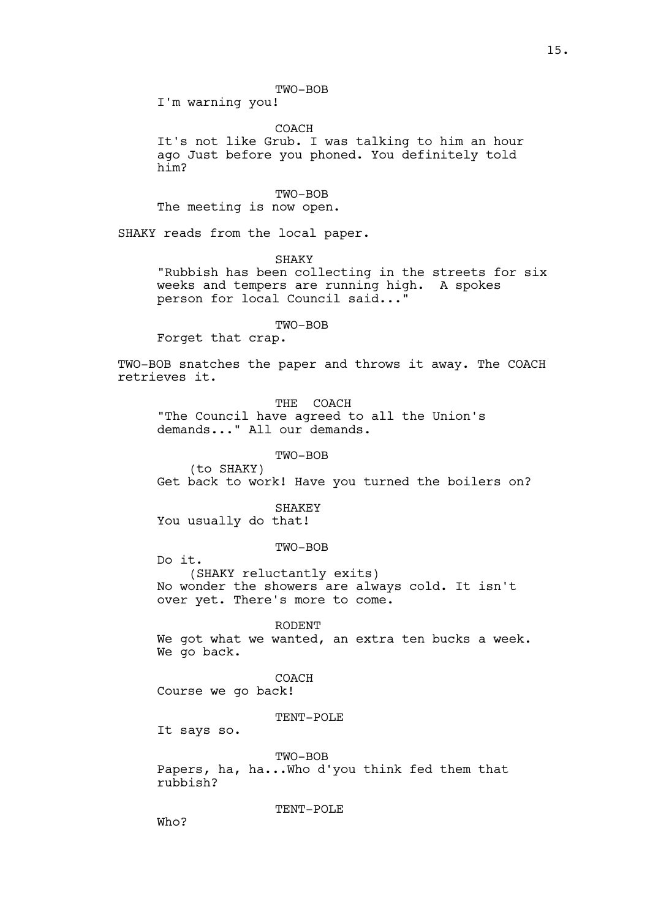TWO-BOB

I'm warning you!

COACH

It's not like Grub. I was talking to him an hour ago Just before you phoned. You definitely told him?

TWO-BOB The meeting is now open.

SHAKY reads from the local paper.

SHAKY

"Rubbish has been collecting in the streets for six weeks and tempers are running high. A spokes person for local Council said..."

TWO-BOB

Forget that crap.

TWO-BOB snatches the paper and throws it away. The COACH retrieves it.

THE COACH "The Council have agreed to all the Union's demands..." All our demands.

TWO-BOB

(to SHAKY) Get back to work! Have you turned the boilers on?

SHAKEY

You usually do that!

TWO-BOB

Do it. (SHAKY reluctantly exits) No wonder the showers are always cold. It isn't over yet. There's more to come.

RODENT We got what we wanted, an extra ten bucks a week. We go back.

COACH

Course we go back!

TENT-POLE

It says so.

TWO-BOB

Papers, ha, ha...Who d'you think fed them that rubbish?

TENT-POLE

Who?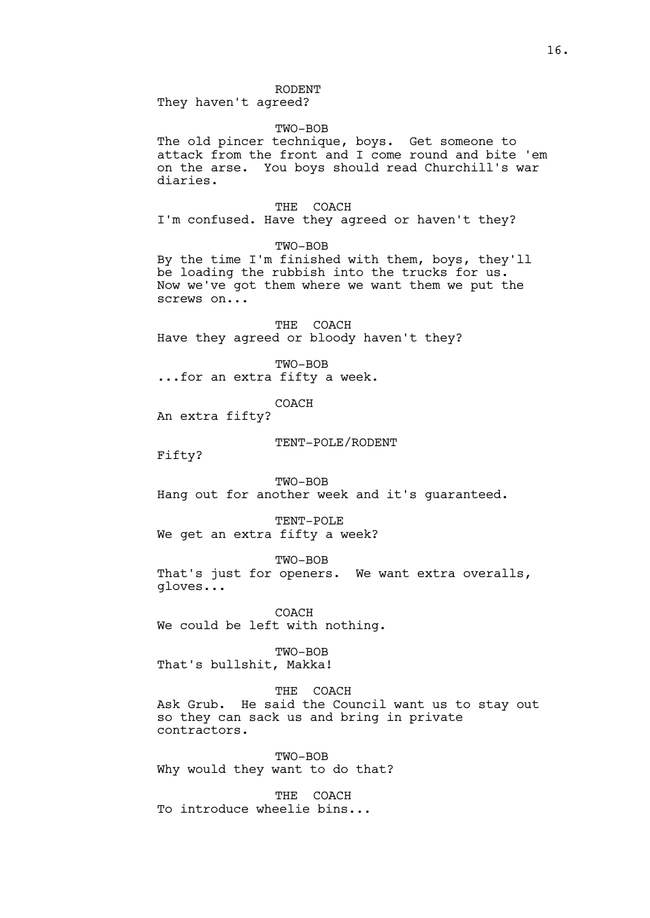RODENT

They haven't agreed?

## TWO-BOB

The old pincer technique, boys. Get someone to attack from the front and I come round and bite 'em on the arse. You boys should read Churchill's war diaries.

THE COACH I'm confused. Have they agreed or haven't they?

TWO-BOB

By the time I'm finished with them, boys, they'll be loading the rubbish into the trucks for us. Now we've got them where we want them we put the screws on...

THE COACH Have they agreed or bloody haven't they?

TWO-BOB ...for an extra fifty a week.

COACH

An extra fifty?

#### TENT-POLE/RODENT

Fifty?

TWO-BOB Hang out for another week and it's guaranteed.

TENT-POLE We get an extra fifty a week?

TWO-BOB

That's just for openers. We want extra overalls, gloves...

COACH We could be left with nothing.

TWO-BOB That's bullshit, Makka!

THE COACH Ask Grub. He said the Council want us to stay out so they can sack us and bring in private contractors.

TWO-BOB Why would they want to do that?

THE COACH To introduce wheelie bins...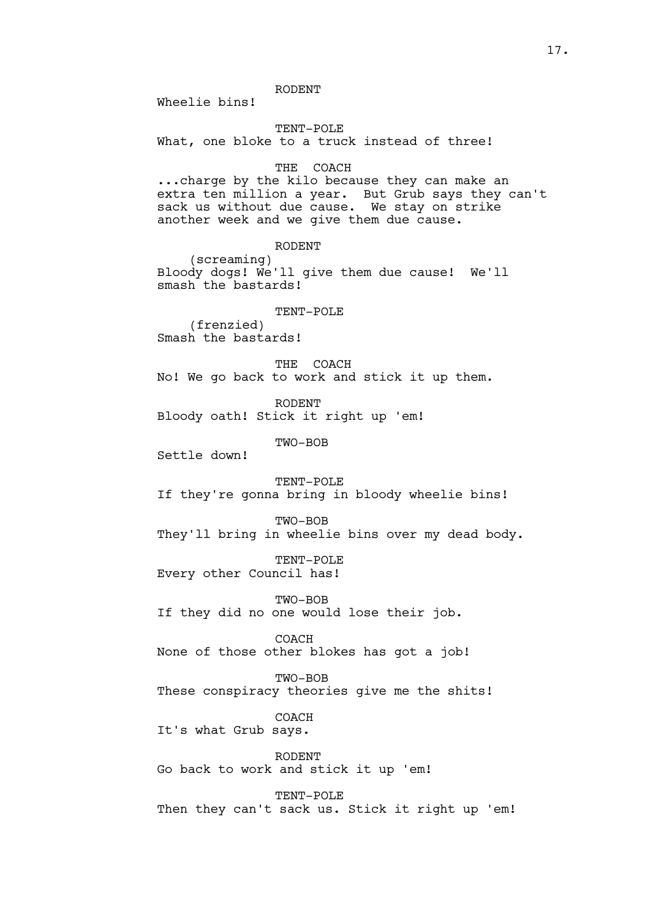RODENT

Wheelie bins!

TENT-POLE What, one bloke to a truck instead of three!

THE COACH

...charge by the kilo because they can make an extra ten million a year. But Grub says they can't sack us without due cause. We stay on strike another week and we give them due cause.

RODENT

(screaming) Bloody dogs! We'll give them due cause! We'll smash the bastards!

TENT-POLE

(frenzied) Smash the bastards!

THE COACH No! We go back to work and stick it up them.

RODENT Bloody oath! Stick it right up 'em!

TWO-BOB

Settle down!

TENT-POLE If they're gonna bring in bloody wheelie bins!

TWO-BOB

They'll bring in wheelie bins over my dead body.

TENT-POLE

Every other Council has!

TWO-BOB

If they did no one would lose their job.

COACH

None of those other blokes has got a job!

TWO-BOB

These conspiracy theories give me the shits!

COACH

It's what Grub says.

RODENT Go back to work and stick it up 'em!

TENT-POLE Then they can't sack us. Stick it right up 'em!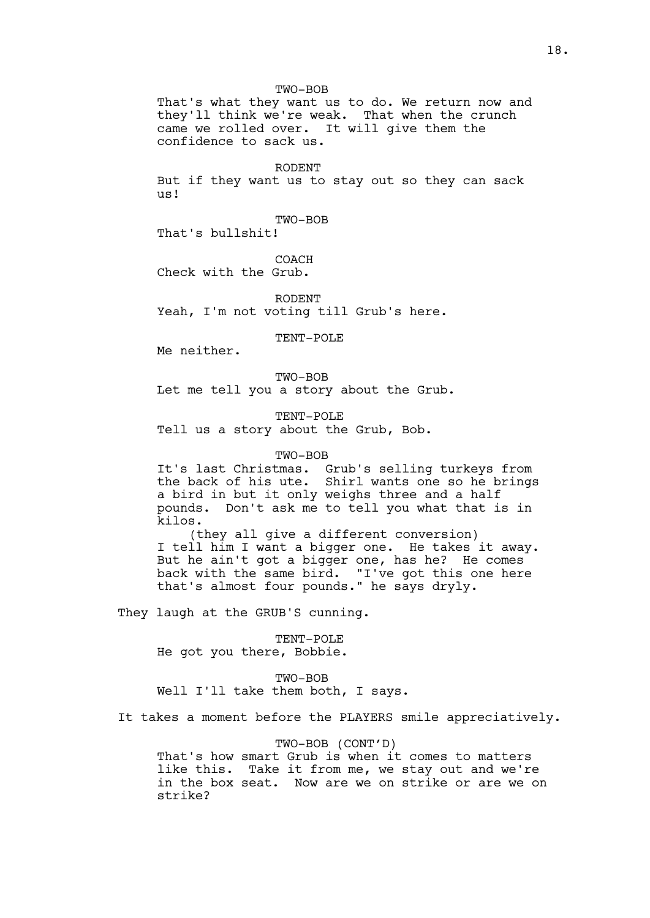TWO-BOB That's what they want us to do. We return now and they'll think we're weak. That when the crunch came we rolled over. It will give them the confidence to sack us.

RODENT

But if they want us to stay out so they can sack us!

TWO-BOB

That's bullshit!

COACH

Check with the Grub.

RODENT Yeah, I'm not voting till Grub's here.

TENT-POLE

Me neither.

TWO-BOB

Let me tell you a story about the Grub.

TENT-POLE

Tell us a story about the Grub, Bob.

TWO-BOB

It's last Christmas. Grub's selling turkeys from the back of his ute. Shirl wants one so he brings a bird in but it only weighs three and a half pounds. Don't ask me to tell you what that is in kilos.

(they all give a different conversion) I tell him I want a bigger one. He takes it away. But he ain't got a bigger one, has he? He comes back with the same bird. "I've got this one here that's almost four pounds." he says dryly.

They laugh at the GRUB'S cunning.

#### TENT-POLE

He got you there, Bobbie.

TWO-BOB

Well I'll take them both, I says.

It takes a moment before the PLAYERS smile appreciatively.

#### TWO-BOB (CONT'D)

That's how smart Grub is when it comes to matters like this. Take it from me, we stay out and we're in the box seat. Now are we on strike or are we on strike?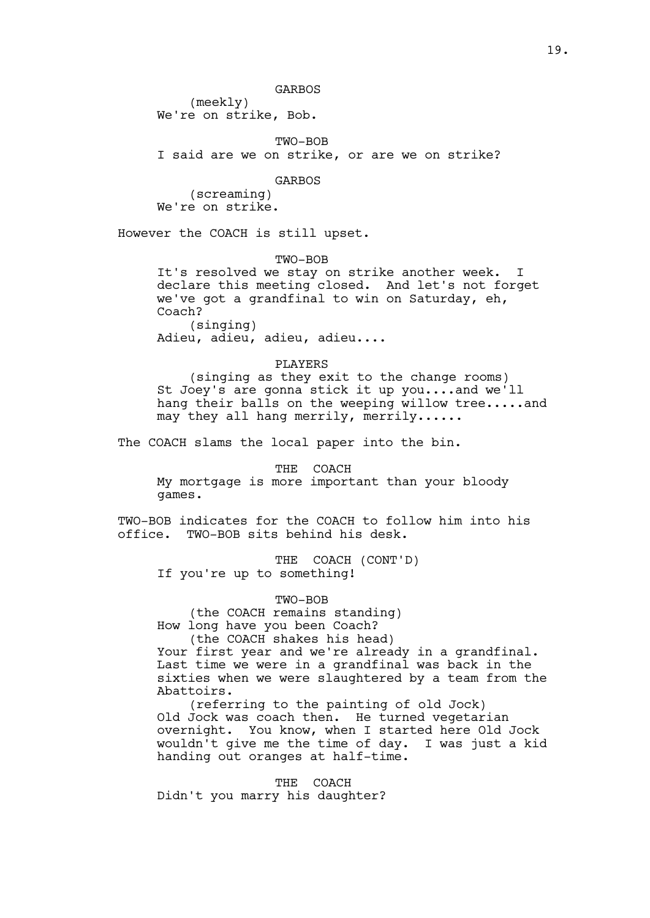(meekly) We're on strike, Bob.

TWO-BOB

I said are we on strike, or are we on strike?

GARBOS

(screaming) We're on strike.

However the COACH is still upset.

TWO-BOB It's resolved we stay on strike another week. declare this meeting closed. And let's not forget we've got a grandfinal to win on Saturday, eh, Coach? (singing) Adieu, adieu, adieu, adieu....

PLAYERS (singing as they exit to the change rooms) St Joey's are gonna stick it up you....and we'll hang their balls on the weeping willow tree.....and may they all hang merrily, merrily......

The COACH slams the local paper into the bin.

THE COACH My mortgage is more important than your bloody games.

TWO-BOB indicates for the COACH to follow him into his office. TWO-BOB sits behind his desk.

THE COACH (CONT'D) If you're up to something!

TWO-BOB (the COACH remains standing) How long have you been Coach?

(the COACH shakes his head) Your first year and we're already in a grandfinal. Last time we were in a grandfinal was back in the sixties when we were slaughtered by a team from the Abattoirs.

(referring to the painting of old Jock) Old Jock was coach then. He turned vegetarian overnight. You know, when I started here Old Jock wouldn't give me the time of day. I was just a kid handing out oranges at half-time.

THE COACH Didn't you marry his daughter?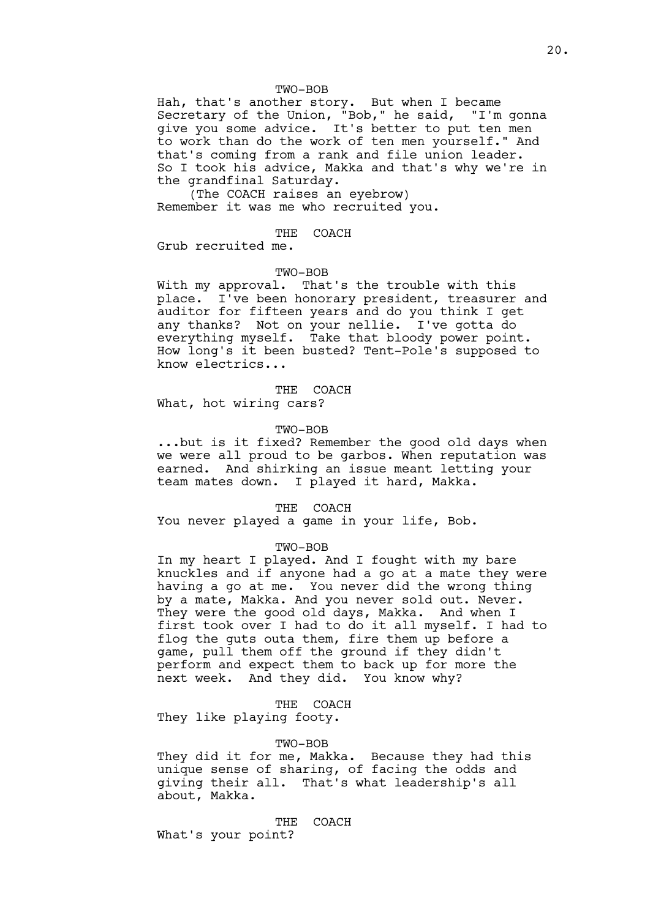#### TWO-BOB

Hah, that's another story. But when I became Secretary of the Union, "Bob," he said, "I'm gonna give you some advice. It's better to put ten men to work than do the work of ten men yourself." And that's coming from a rank and file union leader. So I took his advice, Makka and that's why we're in the grandfinal Saturday.

(The COACH raises an eyebrow) Remember it was me who recruited you.

#### THE COACH

Grub recruited me.

#### TWO-BOB

With my approval. That's the trouble with this place. I've been honorary president, treasurer and auditor for fifteen years and do you think I get any thanks? Not on your nellie. I've gotta do everything myself. Take that bloody power point. How long's it been busted? Tent-Pole's supposed to know electrics...

# THE COACH

What, hot wiring cars?

## TWO-BOB

...but is it fixed? Remember the good old days when we were all proud to be garbos. When reputation was earned. And shirking an issue meant letting your team mates down. I played it hard, Makka.

THE COACH

You never played a game in your life, Bob.

#### TWO-BOB

In my heart I played. And I fought with my bare knuckles and if anyone had a go at a mate they were having a go at me. You never did the wrong thing by a mate, Makka. And you never sold out. Never. They were the good old days, Makka. And when I first took over I had to do it all myself. I had to flog the guts outa them, fire them up before a game, pull them off the ground if they didn't perform and expect them to back up for more the next week. And they did. You know why?

THE COACH

They like playing footy.

#### TWO-BOB

They did it for me, Makka. Because they had this unique sense of sharing, of facing the odds and giving their all. That's what leadership's all about, Makka.

THE COACH What's your point?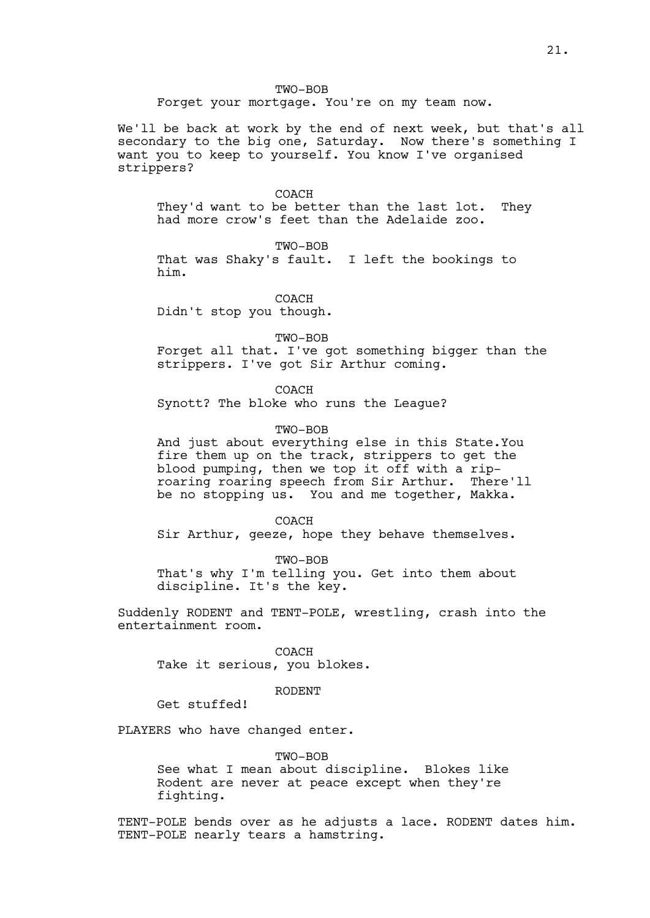## TWO-BOB

Forget your mortgage. You're on my team now.

We'll be back at work by the end of next week, but that's all secondary to the big one, Saturday. Now there's something I want you to keep to yourself. You know I've organised strippers?

#### COACH

They'd want to be better than the last lot. They had more crow's feet than the Adelaide zoo.

TWO-BOB

That was Shaky's fault. I left the bookings to him.

COACH Didn't stop you though.

TWO-BOB

Forget all that. I've got something bigger than the strippers. I've got Sir Arthur coming.

COACH

Synott? The bloke who runs the League?

## TWO-BOB

And just about everything else in this State.You fire them up on the track, strippers to get the blood pumping, then we top it off with a riproaring roaring speech from Sir Arthur. There'll be no stopping us. You and me together, Makka.

**COACH** 

Sir Arthur, geeze, hope they behave themselves.

TWO-BOB That's why I'm telling you. Get into them about discipline. It's the key.

Suddenly RODENT and TENT-POLE, wrestling, crash into the entertainment room.

COACH Take it serious, you blokes.

RODENT

Get stuffed!

PLAYERS who have changed enter.

TWO-BOB See what I mean about discipline. Blokes like Rodent are never at peace except when they're fighting.

TENT-POLE bends over as he adjusts a lace. RODENT dates him. TENT-POLE nearly tears a hamstring.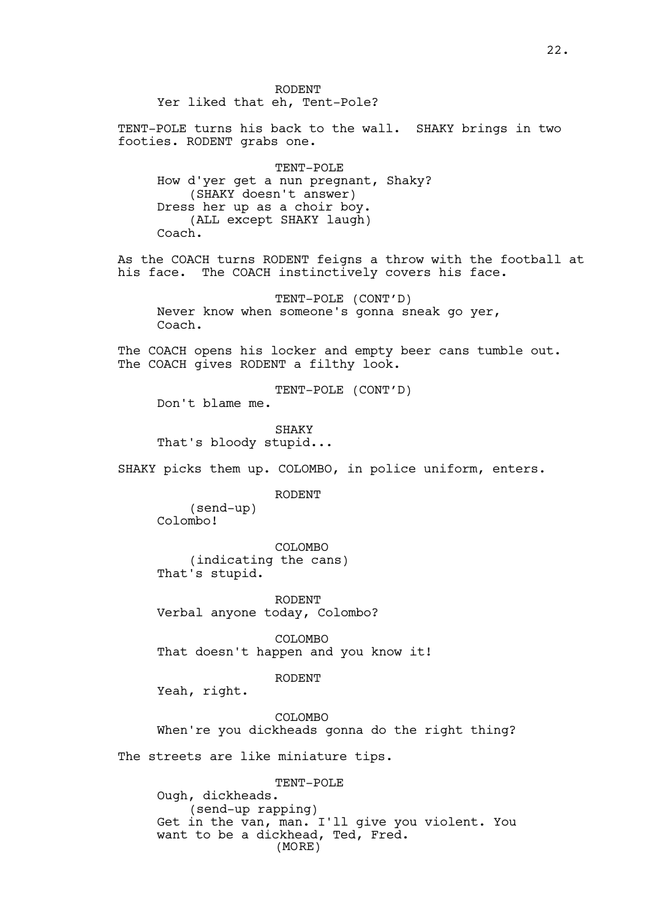RODENT Yer liked that eh, Tent-Pole?

TENT-POLE turns his back to the wall. SHAKY brings in two footies. RODENT grabs one.

TENT-POLE How d'yer get a nun pregnant, Shaky? (SHAKY doesn't answer) Dress her up as a choir boy. (ALL except SHAKY laugh) Coach.

As the COACH turns RODENT feigns a throw with the football at his face. The COACH instinctively covers his face.

TENT-POLE (CONT'D) Never know when someone's gonna sneak go yer, Coach.

The COACH opens his locker and empty beer cans tumble out. The COACH gives RODENT a filthy look.

TENT-POLE (CONT'D)

Don't blame me.

**SHAKY** That's bloody stupid...

SHAKY picks them up. COLOMBO, in police uniform, enters.

RODENT

(send-up) Colombo!

COLOMBO (indicating the cans) That's stupid.

RODENT Verbal anyone today, Colombo?

COLOMBO That doesn't happen and you know it!

RODENT

Yeah, right.

**COLOMBO** When're you dickheads gonna do the right thing?

The streets are like miniature tips.

TENT-POLE Ough, dickheads. (send-up rapping) Get in the van, man. I'll give you violent. You want to be a dickhead, Ted, Fred. (MORE)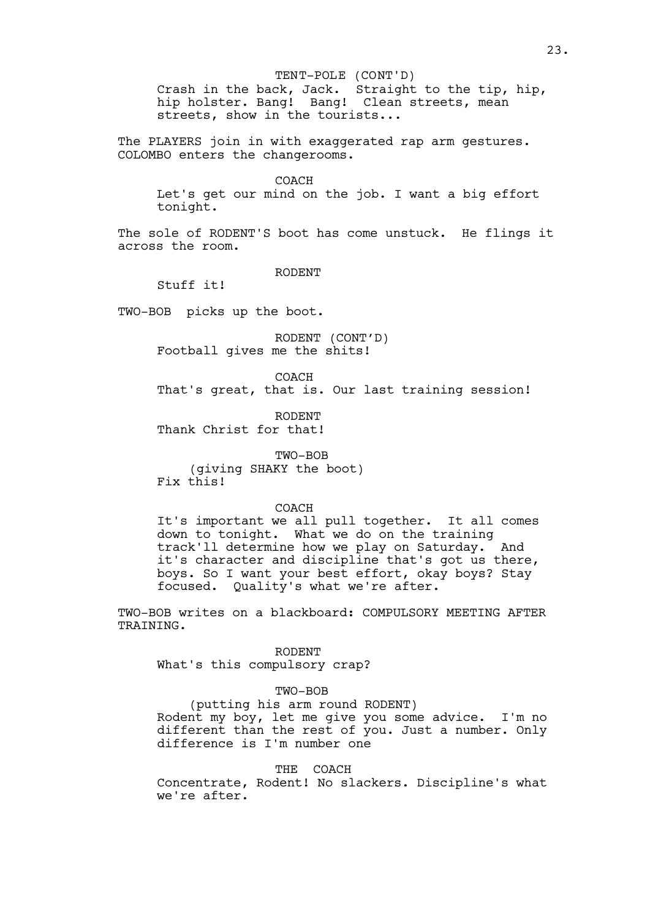#### TENT-POLE (CONT'D)

Crash in the back, Jack. Straight to the tip, hip, hip holster. Bang! Bang! Clean streets, mean streets, show in the tourists...

The PLAYERS join in with exaggerated rap arm gestures. COLOMBO enters the changerooms.

#### COACH

Let's get our mind on the job. I want a big effort tonight.

The sole of RODENT'S boot has come unstuck. He flings it across the room.

RODENT

Stuff it!

TWO-BOB picks up the boot.

RODENT (CONT'D) Football gives me the shits!

COACH

That's great, that is. Our last training session!

RODENT Thank Christ for that!

TWO-BOB (giving SHAKY the boot) Fix this!

## COACH

It's important we all pull together. It all comes down to tonight. What we do on the training track'll determine how we play on Saturday. And it's character and discipline that's got us there, boys. So I want your best effort, okay boys? Stay focused. Ouality's what we're after. Quality's what we're after.

TWO-BOB writes on a blackboard: COMPULSORY MEETING AFTER TRAINING.

RODENT What's this compulsory crap?

# TWO-BOB

(putting his arm round RODENT)

Rodent my boy, let me give you some advice. I'm no different than the rest of you. Just a number. Only difference is I'm number one

# THE COACH

Concentrate, Rodent! No slackers. Discipline's what we're after.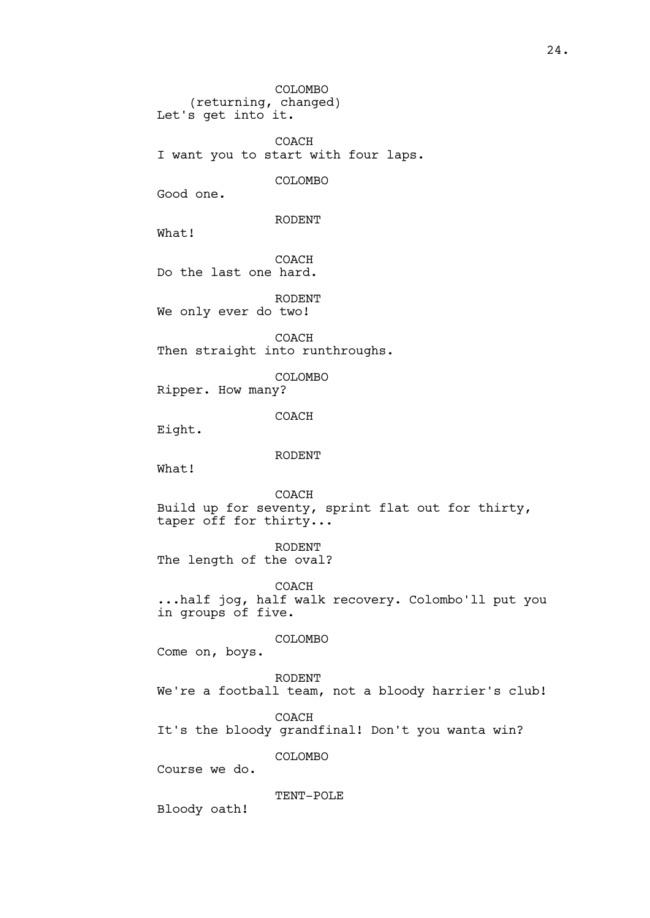COLOMBO (returning, changed) Let's get into it. COACH I want you to start with four laps. COLOMBO Good one. RODENT What! COACH Do the last one hard. RODENT We only ever do two! COACH Then straight into runthroughs. COLOMBO Ripper. How many? COACH Eight. RODENT What! COACH Build up for seventy, sprint flat out for thirty, taper off for thirty... RODENT The length of the oval? COACH ...half jog, half walk recovery. Colombo'll put you in groups of five. COLOMBO Come on, boys. RODENT We're a football team, not a bloody harrier's club! COACH It's the bloody grandfinal! Don't you wanta win? COLOMBO Course we do. TENT-POLE Bloody oath!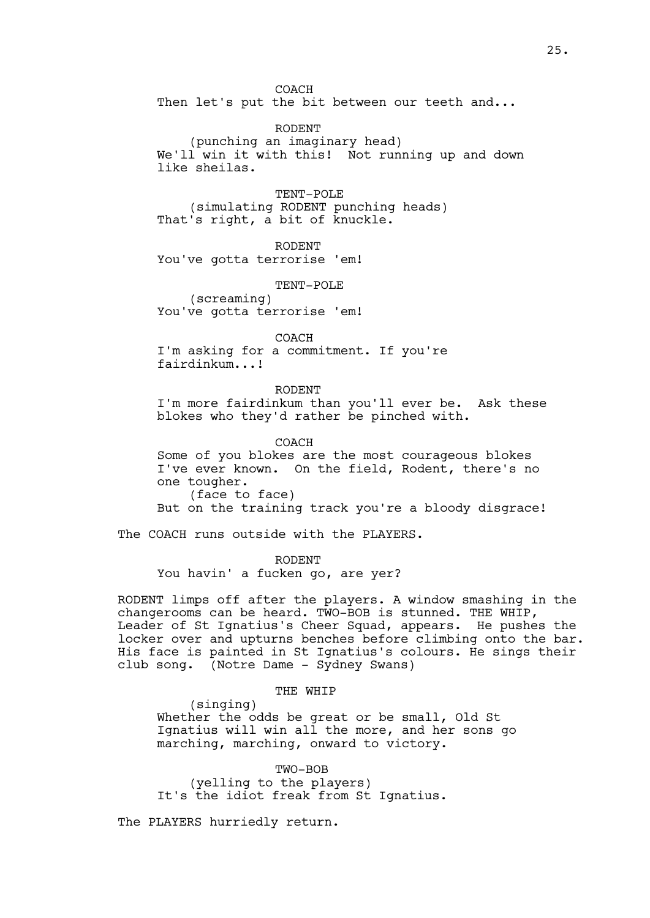COACH Then let's put the bit between our teeth and...

RODENT (punching an imaginary head) We'll win it with this! Not running up and down like sheilas.

TENT-POLE (simulating RODENT punching heads) That's right, a bit of knuckle.

RODENT You've gotta terrorise 'em!

TENT-POLE (screaming) You've gotta terrorise 'em!

COACH I'm asking for a commitment. If you're fairdinkum...!

RODENT I'm more fairdinkum than you'll ever be. Ask these blokes who they'd rather be pinched with.

COACH Some of you blokes are the most courageous blokes I've ever known. On the field, Rodent, there's no one tougher. (face to face) But on the training track you're a bloody disgrace!

The COACH runs outside with the PLAYERS.

RODENT You havin' a fucken go, are yer?

RODENT limps off after the players. A window smashing in the changerooms can be heard. TWO-BOB is stunned. THE WHIP, Leader of St Ignatius's Cheer Squad, appears. He pushes the locker over and upturns benches before climbing onto the bar. His face is painted in St Ignatius's colours. He sings their club song. (Notre Dame - Sydney Swans)

THE WHIP

(singing) Whether the odds be great or be small, Old St Ignatius will win all the more, and her sons go marching, marching, onward to victory.

TWO-BOB (yelling to the players) It's the idiot freak from St Ignatius.

The PLAYERS hurriedly return.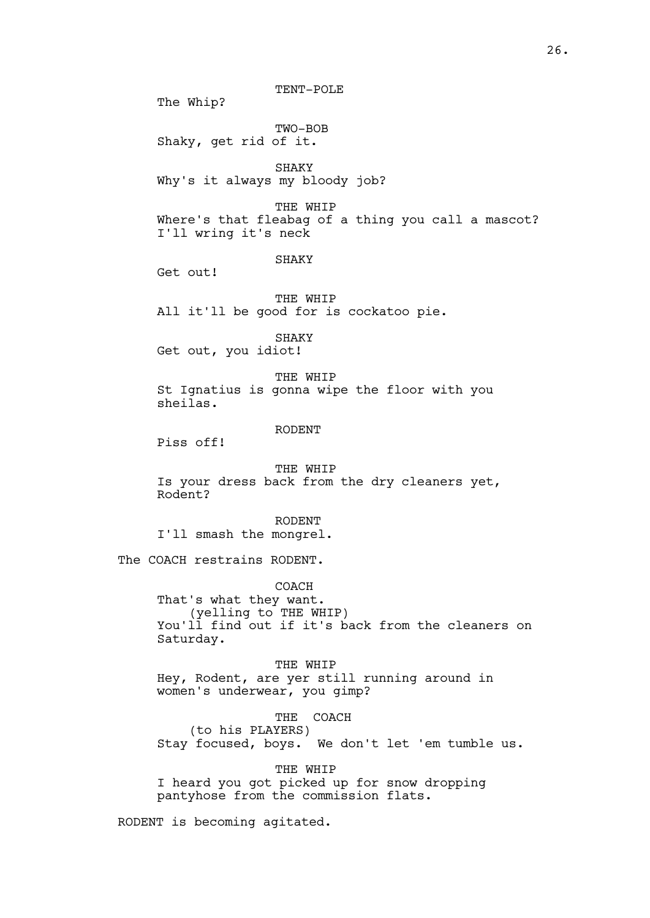TENT-POLE

The Whip?

TWO-BOB Shaky, get rid of it.

SHAKY Why's it always my bloody job?

THE WHIP Where's that fleabag of a thing you call a mascot? I'll wring it's neck

#### SHAKY

Get out!

THE WHIP All it'll be good for is cockatoo pie.

SHAKY Get out, you idiot!

THE WHIP St Ignatius is gonna wipe the floor with you sheilas.

# RODENT

Piss off!

THE WHIP Is your dress back from the dry cleaners yet, Rodent?

RODENT I'll smash the mongrel.

The COACH restrains RODENT.

COACH That's what they want. (yelling to THE WHIP) You'll find out if it's back from the cleaners on Saturday.

THE WHIP Hey, Rodent, are yer still running around in women's underwear, you gimp?

THE COACH (to his PLAYERS) Stay focused, boys. We don't let 'em tumble us.

THE WHIP I heard you got picked up for snow dropping pantyhose from the commission flats.

RODENT is becoming agitated.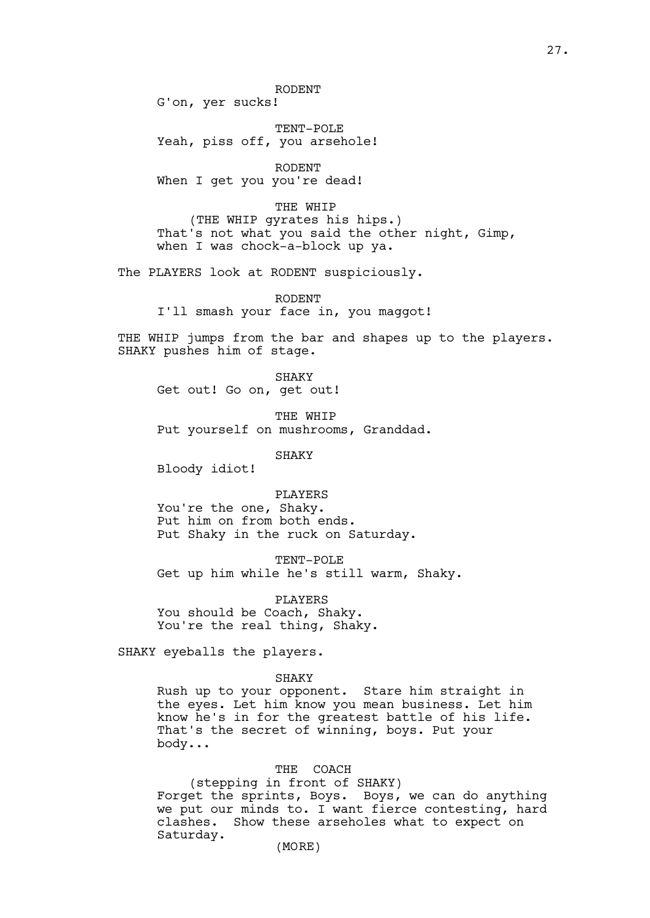RODENT

G'on, yer sucks!

TENT-POLE Yeah, piss off, you arsehole!

RODENT When I get you you're dead!

THE WHIP (THE WHIP gyrates his hips.) That's not what you said the other night, Gimp, when I was chock-a-block up ya.

The PLAYERS look at RODENT suspiciously.

RODENT I'll smash your face in, you maggot!

THE WHIP jumps from the bar and shapes up to the players. SHAKY pushes him of stage.

SHAKY Get out! Go on, get out!

THE WHIP

Put yourself on mushrooms, Granddad.

SHAKY

Bloody idiot!

PLAYERS You're the one, Shaky. Put him on from both ends. Put Shaky in the ruck on Saturday.

TENT-POLE Get up him while he's still warm, Shaky.

PLAYERS You should be Coach, Shaky. You're the real thing, Shaky.

SHAKY eyeballs the players.

SHAKY

Rush up to your opponent. Stare him straight in the eyes. Let him know you mean business. Let him know he's in for the greatest battle of his life. That's the secret of winning, boys. Put your body...

# THE COACH

(stepping in front of SHAKY) Forget the sprints, Boys. Boys, we can do anything we put our minds to. I want fierce contesting, hard clashes. Show these arseholes what to expect on Saturday.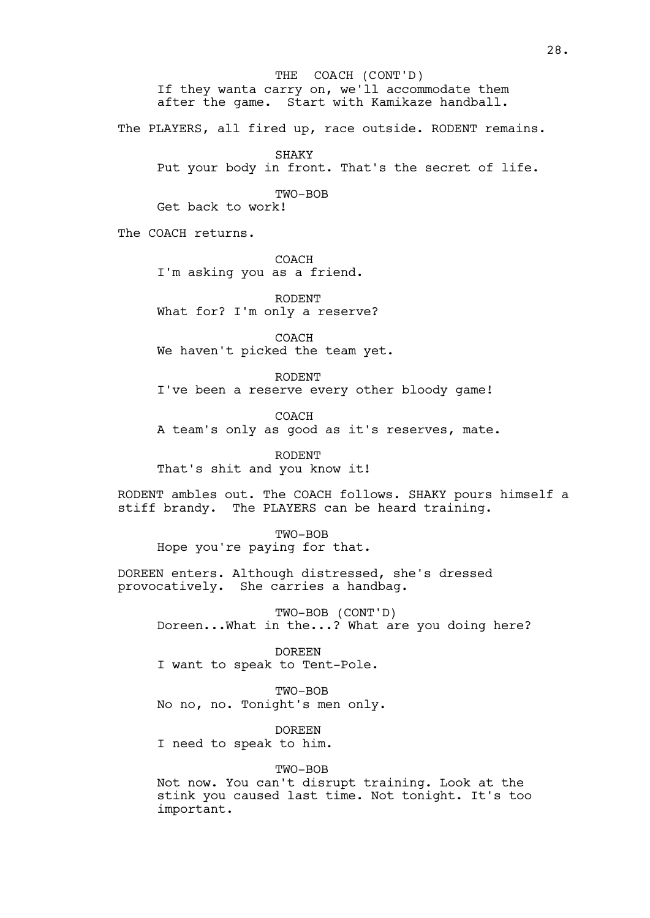If they wanta carry on, we'll accommodate them after the game. Start with Kamikaze handball. The PLAYERS, all fired up, race outside. RODENT remains. SHAKY Put your body in front. That's the secret of life. TWO-BOB Get back to work! The COACH returns. COACH I'm asking you as a friend. RODENT What for? I'm only a reserve? COACH We haven't picked the team yet. RODENT I've been a reserve every other bloody game! COACH A team's only as good as it's reserves, mate. RODENT That's shit and you know it! RODENT ambles out. The COACH follows. SHAKY pours himself a stiff brandy. The PLAYERS can be heard training. TWO-BOB Hope you're paying for that. DOREEN enters. Although distressed, she's dressed provocatively. She carries a handbag. TWO-BOB (CONT'D) Doreen...What in the...? What are you doing here? DOREEN I want to speak to Tent-Pole. TWO-BOB No no, no. Tonight's men only. DOREEN I need to speak to him. TWO-BOB Not now. You can't disrupt training. Look at the stink you caused last time. Not tonight. It's too important. THE COACH (CONT'D)

28.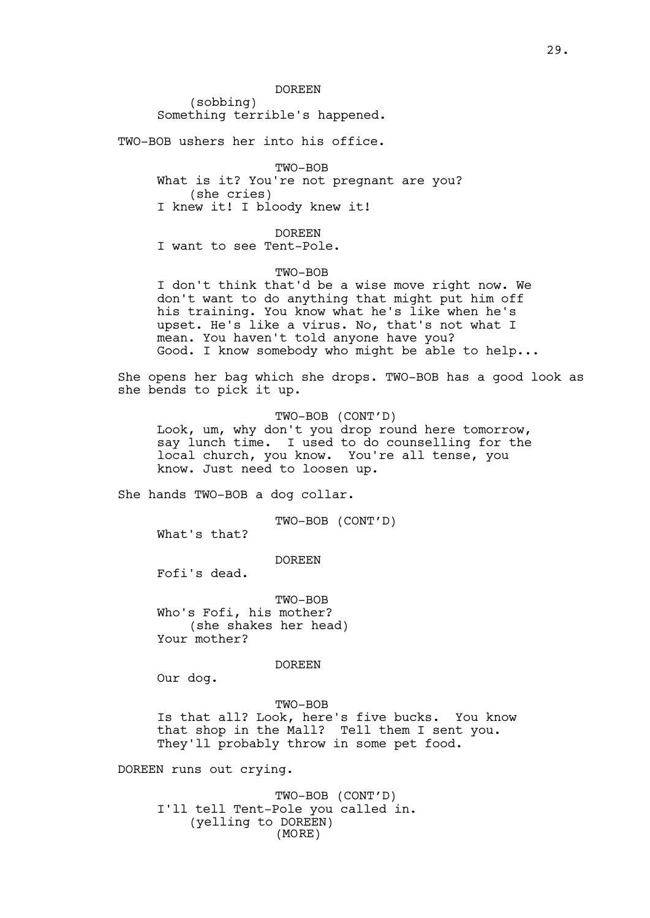DOREEN

(sobbing) Something terrible's happened.

TWO-BOB ushers her into his office.

TWO-BOB What is it? You're not pregnant are you? (she cries) I knew it! I bloody knew it!

DOREEN

I want to see Tent-Pole.

TWO-BOB

I don't think that'd be a wise move right now. We don't want to do anything that might put him off his training. You know what he's like when he's upset. He's like a virus. No, that's not what I mean. You haven't told anyone have you? Good. I know somebody who might be able to help...

She opens her bag which she drops. TWO-BOB has a good look as she bends to pick it up.

TWO-BOB (CONT'D)

Look, um, why don't you drop round here tomorrow, say lunch time. I used to do counselling for the local church, you know. You're all tense, you know. Just need to loosen up.

She hands TWO-BOB a dog collar.

TWO-BOB (CONT'D)

What's that?

DOREEN

Fofi's dead.

TWO-BOB Who's Fofi, his mother? (she shakes her head) Your mother?

DOREEN

Our dog.

TWO-BOB Is that all? Look, here's five bucks. You know that shop in the Mall? Tell them I sent you. They'll probably throw in some pet food.

DOREEN runs out crying.

TWO-BOB (CONT'D) I'll tell Tent-Pole you called in. (yelling to DOREEN) (MORE)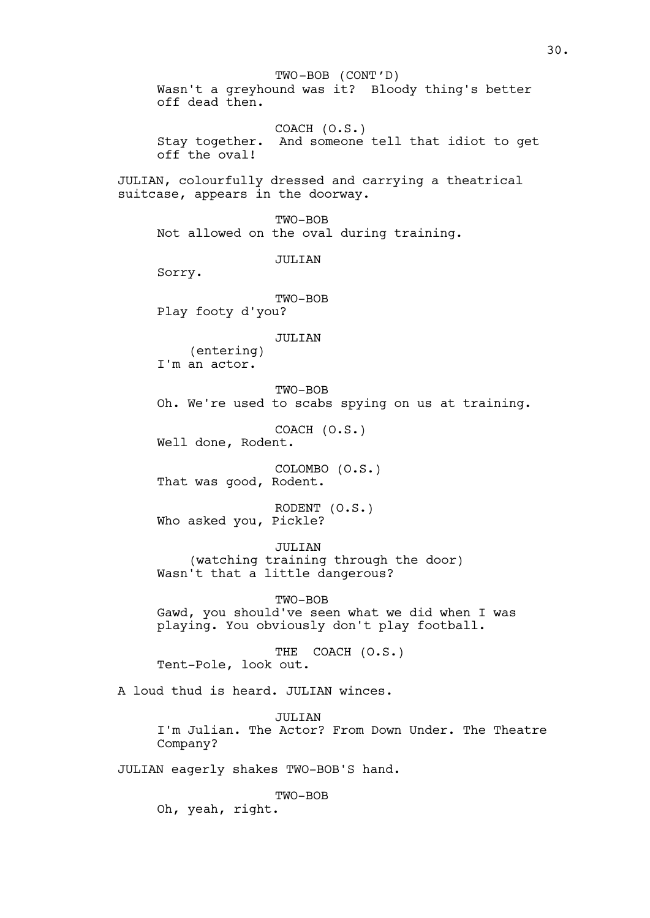Wasn't a greyhound was it? Bloody thing's better off dead then. COACH (O.S.) Stay together. And someone tell that idiot to get off the oval! JULIAN, colourfully dressed and carrying a theatrical suitcase, appears in the doorway. TWO-BOB Not allowed on the oval during training. JULIAN Sorry. TWO-BOB Play footy d'you? JULIAN (entering) I'm an actor. TWO-BOB Oh. We're used to scabs spying on us at training. COACH (O.S.) Well done, Rodent. COLOMBO (O.S.) That was good, Rodent. RODENT (O.S.) Who asked you, Pickle? JULIAN (watching training through the door) Wasn't that a little dangerous? TWO-BOB Gawd, you should've seen what we did when I was playing. You obviously don't play football. THE COACH (O.S.) Tent-Pole, look out. A loud thud is heard. JULIAN winces. JULTAN I'm Julian. The Actor? From Down Under. The Theatre Company? JULIAN eagerly shakes TWO-BOB'S hand. TWO-BOB Oh, yeah, right. TWO-BOB (CONT'D)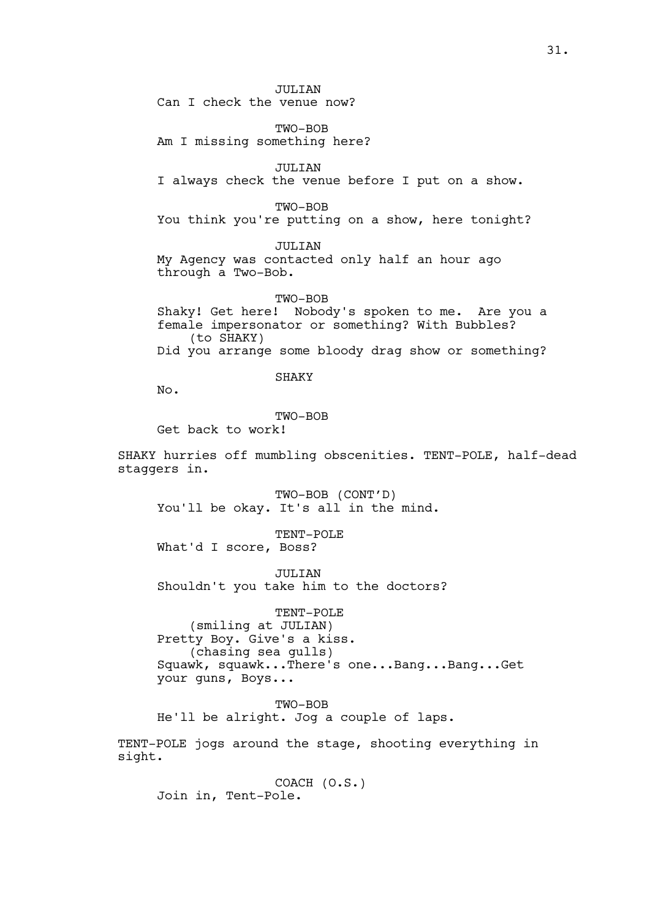JULIAN Can I check the venue now?

TWO-BOB Am I missing something here?

JULIAN I always check the venue before I put on a show.

TWO-BOB You think you're putting on a show, here tonight?

JULIAN

My Agency was contacted only half an hour ago through a Two-Bob.

TWO-BOB Shaky! Get here! Nobody's spoken to me. Are you a female impersonator or something? With Bubbles? (to SHAKY) Did you arrange some bloody drag show or something?

SHAKY

No.

TWO-BOB

Get back to work!

SHAKY hurries off mumbling obscenities. TENT-POLE, half-dead staggers in.

TWO-BOB (CONT'D) You'll be okay. It's all in the mind.

TENT-POLE What'd I score, Boss?

JULIAN Shouldn't you take him to the doctors?

TENT-POLE (smiling at JULIAN) Pretty Boy. Give's a kiss. (chasing sea gulls) Squawk, squawk...There's one...Bang...Bang...Get your guns, Boys...

TWO-BOB

He'll be alright. Jog a couple of laps.

TENT-POLE jogs around the stage, shooting everything in sight.

COACH (O.S.) Join in, Tent-Pole.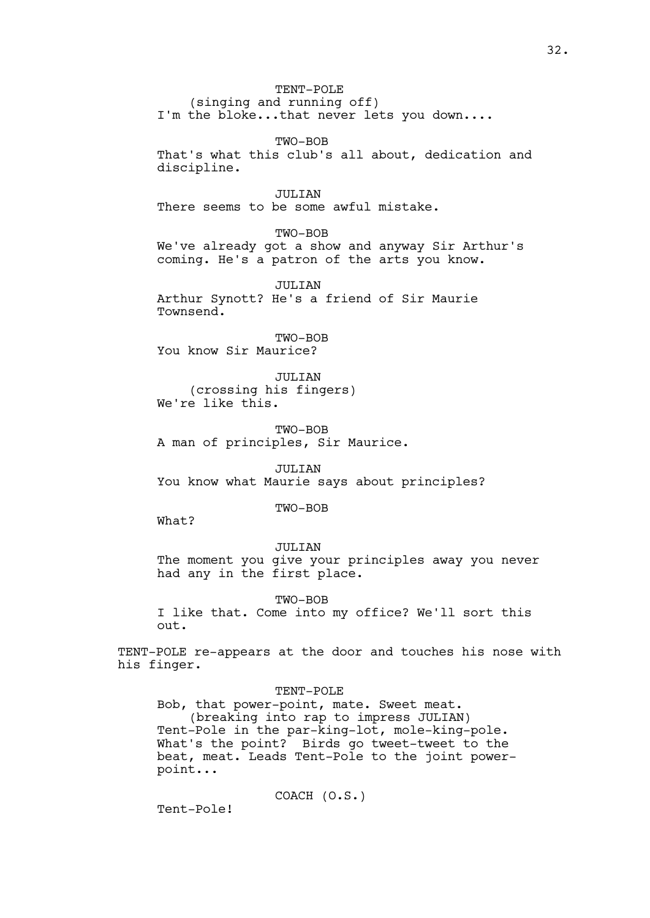TENT-POLE (singing and running off) I'm the bloke...that never lets you down....

TWO-BOB That's what this club's all about, dedication and discipline.

JULIAN There seems to be some awful mistake.

TWO-BOB We've already got a show and anyway Sir Arthur's coming. He's a patron of the arts you know.

JULIAN

Arthur Synott? He's a friend of Sir Maurie Townsend.

TWO-BOB You know Sir Maurice?

JULIAN (crossing his fingers) We're like this.

TWO-BOB A man of principles, Sir Maurice.

JULIAN You know what Maurie says about principles?

TWO-BOB

What?

JULIAN The moment you give your principles away you never had any in the first place.

TWO-BOB

I like that. Come into my office? We'll sort this out.

TENT-POLE re-appears at the door and touches his nose with his finger.

TENT-POLE

Bob, that power-point, mate. Sweet meat. (breaking into rap to impress JULIAN) Tent-Pole in the par-king-lot, mole-king-pole. What's the point? Birds go tweet-tweet to the beat, meat. Leads Tent-Pole to the joint powerpoint...

COACH (O.S.)

Tent-Pole!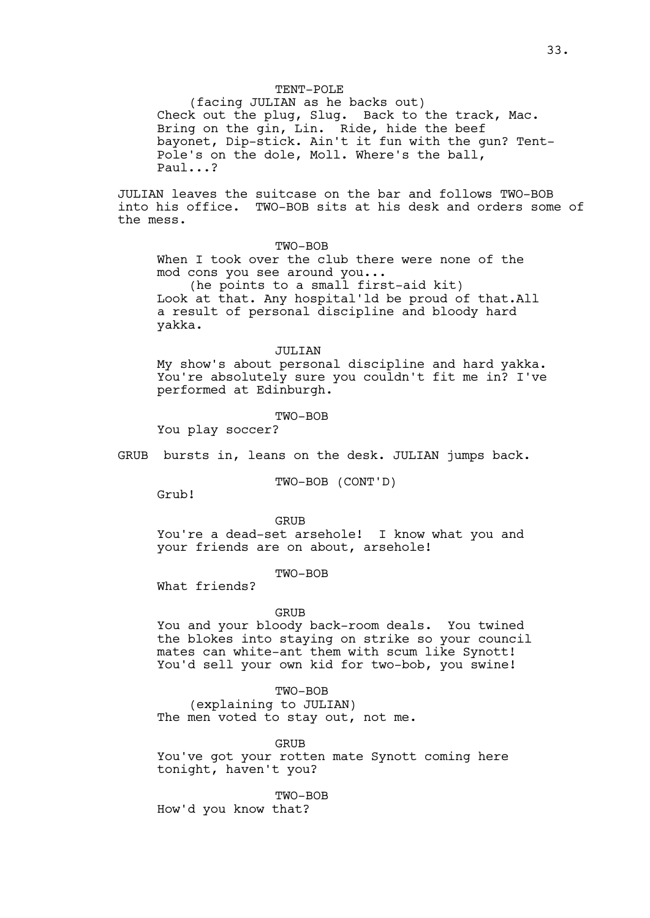#### TENT-POLE

(facing JULIAN as he backs out) Check out the plug, Slug. Back to the track, Mac. Bring on the gin, Lin. Ride, hide the beef bayonet, Dip-stick. Ain't it fun with the gun? Tent-Pole's on the dole, Moll. Where's the ball, Paul...?

JULIAN leaves the suitcase on the bar and follows TWO-BOB into his office. TWO-BOB sits at his desk and orders some of the mess.

# TWO-BOB

When I took over the club there were none of the mod cons you see around you...

(he points to a small first-aid kit) Look at that. Any hospital'ld be proud of that.All a result of personal discipline and bloody hard yakka.

## JULIAN

My show's about personal discipline and hard yakka. You're absolutely sure you couldn't fit me in? I've performed at Edinburgh.

#### TWO-BOB

You play soccer?

GRUB bursts in, leans on the desk. JULIAN jumps back.

TWO-BOB (CONT'D)

Grub!

# **GRUB**

You're a dead-set arsehole! I know what you and your friends are on about, arsehole!

TWO-BOB

What friends?

#### GRUB

You and your bloody back-room deals. You twined the blokes into staying on strike so your council mates can white-ant them with scum like Synott! You'd sell your own kid for two-bob, you swine!

## TWO-BOB

(explaining to JULIAN) The men voted to stay out, not me.

GRUB

You've got your rotten mate Synott coming here tonight, haven't you?

TWO-BOB How'd you know that?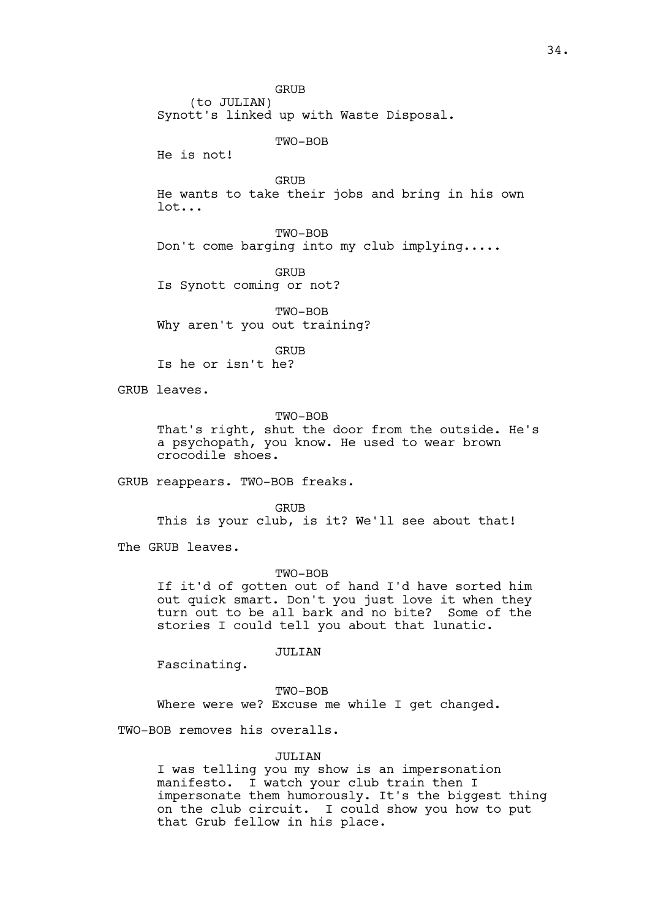GRUB (to JULIAN)

Synott's linked up with Waste Disposal.

TWO-BOB

He is not!

GRUB

He wants to take their jobs and bring in his own lot...

TWO-BOB Don't come barging into my club implying.....

GRUB Is Synott coming or not?

TWO-BOB Why aren't you out training?

GRUB

Is he or isn't he?

GRUB leaves.

TWO-BOB

That's right, shut the door from the outside. He's a psychopath, you know. He used to wear brown crocodile shoes.

GRUB reappears. TWO-BOB freaks.

GRUB

This is your club, is it? We'll see about that!

The GRUB leaves.

TWO-BOB

If it'd of gotten out of hand I'd have sorted him out quick smart. Don't you just love it when they turn out to be all bark and no bite? Some of the stories I could tell you about that lunatic.

JULIAN

Fascinating.

TWO-BOB

Where were we? Excuse me while I get changed.

TWO-BOB removes his overalls.

## JULIAN

I was telling you my show is an impersonation manifesto. I watch your club train then I impersonate them humorously. It's the biggest thing on the club circuit. I could show you how to put that Grub fellow in his place.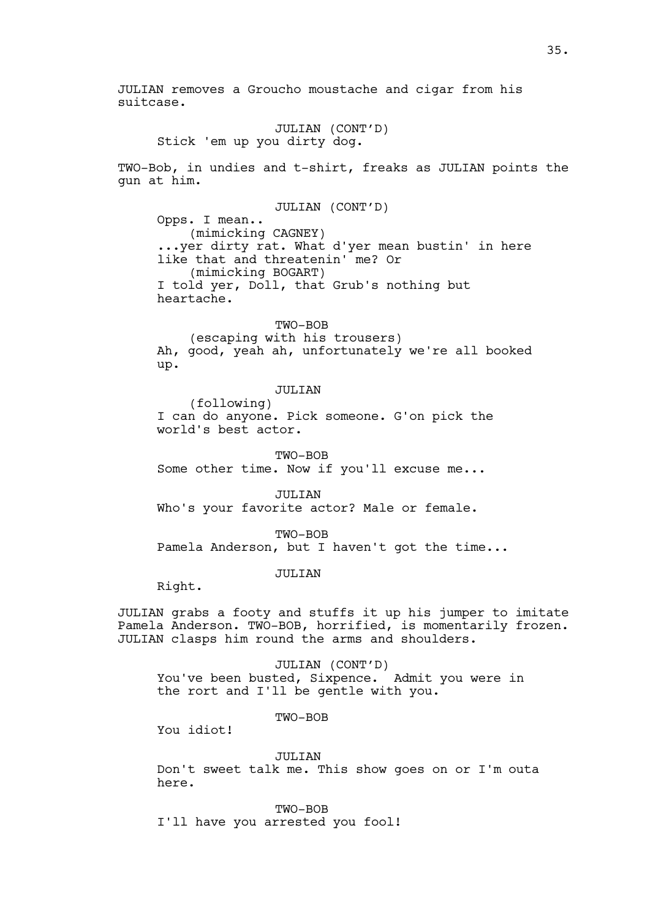JULIAN removes a Groucho moustache and cigar from his suitcase.

JULIAN (CONT'D) Stick 'em up you dirty dog.

TWO-Bob, in undies and t-shirt, freaks as JULIAN points the gun at him.

JULIAN (CONT'D) Opps. I mean.. (mimicking CAGNEY) ...yer dirty rat. What d'yer mean bustin' in here like that and threatenin' me? Or (mimicking BOGART) I told yer, Doll, that Grub's nothing but heartache.

TWO-BOB (escaping with his trousers) Ah, good, yeah ah, unfortunately we're all booked up.

JULIAN

(following) I can do anyone. Pick someone. G'on pick the world's best actor.

TWO-BOB Some other time. Now if you'll excuse me...

JULIAN Who's your favorite actor? Male or female.

TWO-BOB Pamela Anderson, but I haven't got the time...

JULIAN

Right.

JULIAN grabs a footy and stuffs it up his jumper to imitate Pamela Anderson. TWO-BOB, horrified, is momentarily frozen. JULIAN clasps him round the arms and shoulders.

JULIAN (CONT'D) You've been busted, Sixpence. Admit you were in the rort and I'll be gentle with you.

TWO-BOB

You idiot!

JULIAN

Don't sweet talk me. This show goes on or I'm outa here.

TWO-BOB I'll have you arrested you fool!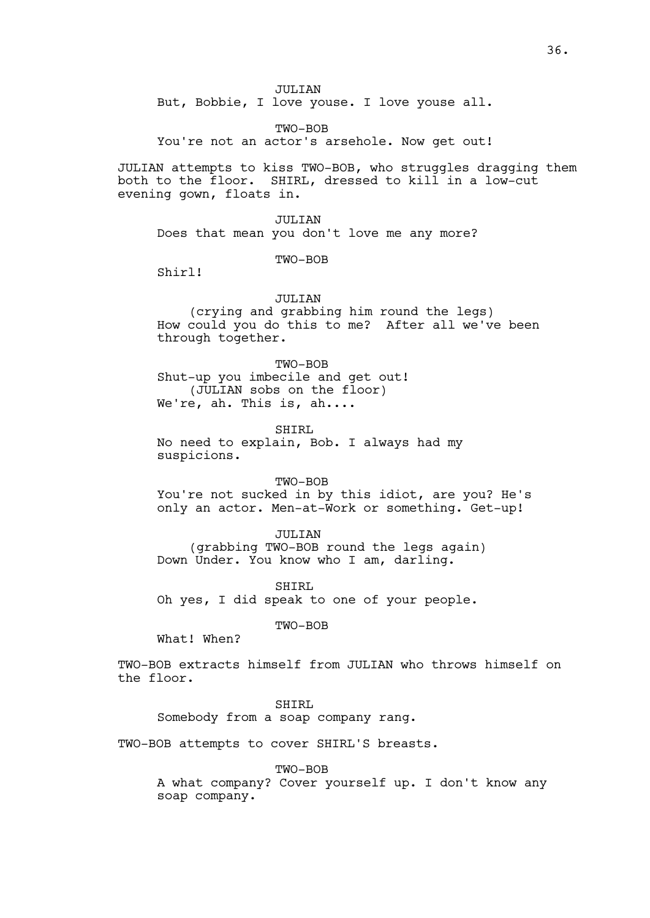JULIAN

But, Bobbie, I love youse. I love youse all.

TWO-BOB You're not an actor's arsehole. Now get out!

JULIAN attempts to kiss TWO-BOB, who struggles dragging them both to the floor. SHIRL, dressed to kill in a low-cut evening gown, floats in.

JULIAN Does that mean you don't love me any more?

TWO-BOB

Shirl!

JULIAN

(crying and grabbing him round the legs) How could you do this to me? After all we've been through together.

TWO-BOB Shut-up you imbecile and get out! (JULIAN sobs on the floor) We're, ah. This is, ah....

SHIRL No need to explain, Bob. I always had my suspicions.

TWO-BOB You're not sucked in by this idiot, are you? He's only an actor. Men-at-Work or something. Get-up!

JULIAN (grabbing TWO-BOB round the legs again) Down Under. You know who I am, darling.

SHIRL Oh yes, I did speak to one of your people.

TWO-BOB

What! When?

TWO-BOB extracts himself from JULIAN who throws himself on the floor.

SHIRL

Somebody from a soap company rang.

TWO-BOB attempts to cover SHIRL'S breasts.

TWO-BOB

A what company? Cover yourself up. I don't know any soap company.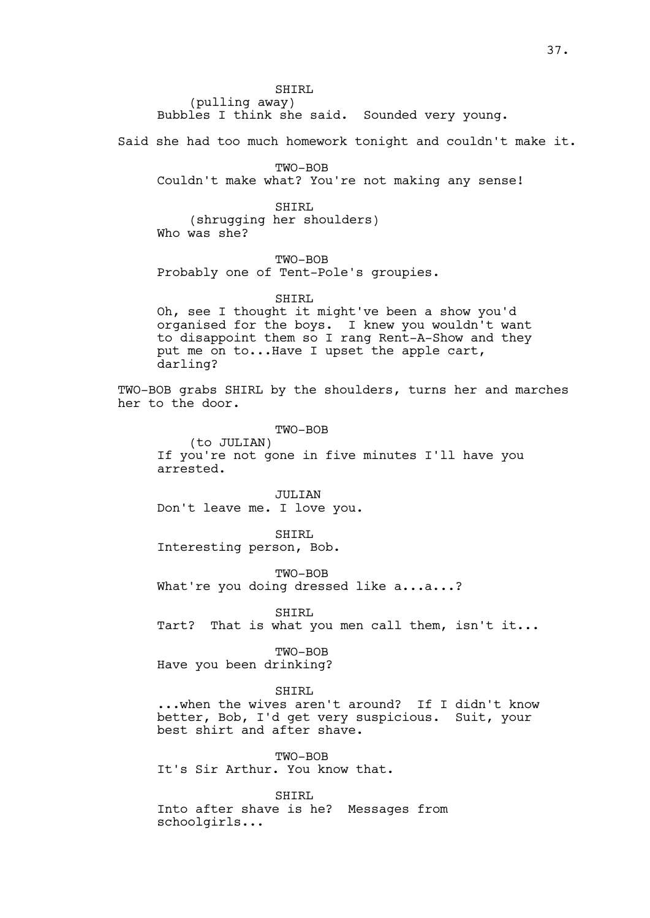SHIRL (pulling away) Bubbles I think she said. Sounded very young.

Said she had too much homework tonight and couldn't make it.

TWO-BOB Couldn't make what? You're not making any sense!

SHIRL (shrugging her shoulders) Who was she?

TWO-BOB

Probably one of Tent-Pole's groupies.

SHIRL

Oh, see I thought it might've been a show you'd organised for the boys. I knew you wouldn't want to disappoint them so I rang Rent-A-Show and they put me on to...Have I upset the apple cart, darling?

TWO-BOB grabs SHIRL by the shoulders, turns her and marches her to the door.

TWO-BOB

(to JULIAN) If you're not gone in five minutes I'll have you arrested.

JULIAN Don't leave me. I love you.

SHIRL Interesting person, Bob.

TWO-BOB What're you doing dressed like a...a...?

SHIRL

Tart? That is what you men call them, isn't it...

TWO-BOB Have you been drinking?

SHIRL

...when the wives aren't around? If I didn't know better, Bob, I'd get very suspicious. Suit, your best shirt and after shave.

TWO-BOB It's Sir Arthur. You know that.

SHIRL Into after shave is he? Messages from schoolgirls...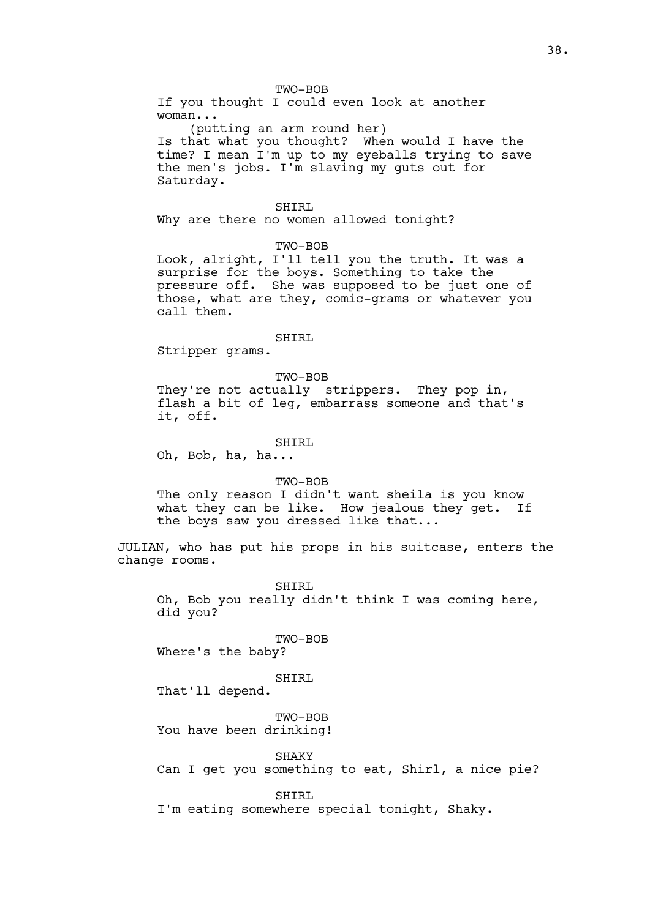TWO-BOB

If you thought I could even look at another woman...

(putting an arm round her) Is that what you thought? When would I have the time? I mean I'm up to my eyeballs trying to save the men's jobs. I'm slaving my guts out for Saturday.

### SHIRL

Why are there no women allowed tonight?

TWO-BOB

Look, alright, I'll tell you the truth. It was a surprise for the boys. Something to take the pressure off. She was supposed to be just one of those, what are they, comic-grams or whatever you call them.

#### SHIRL

Stripper grams.

### TWO-BOB

They're not actually strippers. They pop in, flash a bit of leg, embarrass someone and that's it, off.

### SHIRL

Oh, Bob, ha, ha...

### TWO-BOB

The only reason I didn't want sheila is you know what they can be like. How jealous they get. If the boys saw you dressed like that...

JULIAN, who has put his props in his suitcase, enters the change rooms.

SHIRL Oh, Bob you really didn't think I was coming here, did you?

#### TWO-BOB

Where's the baby?

#### SHIRL

That'll depend.

#### TWO-BOB

You have been drinking!

SHAKY

Can I get you something to eat, Shirl, a nice pie?

SHIRL

I'm eating somewhere special tonight, Shaky.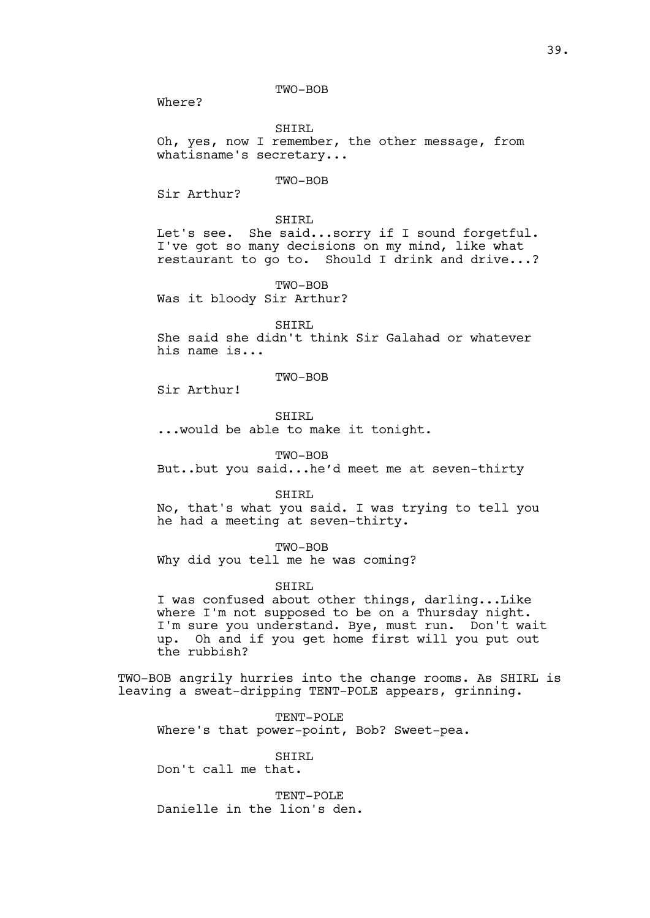TWO-BOB

Where?

SHIRL Oh, yes, now I remember, the other message, from whatisname's secretary...

### TWO-BOB

Sir Arthur?

SHIRL Let's see. She said...sorry if I sound forgetful. I've got so many decisions on my mind, like what restaurant to go to. Should I drink and drive...?

TWO-BOB Was it bloody Sir Arthur?

SHIRL

She said she didn't think Sir Galahad or whatever his name is...

# TWO-BOB

Sir Arthur!

SHIRL

...would be able to make it tonight.

TWO-BOB

But..but you said...he'd meet me at seven-thirty

SHIRL

No, that's what you said. I was trying to tell you he had a meeting at seven-thirty.

TWO-BOB

Why did you tell me he was coming?

#### SHIRL

I was confused about other things, darling...Like where I'm not supposed to be on a Thursday night. I'm sure you understand. Bye, must run. Don't wait up. Oh and if you get home first will you put out the rubbish?

TWO-BOB angrily hurries into the change rooms. As SHIRL is leaving a sweat-dripping TENT-POLE appears, grinning.

TENT-POLE Where's that power-point, Bob? Sweet-pea.

SHIRL

Don't call me that.

TENT-POLE Danielle in the lion's den.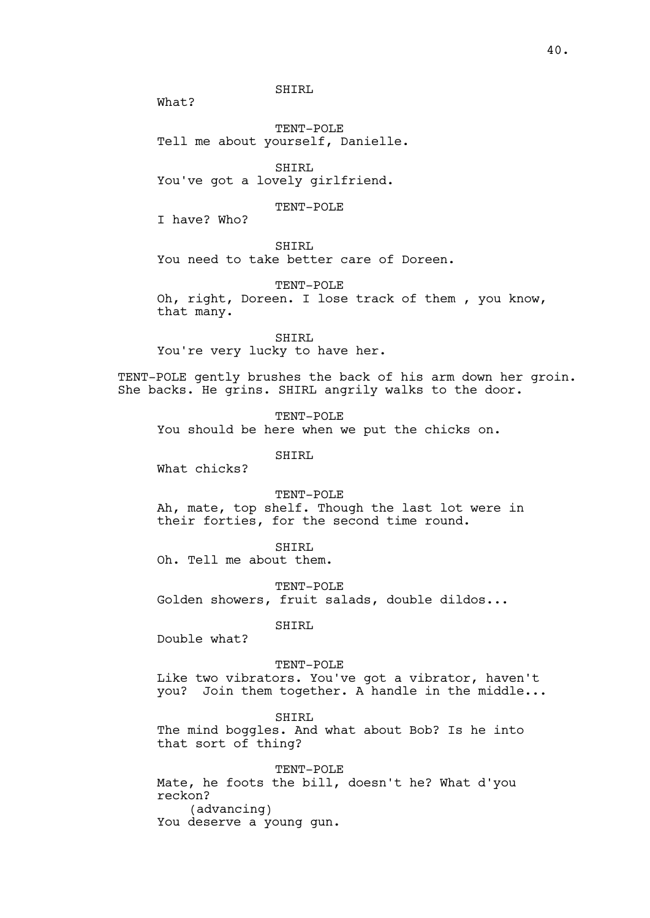SHIRL

What?

TENT-POLE Tell me about yourself, Danielle.

SHIRL You've got a lovely girlfriend.

TENT-POLE

I have? Who?

SHIRL

You need to take better care of Doreen.

TENT-POLE

Oh, right, Doreen. I lose track of them , you know, that many.

SHIRL You're very lucky to have her.

TENT-POLE gently brushes the back of his arm down her groin. She backs. He grins. SHIRL angrily walks to the door.

TENT-POLE

You should be here when we put the chicks on.

SHIRL

What chicks?

TENT-POLE

Ah, mate, top shelf. Though the last lot were in their forties, for the second time round.

SHIRL

Oh. Tell me about them.

TENT-POLE Golden showers, fruit salads, double dildos...

SHIRL

Double what?

TENT-POLE

Like two vibrators. You've got a vibrator, haven't you? Join them together. A handle in the middle...

SHIRL

The mind boggles. And what about Bob? Is he into that sort of thing?

TENT-POLE Mate, he foots the bill, doesn't he? What d'you reckon? (advancing) You deserve a young gun.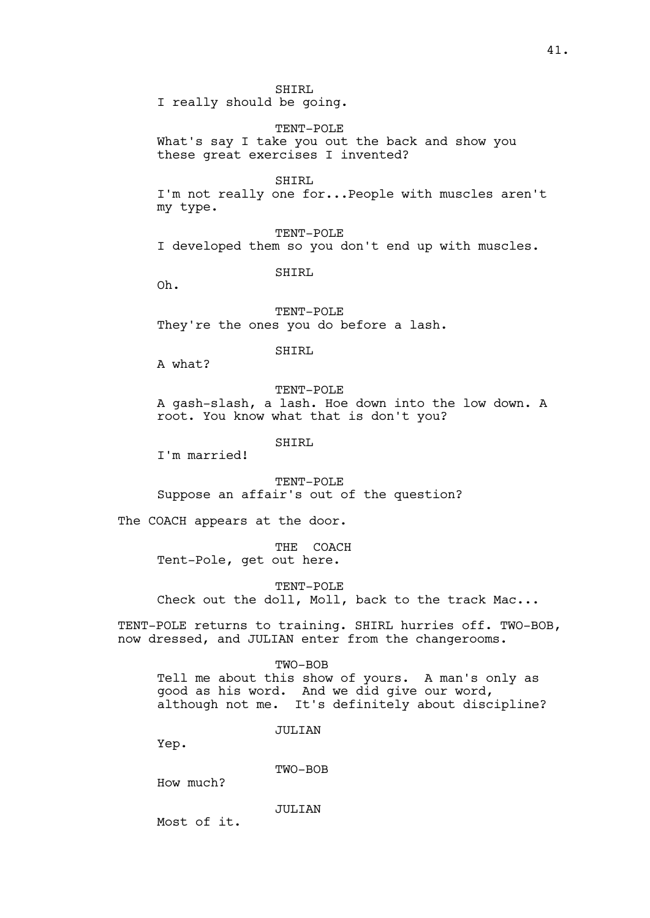SHIRL I really should be going.

TENT-POLE What's say I take you out the back and show you these great exercises I invented?

SHIRL

I'm not really one for...People with muscles aren't my type.

TENT-POLE I developed them so you don't end up with muscles.

SHIRL

Oh.

TENT-POLE They're the ones you do before a lash.

SHIRL

A what?

TENT-POLE A gash-slash, a lash. Hoe down into the low down. A root. You know what that is don't you?

SHIRL

I'm married!

TENT-POLE Suppose an affair's out of the question?

The COACH appears at the door.

THE COACH Tent-Pole, get out here.

TENT-POLE Check out the doll, Moll, back to the track Mac...

TENT-POLE returns to training. SHIRL hurries off. TWO-BOB, now dressed, and JULIAN enter from the changerooms.

TWO-BOB

Tell me about this show of yours. A man's only as good as his word. And we did give our word, although not me. It's definitely about discipline?

JULIAN

Yep.

TWO-BOB

How much?

JULIT. TAN

Most of it.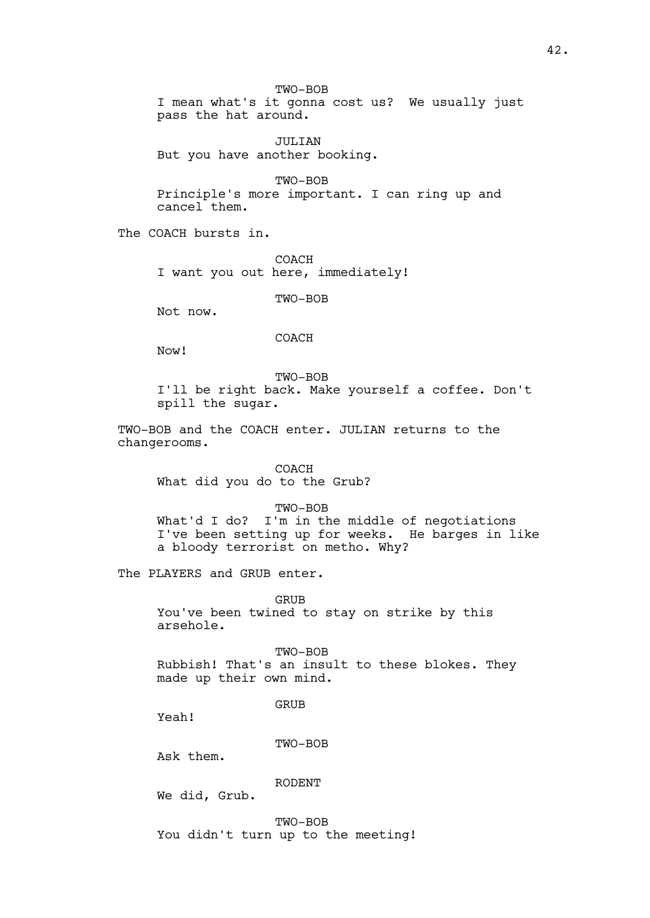TWO-BOB

I mean what's it gonna cost us? We usually just pass the hat around.

JULIAN But you have another booking.

TWO-BOB Principle's more important. I can ring up and cancel them.

The COACH bursts in.

COACH I want you out here, immediately!

TWO-BOB

Not now.

COACH

Now!

TWO-BOB

I'll be right back. Make yourself a coffee. Don't spill the sugar.

TWO-BOB and the COACH enter. JULIAN returns to the changerooms.

COACH What did you do to the Grub?

# TWO-BOB

What'd I do? I'm in the middle of negotiations I've been setting up for weeks. He barges in like a bloody terrorist on metho. Why?

The PLAYERS and GRUB enter.

GRUB You've been twined to stay on strike by this arsehole.

TWO-BOB Rubbish! That's an insult to these blokes. They made up their own mind.

GRUB

Yeah!

#### TWO-BOB

Ask them.

### RODENT

We did, Grub.

TWO-BOB You didn't turn up to the meeting!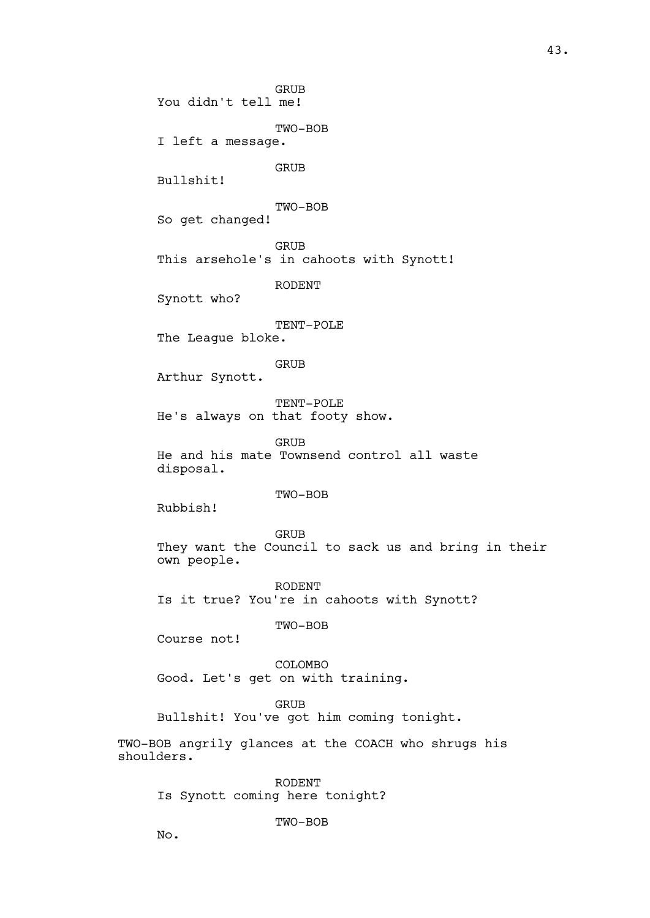GRUB You didn't tell me! TWO-BOB I left a message. GRUB Bullshit! TWO-BOB So get changed! GRUB This arsehole's in cahoots with Synott! RODENT Synott who? TENT-POLE The League bloke. GRUB Arthur Synott. TENT-POLE He's always on that footy show. GRUB He and his mate Townsend control all waste disposal. TWO-BOB Rubbish! GRUB They want the Council to sack us and bring in their own people. RODENT Is it true? You're in cahoots with Synott? TWO-BOB Course not! COLOMBO Good. Let's get on with training.

GRUB

Bullshit! You've got him coming tonight.

TWO-BOB angrily glances at the COACH who shrugs his shoulders.

RODENT Is Synott coming here tonight?

TWO-BOB

No.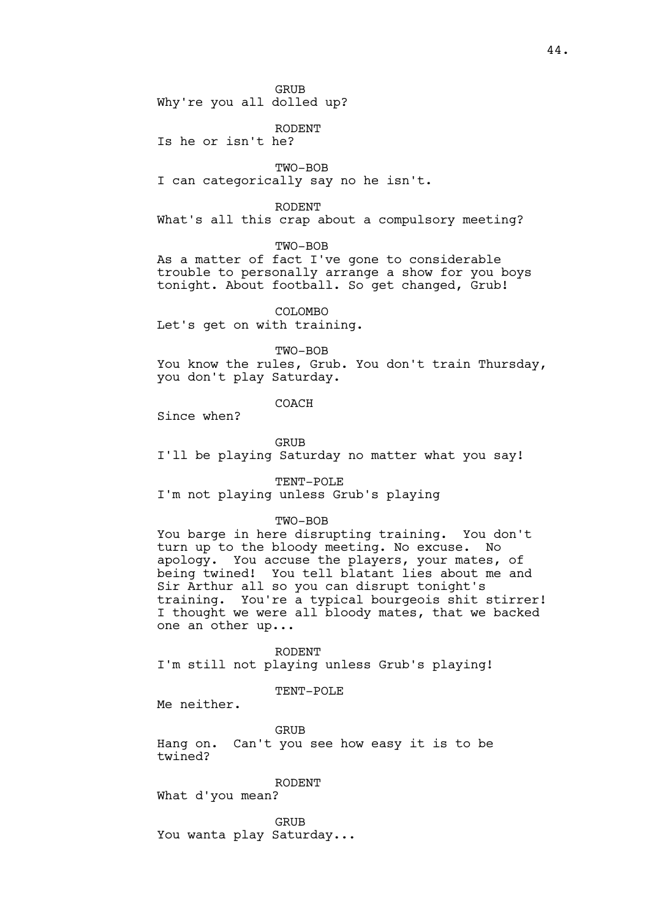GRUB

Why're you all dolled up?

RODENT

Is he or isn't he?

TWO-BOB I can categorically say no he isn't.

RODENT

What's all this crap about a compulsory meeting?

TWO-BOB

As a matter of fact I've gone to considerable trouble to personally arrange a show for you boys tonight. About football. So get changed, Grub!

COLOMBO Let's get on with training.

TWO-BOB

You know the rules, Grub. You don't train Thursday, you don't play Saturday.

COACH

Since when?

GRUB I'll be playing Saturday no matter what you say!

TENT-POLE

I'm not playing unless Grub's playing

TWO-BOB

You barge in here disrupting training. You don't turn up to the bloody meeting. No excuse. No apology. You accuse the players, your mates, of being twined! You tell blatant lies about me and Sir Arthur all so you can disrupt tonight's training. You're a typical bourgeois shit stirrer! I thought we were all bloody mates, that we backed one an other up...

RODENT I'm still not playing unless Grub's playing!

TENT-POLE

Me neither.

GRUB Hang on. Can't you see how easy it is to be twined?

RODENT

What d'you mean?

GRUB You wanta play Saturday...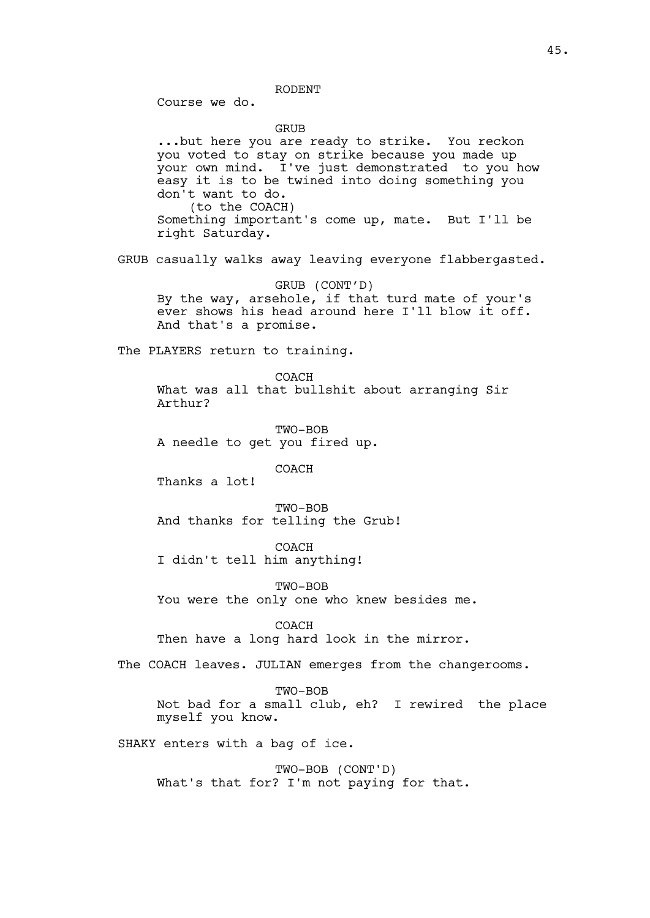RODENT

Course we do.

**GRUB** 

...but here you are ready to strike. You reckon you voted to stay on strike because you made up your own mind. I've just demonstrated to you how easy it is to be twined into doing something you don't want to do. (to the COACH) Something important's come up, mate. But I'll be right Saturday. GRUB casually walks away leaving everyone flabbergasted. GRUB (CONT'D) By the way, arsehole, if that turd mate of your's ever shows his head around here I'll blow it off. And that's a promise. The PLAYERS return to training. COACH What was all that bullshit about arranging Sir Arthur? TWO-BOB A needle to get you fired up. COACH Thanks a lot! TWO-BOB And thanks for telling the Grub! COACH I didn't tell him anything! TWO-BOB You were the only one who knew besides me. COACH Then have a long hard look in the mirror. The COACH leaves. JULIAN emerges from the changerooms. TWO-BOB Not bad for a small club, eh? I rewired the place myself you know. SHAKY enters with a bag of ice.

TWO-BOB (CONT'D) What's that for? I'm not paying for that.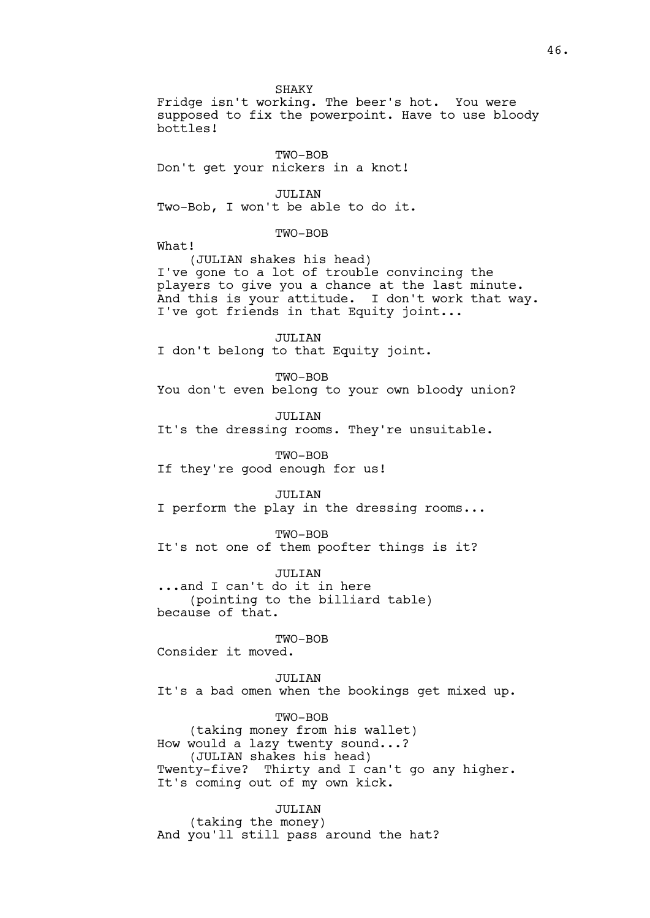SHAKY Fridge isn't working. The beer's hot. You were supposed to fix the powerpoint. Have to use bloody bottles! TWO-BOB Don't get your nickers in a knot! JULIAN Two-Bob, I won't be able to do it. TWO-BOB What! (JULIAN shakes his head) I've gone to a lot of trouble convincing the players to give you a chance at the last minute. And this is your attitude. I don't work that way. I've got friends in that Equity joint... JULIAN I don't belong to that Equity joint. TWO-BOB You don't even belong to your own bloody union? JULIAN It's the dressing rooms. They're unsuitable. TWO-BOB If they're good enough for us! JULIAN I perform the play in the dressing rooms... TWO-BOB It's not one of them poofter things is it? JULIAN ...and I can't do it in here (pointing to the billiard table) because of that. TWO-BOB Consider it moved. JULIAN It's a bad omen when the bookings get mixed up. TWO-BOB

(taking money from his wallet) How would a lazy twenty sound...? (JULIAN shakes his head) Twenty-five? Thirty and I can't go any higher. It's coming out of my own kick.

JULIAN (taking the money) And you'll still pass around the hat?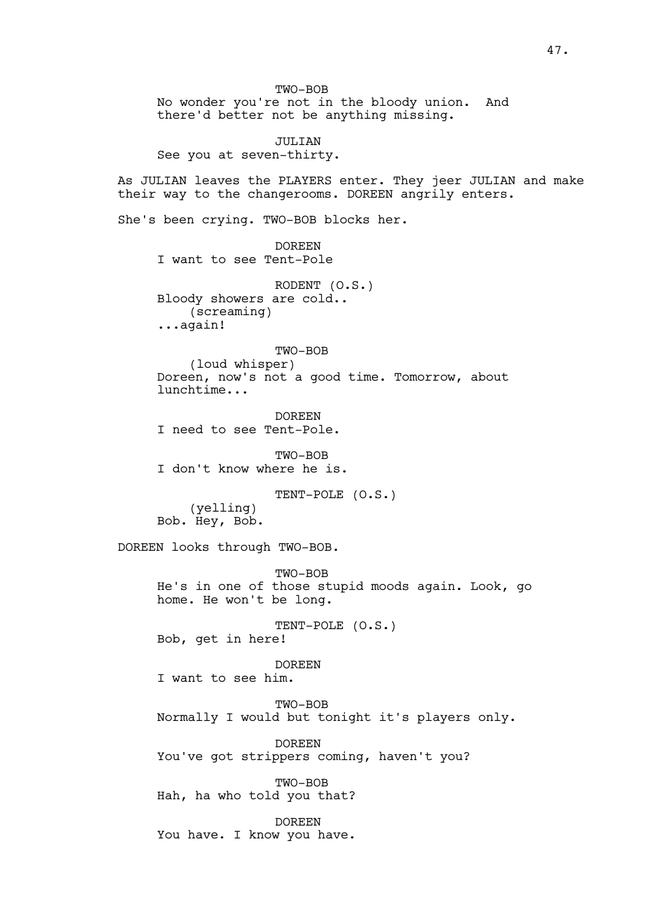TWO-BOB No wonder you're not in the bloody union. And there'd better not be anything missing. JULIAN See you at seven-thirty. As JULIAN leaves the PLAYERS enter. They jeer JULIAN and make their way to the changerooms. DOREEN angrily enters. She's been crying. TWO-BOB blocks her. DOREEN I want to see Tent-Pole RODENT (O.S.) Bloody showers are cold.. (screaming) ...again! TWO-BOB (loud whisper) Doreen, now's not a good time. Tomorrow, about lunchtime... DOREEN I need to see Tent-Pole. TWO-BOB I don't know where he is. TENT-POLE (O.S.) (yelling) Bob. Hey, Bob. DOREEN looks through TWO-BOB. TWO-BOB He's in one of those stupid moods again. Look, go home. He won't be long. TENT-POLE (O.S.) Bob, get in here! DOREEN I want to see him. TWO-BOB Normally I would but tonight it's players only. DOREEN You've got strippers coming, haven't you? TWO-BOB Hah, ha who told you that? DOREEN You have. I know you have.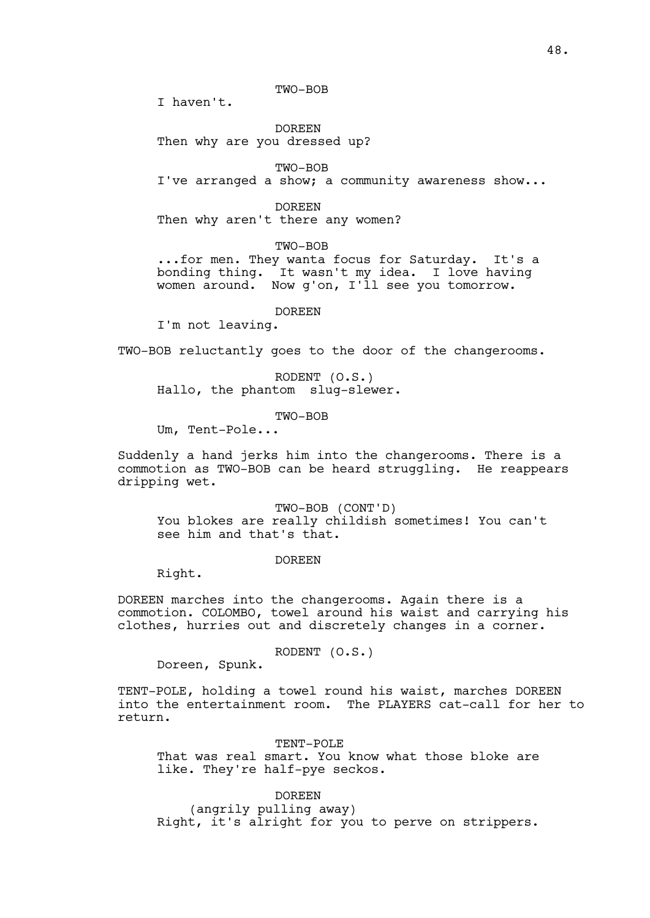TWO-BOB

I haven't.

DOREEN Then why are you dressed up?

TWO-BOB I've arranged a show; a community awareness show...

DOREEN Then why aren't there any women?

TWO-BOB

...for men. They wanta focus for Saturday. It's a bonding thing. It wasn't my idea. I love having women around. Now g'on, I'll see you tomorrow.

DOREEN

I'm not leaving.

TWO-BOB reluctantly goes to the door of the changerooms.

RODENT (O.S.) Hallo, the phantom slug-slewer.

TWO-BOB

Um, Tent-Pole...

Suddenly a hand jerks him into the changerooms. There is a commotion as TWO-BOB can be heard struggling. He reappears dripping wet.

TWO-BOB (CONT'D) You blokes are really childish sometimes! You can't see him and that's that.

#### DOREEN

Right.

DOREEN marches into the changerooms. Again there is a commotion. COLOMBO, towel around his waist and carrying his clothes, hurries out and discretely changes in a corner.

RODENT (O.S.)

Doreen, Spunk.

TENT-POLE, holding a towel round his waist, marches DOREEN into the entertainment room. The PLAYERS cat-call for her to return.

TENT-POLE That was real smart. You know what those bloke are like. They're half-pye seckos.

DOREEN (angrily pulling away) Right, it's alright for you to perve on strippers.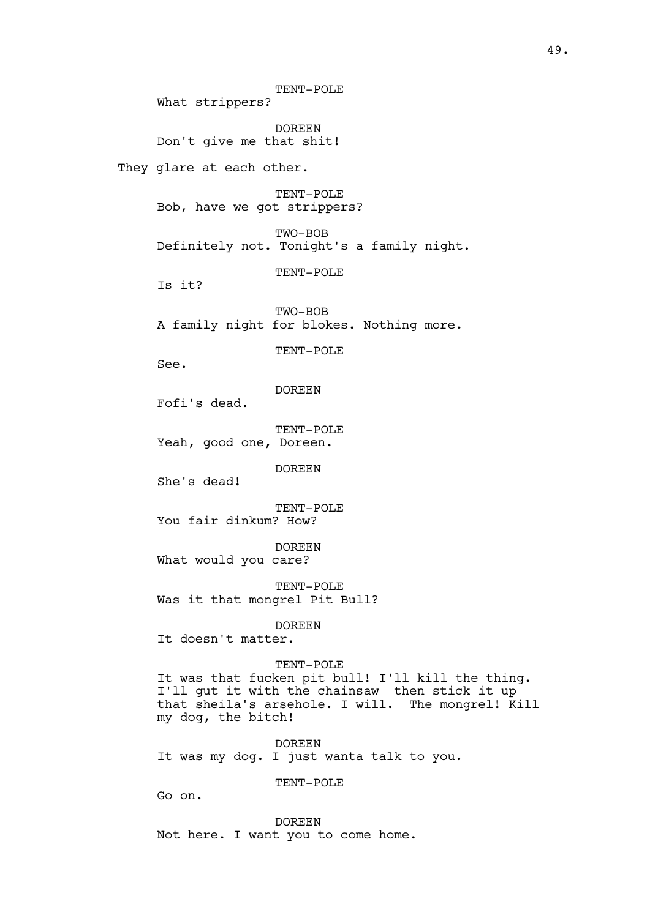TENT-POLE What strippers? DOREEN Don't give me that shit! They glare at each other. TENT-POLE Bob, have we got strippers? TWO-BOB Definitely not. Tonight's a family night. TENT-POLE Is it? TWO-BOB A family night for blokes. Nothing more. TENT-POLE See. DOREEN Fofi's dead. TENT-POLE Yeah, good one, Doreen. DOREEN She's dead! TENT-POLE You fair dinkum? How? DOREEN What would you care? TENT-POLE Was it that mongrel Pit Bull? DOREEN It doesn't matter. TENT-POLE It was that fucken pit bull! I'll kill the thing. I'll gut it with the chainsaw then stick it up that sheila's arsehole. I will. The mongrel! Kill my dog, the bitch! DOREEN It was my dog. I just wanta talk to you. TENT-POLE Go on. DOREEN Not here. I want you to come home.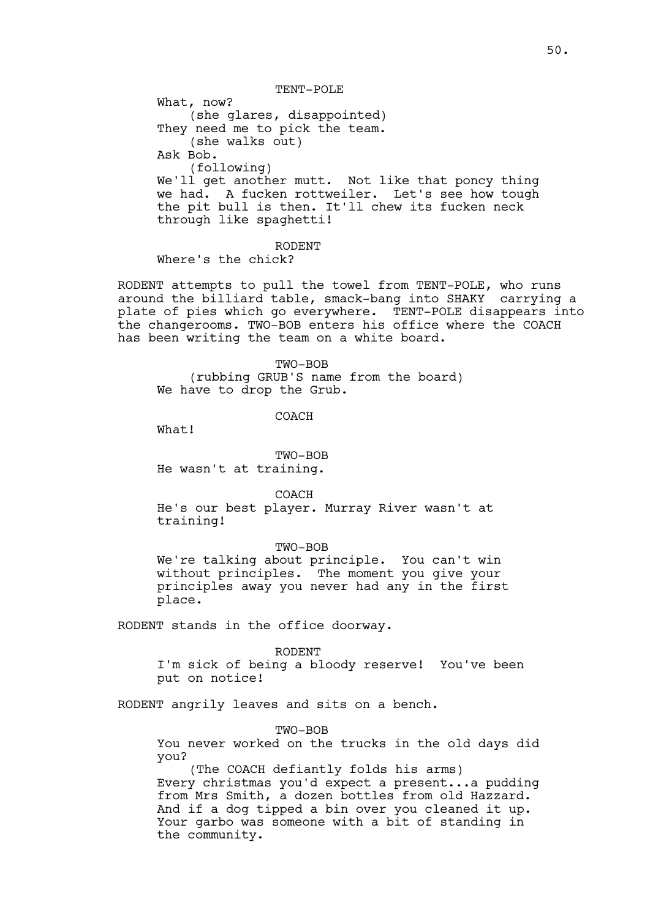TENT-POLE What, now? (she glares, disappointed) They need me to pick the team. (she walks out) Ask Bob. (following) We'll get another mutt. Not like that poncy thing we had. A fucken rottweiler. Let's see how tough the pit bull is then. It'll chew its fucken neck through like spaghetti!

# RODENT

Where's the chick?

RODENT attempts to pull the towel from TENT-POLE, who runs around the billiard table, smack-bang into SHAKY carrying a plate of pies which go everywhere. TENT-POLE disappears into the changerooms. TWO-BOB enters his office where the COACH has been writing the team on a white board.

TWO-BOB (rubbing GRUB'S name from the board) We have to drop the Grub.

COACH

What!

TWO-BOB He wasn't at training.

COACH

He's our best player. Murray River wasn't at training!

TWO-BOB

We're talking about principle. You can't win without principles. The moment you give your principles away you never had any in the first place.

RODENT stands in the office doorway.

RODENT I'm sick of being a bloody reserve! You've been put on notice!

RODENT angrily leaves and sits on a bench.

TWO-BOB

You never worked on the trucks in the old days did you?

(The COACH defiantly folds his arms) Every christmas you'd expect a present...a pudding from Mrs Smith, a dozen bottles from old Hazzard. And if a dog tipped a bin over you cleaned it up. Your garbo was someone with a bit of standing in the community.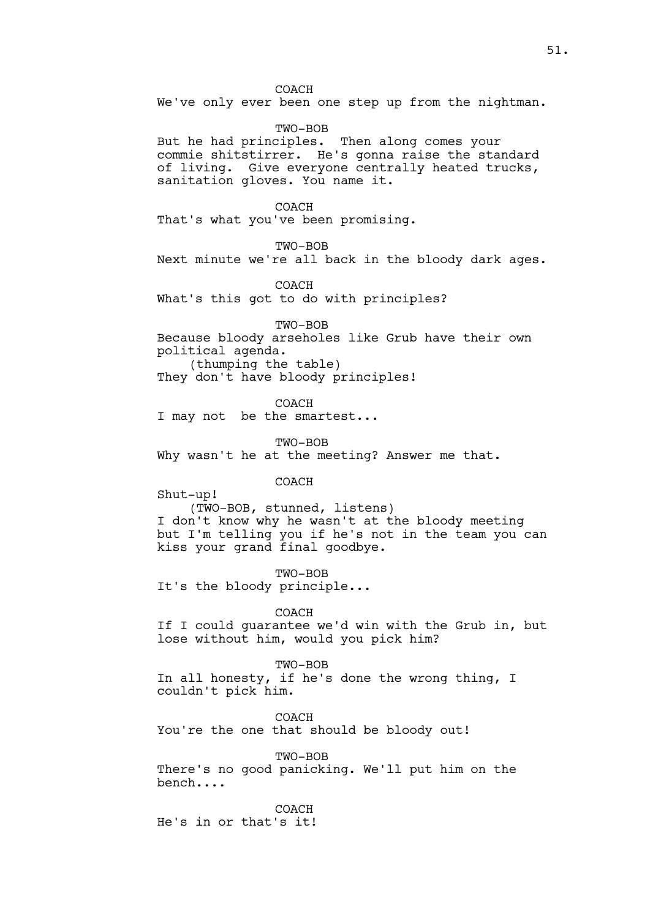COACH We've only ever been one step up from the nightman.

TWO-BOB But he had principles. Then along comes your commie shitstirrer. He's gonna raise the standard of living. Give everyone centrally heated trucks, sanitation gloves. You name it.

COACH That's what you've been promising.

TWO-BOB

Next minute we're all back in the bloody dark ages.

COACH What's this got to do with principles?

TWO-BOB Because bloody arseholes like Grub have their own political agenda. (thumping the table) They don't have bloody principles!

COACH I may not be the smartest...

TWO-BOB

Why wasn't he at the meeting? Answer me that.

COACH

Shut-up!

(TWO-BOB, stunned, listens) I don't know why he wasn't at the bloody meeting but I'm telling you if he's not in the team you can kiss your grand final goodbye.

TWO-BOB It's the bloody principle...

COACH

If I could guarantee we'd win with the Grub in, but lose without him, would you pick him?

TWO-BOB

In all honesty, if he's done the wrong thing, I couldn't pick him.

COACH You're the one that should be bloody out!

TWO-BOB There's no good panicking. We'll put him on the bench....

COACH He's in or that's it!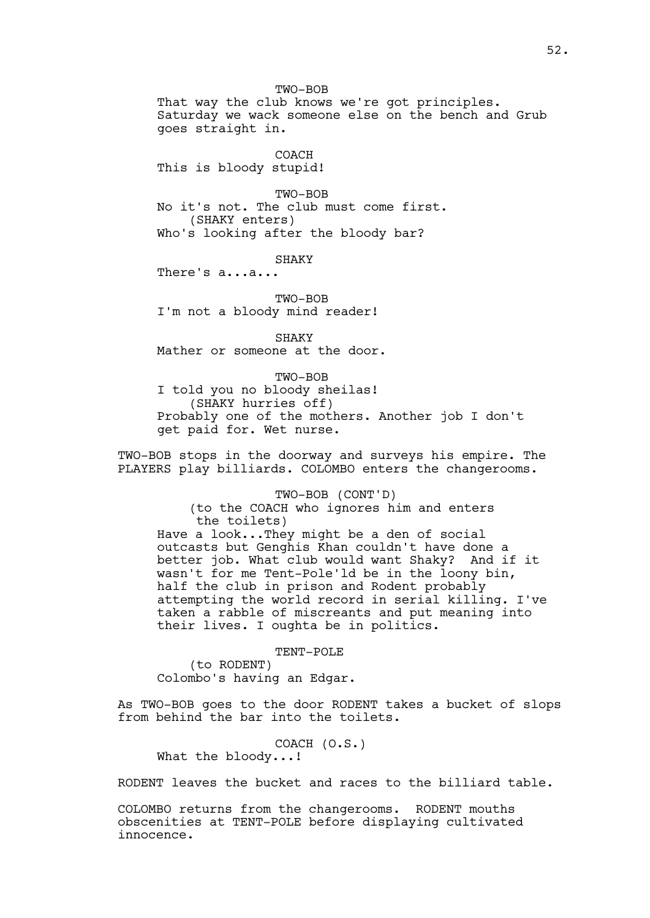TWO-BOB That way the club knows we're got principles. Saturday we wack someone else on the bench and Grub goes straight in.

COACH This is bloody stupid!

TWO-BOB No it's not. The club must come first. (SHAKY enters) Who's looking after the bloody bar?

SHAKY

There's a...a...

TWO-BOB I'm not a bloody mind reader!

SHAKY Mather or someone at the door.

TWO-BOB I told you no bloody sheilas! (SHAKY hurries off) Probably one of the mothers. Another job I don't get paid for. Wet nurse.

TWO-BOB stops in the doorway and surveys his empire. The PLAYERS play billiards. COLOMBO enters the changerooms.

TWO-BOB (CONT'D)

(to the COACH who ignores him and enters the toilets)

Have a look...They might be a den of social outcasts but Genghis Khan couldn't have done a better job. What club would want Shaky? And if it wasn't for me Tent-Pole'ld be in the loony bin, half the club in prison and Rodent probably attempting the world record in serial killing. I've taken a rabble of miscreants and put meaning into their lives. I oughta be in politics.

TENT-POLE

(to RODENT) Colombo's having an Edgar.

As TWO-BOB goes to the door RODENT takes a bucket of slops from behind the bar into the toilets.

COACH (O.S.) What the bloody...!

RODENT leaves the bucket and races to the billiard table.

COLOMBO returns from the changerooms. RODENT mouths obscenities at TENT-POLE before displaying cultivated innocence.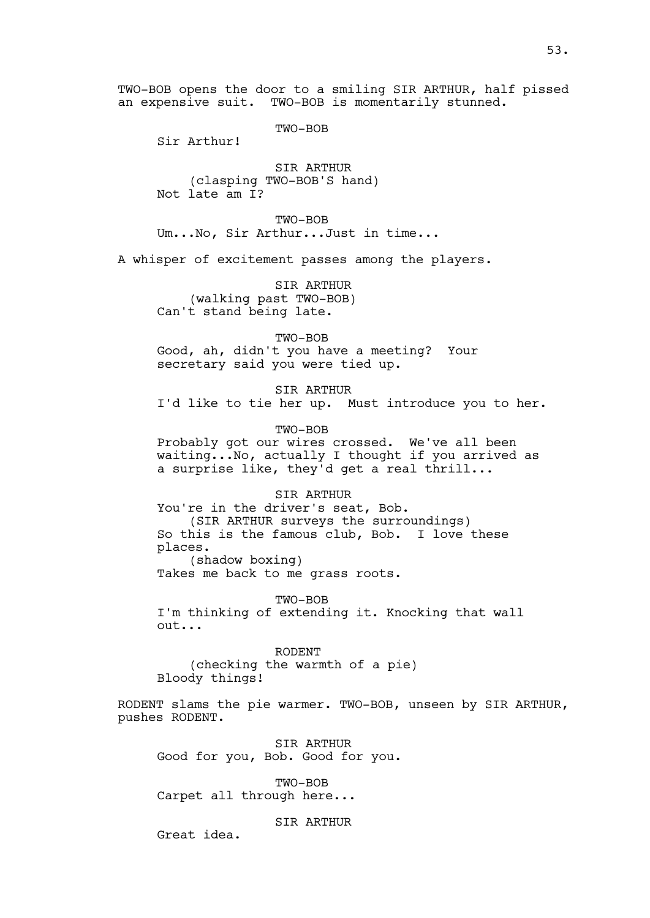TWO-BOB

an expensive suit. TWO-BOB is momentarily stunned.

Sir Arthur!

SIR ARTHUR (clasping TWO-BOB'S hand) Not late am I?

TWO-BOB Um...No, Sir Arthur...Just in time...

A whisper of excitement passes among the players.

SIR ARTHUR (walking past TWO-BOB) Can't stand being late.

TWO-BOB

Good, ah, didn't you have a meeting? Your secretary said you were tied up.

SIR ARTHUR I'd like to tie her up. Must introduce you to her.

TWO-BOB

Probably got our wires crossed. We've all been waiting...No, actually I thought if you arrived as a surprise like, they'd get a real thrill...

SIR ARTHUR You're in the driver's seat, Bob. (SIR ARTHUR surveys the surroundings) So this is the famous club, Bob. I love these places. (shadow boxing) Takes me back to me grass roots.

TWO-BOB I'm thinking of extending it. Knocking that wall out...

RODENT (checking the warmth of a pie) Bloody things!

RODENT slams the pie warmer. TWO-BOB, unseen by SIR ARTHUR, pushes RODENT.

SIR ARTHUR Good for you, Bob. Good for you.

TWO-BOB Carpet all through here...

SIR ARTHUR

Great idea.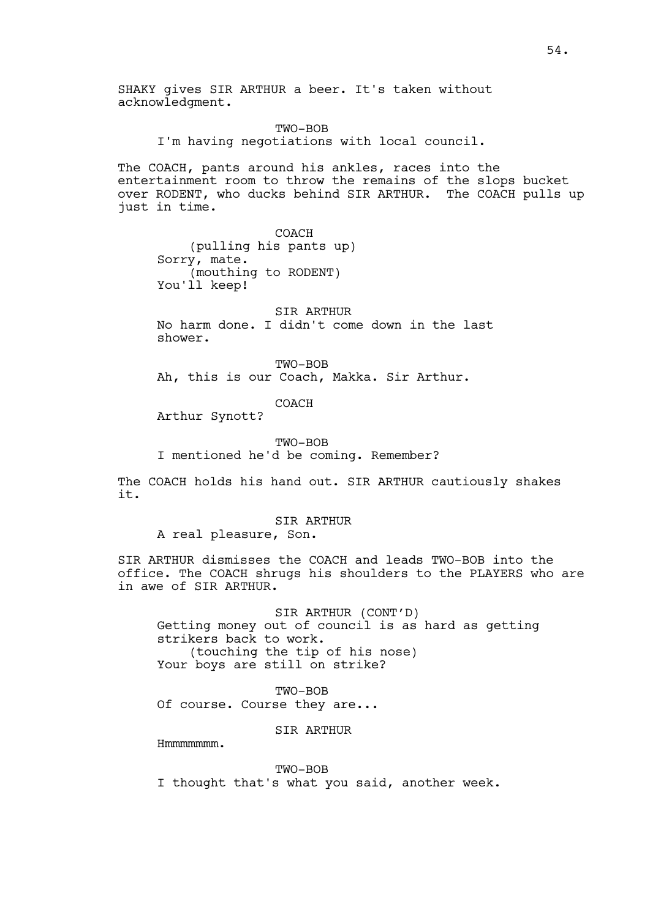SHAKY gives SIR ARTHUR a beer. It's taken without acknowledgment.

> TWO-BOB I'm having negotiations with local council.

The COACH, pants around his ankles, races into the entertainment room to throw the remains of the slops bucket over RODENT, who ducks behind SIR ARTHUR. The COACH pulls up just in time.

COACH (pulling his pants up) Sorry, mate. (mouthing to RODENT) You'll keep!

SIR ARTHUR No harm done. I didn't come down in the last shower.

TWO-BOB Ah, this is our Coach, Makka. Sir Arthur.

COACH

Arthur Synott?

TWO-BOB I mentioned he'd be coming. Remember?

The COACH holds his hand out. SIR ARTHUR cautiously shakes it.

### SIR ARTHUR

A real pleasure, Son.

SIR ARTHUR dismisses the COACH and leads TWO-BOB into the office. The COACH shrugs his shoulders to the PLAYERS who are in awe of SIR ARTHUR.

SIR ARTHUR (CONT'D) Getting money out of council is as hard as getting strikers back to work. (touching the tip of his nose) Your boys are still on strike?

TWO-BOB Of course. Course they are...

SIR ARTHUR

Hmmmmmmm.

TWO-BOB I thought that's what you said, another week.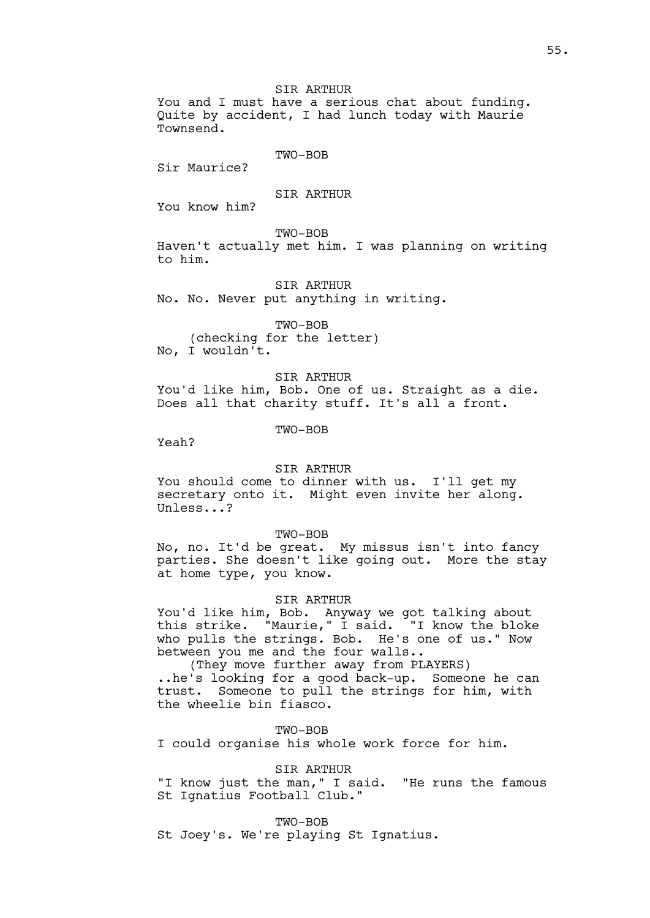You and I must have a serious chat about funding. Quite by accident, I had lunch today with Maurie Townsend.

### TWO-BOB

Sir Maurice?

# SIR ARTHUR

You know him?

TWO-BOB

Haven't actually met him. I was planning on writing to him.

SIR ARTHUR No. No. Never put anything in writing.

TWO-BOB (checking for the letter) No, I wouldn't.

### SIR ARTHUR

You'd like him, Bob. One of us. Straight as a die. Does all that charity stuff. It's all a front.

TWO-BOB

Yeah?

#### SIR ARTHUR

You should come to dinner with us. I'll get my secretary onto it. Might even invite her along. Unless...?

TWO-BOB

No, no. It'd be great. My missus isn't into fancy parties. She doesn't like going out. More the stay at home type, you know.

### SIR ARTHUR

You'd like him, Bob. Anyway we got talking about this strike. "Maurie," I said. "I know the bloke who pulls the strings. Bob. He's one of us." Now between you me and the four walls..

(They move further away from PLAYERS) ..he's looking for a good back-up. Someone he can trust. Someone to pull the strings for him, with the wheelie bin fiasco.

TWO-BOB I could organise his whole work force for him.

SIR ARTHUR

"I know just the man," I said. "He runs the famous St Ignatius Football Club."

TWO-BOB

St Joey's. We're playing St Ignatius.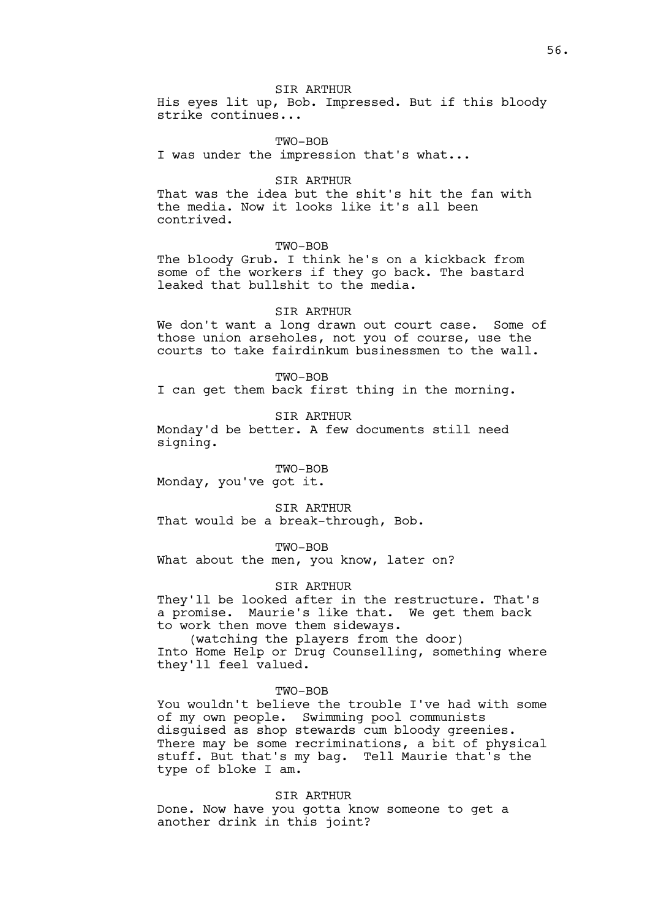His eyes lit up, Bob. Impressed. But if this bloody strike continues...

### TWO-BOB

I was under the impression that's what...

#### SIR ARTHUR

That was the idea but the shit's hit the fan with the media. Now it looks like it's all been contrived.

TWO-BOB

The bloody Grub. I think he's on a kickback from some of the workers if they go back. The bastard leaked that bullshit to the media.

### SIR ARTHUR

We don't want a long drawn out court case. Some of those union arseholes, not you of course, use the courts to take fairdinkum businessmen to the wall.

TWO-BOB

I can get them back first thing in the morning.

SIR ARTHUR

Monday'd be better. A few documents still need signing.

TWO-BOB Monday, you've got it.

SIR ARTHUR That would be a break-through, Bob.

TWO-BOB

What about the men, you know, later on?

SIR ARTHUR

They'll be looked after in the restructure. That's a promise. Maurie's like that. We get them back to work then move them sideways.

(watching the players from the door) Into Home Help or Drug Counselling, something where they'll feel valued.

#### TWO-BOB

You wouldn't believe the trouble I've had with some of my own people. Swimming pool communists disguised as shop stewards cum bloody greenies. There may be some recriminations, a bit of physical stuff. But that's my bag. Tell Maurie that's the type of bloke I am.

SIR ARTHUR

Done. Now have you gotta know someone to get a another drink in this joint?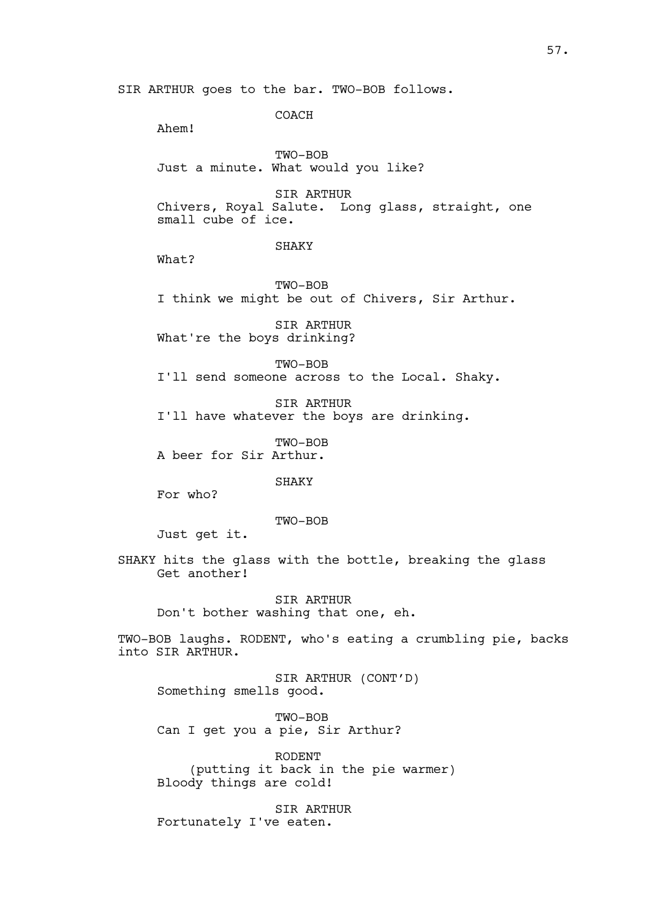COACH

Ahem!

TWO-BOB Just a minute. What would you like?

SIR ARTHUR Chivers, Royal Salute. Long glass, straight, one small cube of ice.

SHAKY

What?

TWO-BOB I think we might be out of Chivers, Sir Arthur.

SIR ARTHUR What're the boys drinking?

TWO-BOB I'll send someone across to the Local. Shaky.

SIR ARTHUR I'll have whatever the boys are drinking.

TWO-BOB A beer for Sir Arthur.

SHAKY

For who?

TWO-BOB

Just get it.

SHAKY hits the glass with the bottle, breaking the glass Get another!

SIR ARTHUR Don't bother washing that one, eh.

TWO-BOB laughs. RODENT, who's eating a crumbling pie, backs into SIR ARTHUR.

SIR ARTHUR (CONT'D) Something smells good.

TWO-BOB Can I get you a pie, Sir Arthur?

RODENT (putting it back in the pie warmer) Bloody things are cold!

SIR ARTHUR Fortunately I've eaten.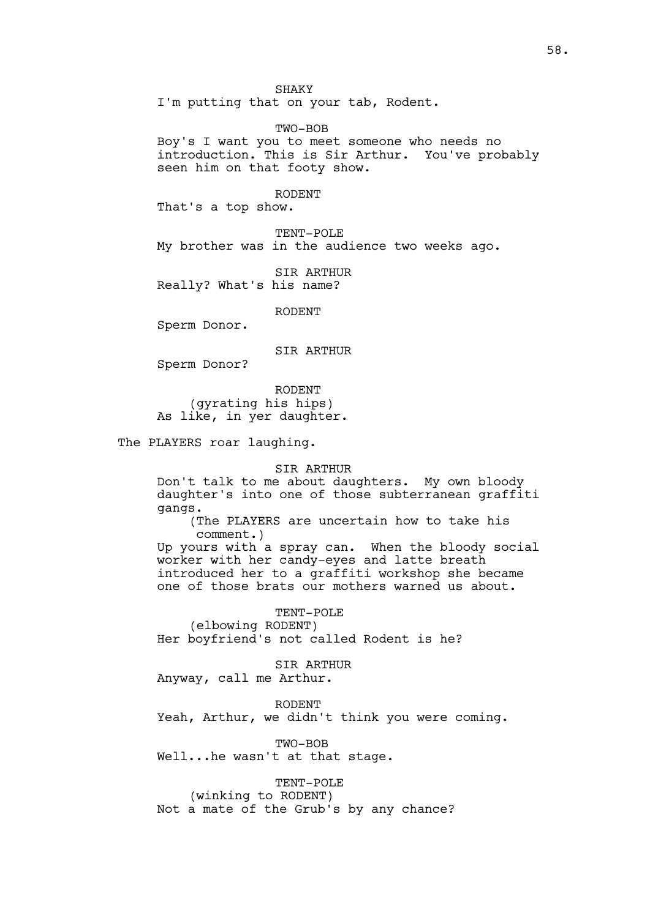SHAKY

I'm putting that on your tab, Rodent.

TWO-BOB

Boy's I want you to meet someone who needs no introduction. This is Sir Arthur. You've probably seen him on that footy show.

### RODENT

That's a top show.

TENT-POLE My brother was in the audience two weeks ago.

SIR ARTHUR Really? What's his name?

RODENT

Sperm Donor.

SIR ARTHUR

Sperm Donor?

RODENT (gyrating his hips) As like, in yer daughter.

The PLAYERS roar laughing.

#### SIR ARTHUR

Don't talk to me about daughters. My own bloody daughter's into one of those subterranean graffiti gangs.

(The PLAYERS are uncertain how to take his comment.)

Up yours with a spray can. When the bloody social worker with her candy-eyes and latte breath introduced her to a graffiti workshop she became one of those brats our mothers warned us about.

TENT-POLE

(elbowing RODENT)

Her boyfriend's not called Rodent is he?

SIR ARTHUR

Anyway, call me Arthur.

RODENT Yeah, Arthur, we didn't think you were coming.

TWO-BOB Well...he wasn't at that stage.

TENT-POLE (winking to RODENT) Not a mate of the Grub's by any chance?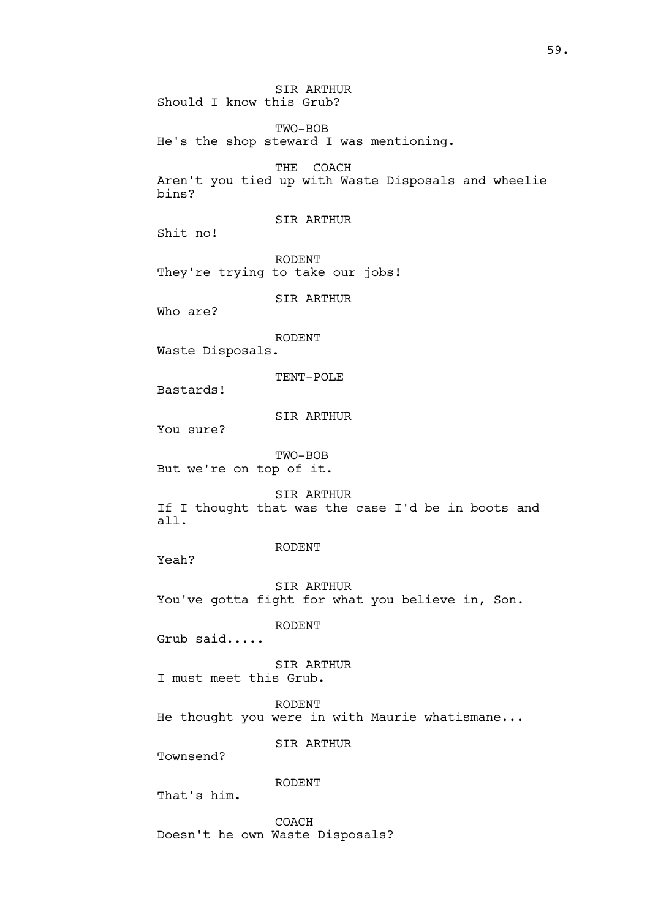SIR ARTHUR Should I know this Grub?

TWO-BOB He's the shop steward I was mentioning.

THE COACH Aren't you tied up with Waste Disposals and wheelie bins?

SIR ARTHUR

Shit no!

RODENT They're trying to take our jobs!

SIR ARTHUR

Who are?

RODENT

Waste Disposals.

TENT-POLE

Bastards!

SIR ARTHUR

You sure?

TWO-BOB But we're on top of it.

SIR ARTHUR If I thought that was the case I'd be in boots and all.

RODENT

Yeah?

SIR ARTHUR You've gotta fight for what you believe in, Son.

RODENT

Grub said.....

SIR ARTHUR I must meet this Grub.

RODENT He thought you were in with Maurie whatismane...

SIR ARTHUR

Townsend?

RODENT

That's him.

COACH Doesn't he own Waste Disposals?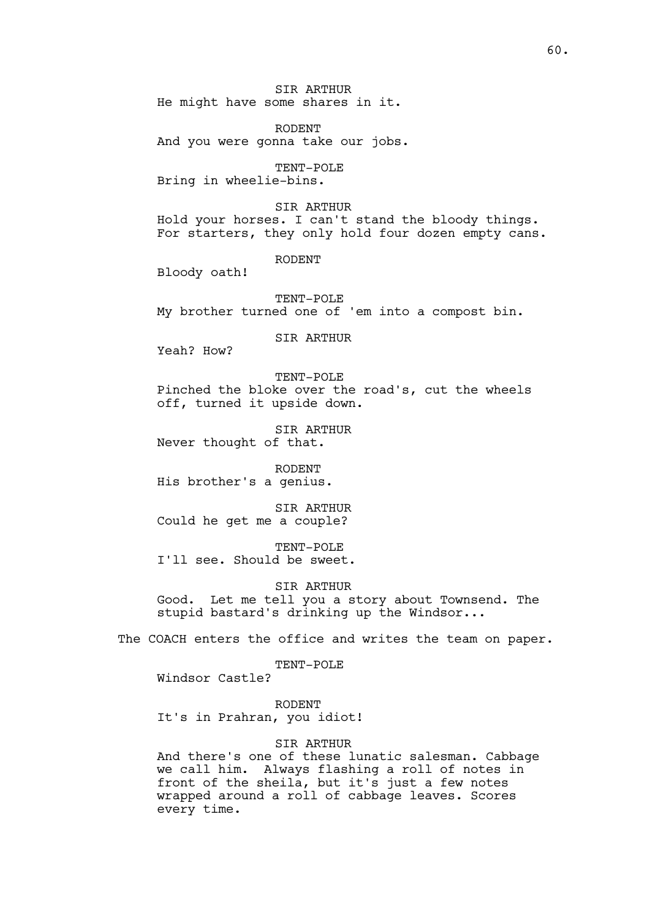SIR ARTHUR He might have some shares in it.

RODENT And you were gonna take our jobs.

TENT-POLE Bring in wheelie-bins.

SIR ARTHUR Hold your horses. I can't stand the bloody things. For starters, they only hold four dozen empty cans.

RODENT

Bloody oath!

TENT-POLE My brother turned one of 'em into a compost bin.

SIR ARTHUR

Yeah? How?

TENT-POLE Pinched the bloke over the road's, cut the wheels off, turned it upside down.

SIR ARTHUR Never thought of that.

RODENT His brother's a genius.

SIR ARTHUR Could he get me a couple?

TENT-POLE I'll see. Should be sweet.

SIR ARTHUR

Good. Let me tell you a story about Townsend. The stupid bastard's drinking up the Windsor...

The COACH enters the office and writes the team on paper.

TENT-POLE

Windsor Castle?

RODENT It's in Prahran, you idiot!

SIR ARTHUR

And there's one of these lunatic salesman. Cabbage we call him. Always flashing a roll of notes in front of the sheila, but it's just a few notes wrapped around a roll of cabbage leaves. Scores every time.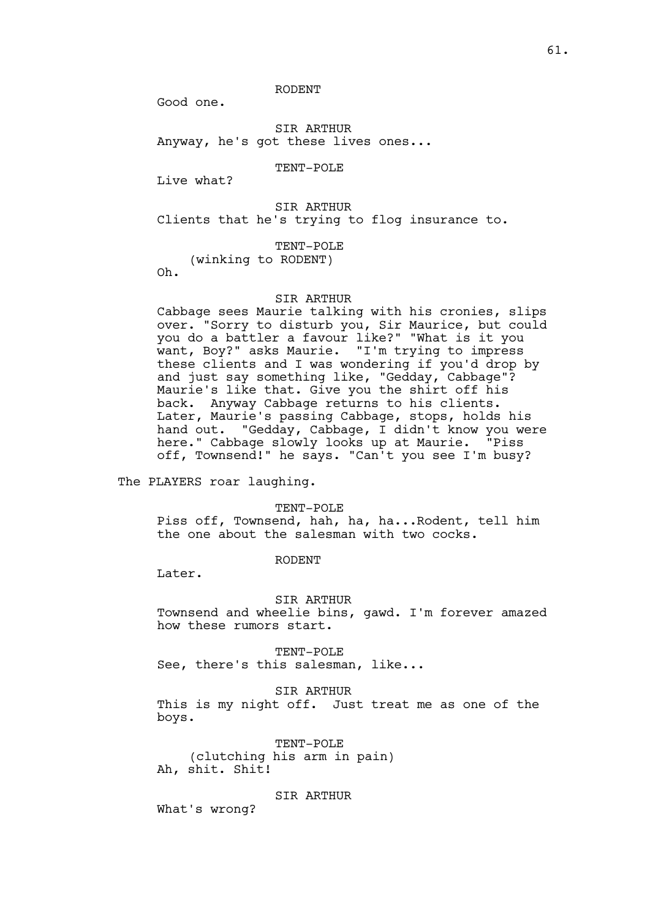RODENT

Good one.

SIR ARTHUR Anyway, he's got these lives ones...

TENT-POLE

Live what?

SIR ARTHUR Clients that he's trying to flog insurance to.

TENT-POLE

(winking to RODENT) Oh.

SIR ARTHUR

Cabbage sees Maurie talking with his cronies, slips over. "Sorry to disturb you, Sir Maurice, but could you do a battler a favour like?" "What is it you want, Boy?" asks Maurie. "I'm trying to impress these clients and I was wondering if you'd drop by and just say something like, "Gedday, Cabbage"? Maurie's like that. Give you the shirt off his back. Anyway Cabbage returns to his clients. Later, Maurie's passing Cabbage, stops, holds his hand out. "Gedday, Cabbage, I didn't know you were here." Cabbage slowly looks up at Maurie. "Piss off, Townsend!" he says. "Can't you see I'm busy?

The PLAYERS roar laughing.

TENT-POLE

Piss off, Townsend, hah, ha, ha...Rodent, tell him the one about the salesman with two cocks.

RODENT

Later.

SIR ARTHUR

Townsend and wheelie bins, gawd. I'm forever amazed how these rumors start.

TENT-POLE See, there's this salesman, like...

SIR ARTHUR

This is my night off. Just treat me as one of the boys.

TENT-POLE (clutching his arm in pain) Ah, shit. Shit!

SIR ARTHUR

What's wrong?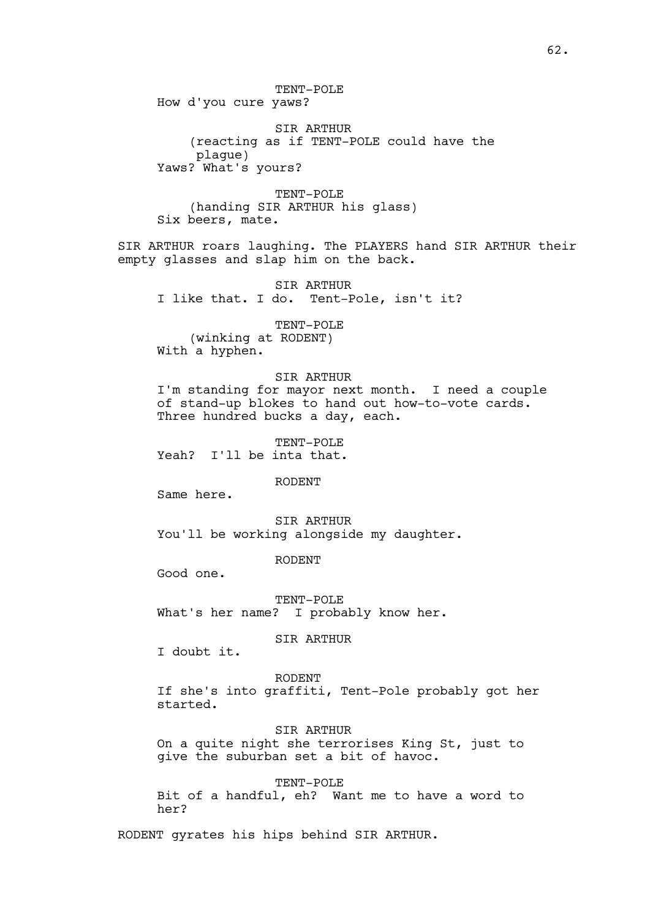TENT-POLE How d'you cure yaws?

SIR ARTHUR (reacting as if TENT-POLE could have the plague) Yaws? What's yours?

TENT-POLE (handing SIR ARTHUR his glass) Six beers, mate.

SIR ARTHUR roars laughing. The PLAYERS hand SIR ARTHUR their empty glasses and slap him on the back.

SIR ARTHUR I like that. I do. Tent-Pole, isn't it?

TENT-POLE (winking at RODENT) With a hyphen.

### SIR ARTHUR

I'm standing for mayor next month. I need a couple of stand-up blokes to hand out how-to-vote cards. Three hundred bucks a day, each.

TENT-POLE Yeah? I'll be inta that.

RODENT

Same here.

SIR ARTHUR You'll be working alongside my daughter.

RODENT

Good one.

TENT-POLE What's her name? I probably know her.

SIR ARTHUR

I doubt it.

RODENT

If she's into graffiti, Tent-Pole probably got her started.

SIR ARTHUR

On a quite night she terrorises King St, just to give the suburban set a bit of havoc.

TENT-POLE

Bit of a handful, eh? Want me to have a word to her?

RODENT gyrates his hips behind SIR ARTHUR.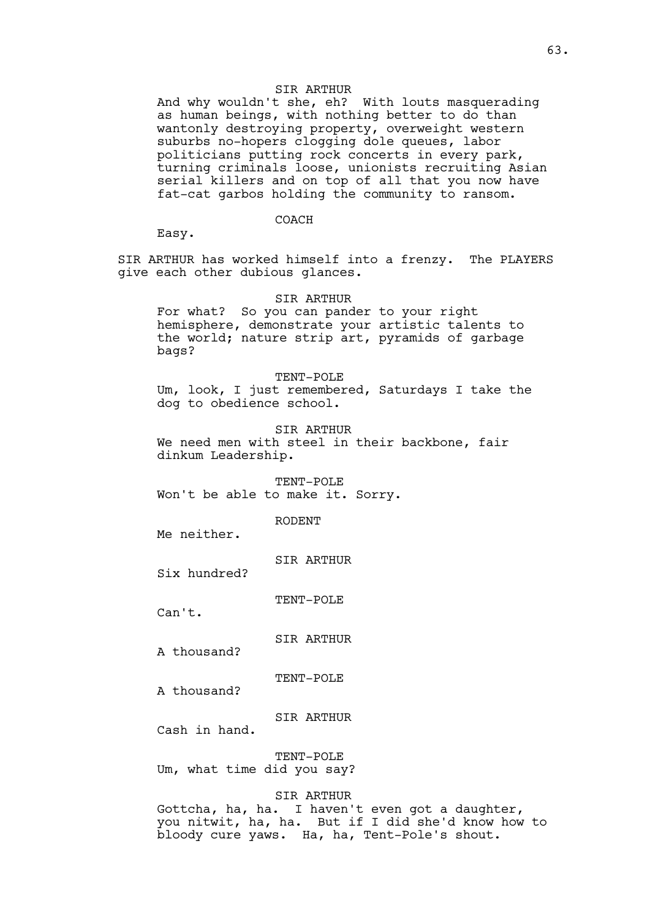#### SIR ARTHUR

And why wouldn't she, eh? With louts masquerading as human beings, with nothing better to do than wantonly destroying property, overweight western suburbs no-hopers clogging dole queues, labor politicians putting rock concerts in every park, turning criminals loose, unionists recruiting Asian serial killers and on top of all that you now have fat-cat garbos holding the community to ransom.

### COACH

Easy.

SIR ARTHUR has worked himself into a frenzy. The PLAYERS give each other dubious glances.

SIR ARTHUR

For what? So you can pander to your right hemisphere, demonstrate your artistic talents to the world; nature strip art, pyramids of garbage bags?

TENT-POLE Um, look, I just remembered, Saturdays I take the dog to obedience school.

SIR ARTHUR

We need men with steel in their backbone, fair dinkum Leadership.

TENT-POLE Won't be able to make it. Sorry.

RODENT

Me neither.

SIR ARTHUR

Six hundred?

TENT-POLE

Can't.

SIR ARTHUR

A thousand?

TENT-POLE

A thousand?

SIR ARTHUR

Cash in hand.

TENT-POLE Um, what time did you say?

SIR ARTHUR

Gottcha, ha, ha. I haven't even got a daughter, you nitwit, ha, ha. But if I did she'd know how to bloody cure yaws. Ha, ha, Tent-Pole's shout.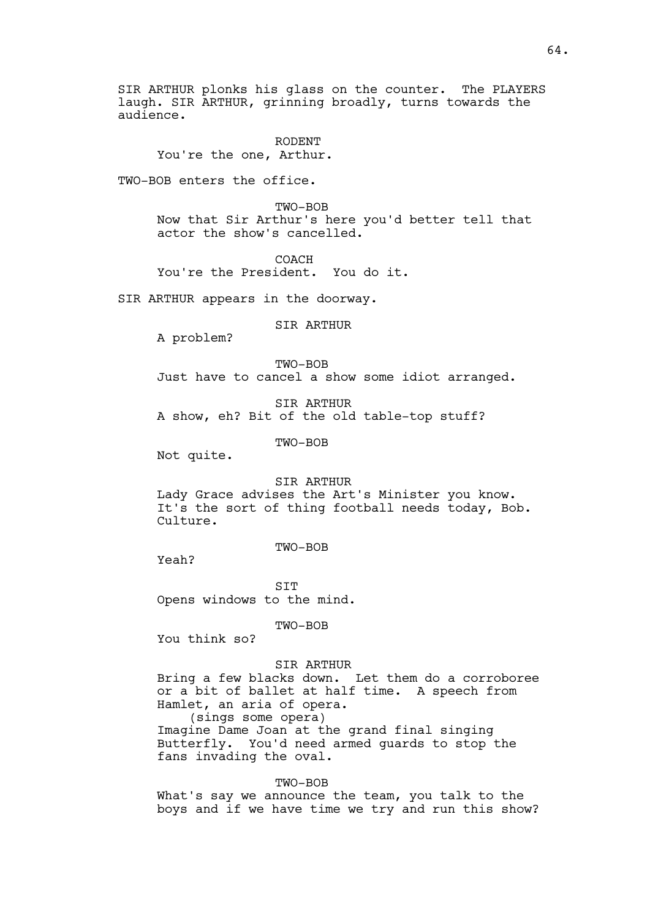SIR ARTHUR plonks his glass on the counter. The PLAYERS laugh. SIR ARTHUR, grinning broadly, turns towards the audience.

RODENT You're the one, Arthur.

TWO-BOB enters the office.

TWO-BOB Now that Sir Arthur's here you'd better tell that actor the show's cancelled.

COACH

You're the President. You do it.

SIR ARTHUR appears in the doorway.

SIR ARTHUR

A problem?

TWO-BOB Just have to cancel a show some idiot arranged.

SIR ARTHUR A show, eh? Bit of the old table-top stuff?

TWO-BOB

Not quite.

SIR ARTHUR

Lady Grace advises the Art's Minister you know. It's the sort of thing football needs today, Bob. Culture.

TWO-BOB

Yeah?

SIT Opens windows to the mind.

TWO-BOB

You think so?

SIR ARTHUR

Bring a few blacks down. Let them do a corroboree or a bit of ballet at half time. A speech from Hamlet, an aria of opera. (sings some opera) Imagine Dame Joan at the grand final singing Butterfly. You'd need armed guards to stop the fans invading the oval.

TWO-BOB What's say we announce the team, you talk to the boys and if we have time we try and run this show?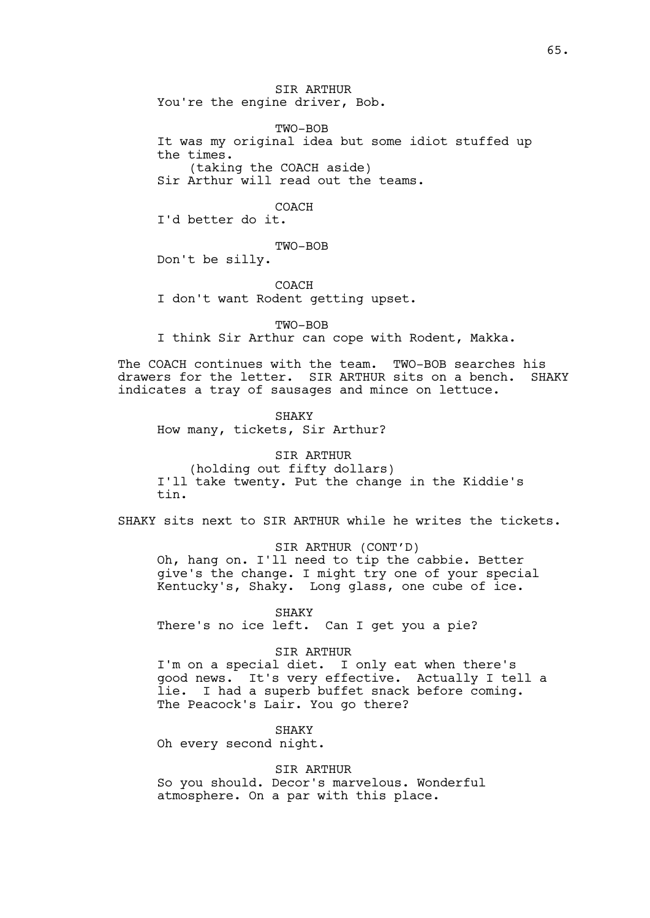SIR ARTHUR You're the engine driver, Bob.

TWO-BOB It was my original idea but some idiot stuffed up the times. (taking the COACH aside) Sir Arthur will read out the teams.

COACH

I'd better do it.

TWO-BOB

Don't be silly.

COACH I don't want Rodent getting upset.

TWO-BOB I think Sir Arthur can cope with Rodent, Makka.

The COACH continues with the team. TWO-BOB searches his drawers for the letter. SIR ARTHUR sits on a bench. SHAKY indicates a tray of sausages and mince on lettuce.

SHAKY How many, tickets, Sir Arthur?

SIR ARTHUR (holding out fifty dollars) I'll take twenty. Put the change in the Kiddie's tin.

SHAKY sits next to SIR ARTHUR while he writes the tickets.

SIR ARTHUR (CONT'D) Oh, hang on. I'll need to tip the cabbie. Better

give's the change. I might try one of your special Kentucky's, Shaky. Long glass, one cube of ice.

SHAKY

There's no ice left. Can I get you a pie?

SIR ARTHUR

I'm on a special diet. I only eat when there's good news. It's very effective. Actually I tell a lie. I had a superb buffet snack before coming. The Peacock's Lair. You go there?

SHAKY

Oh every second night.

SIR ARTHUR

So you should. Decor's marvelous. Wonderful atmosphere. On a par with this place.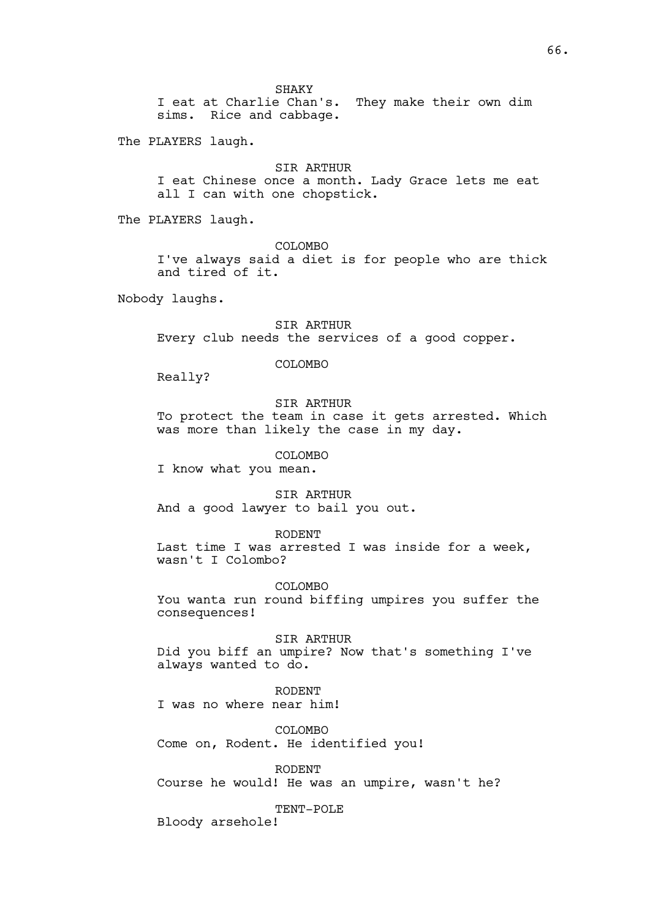SHAKY

I eat at Charlie Chan's. They make their own dim sims. Rice and cabbage.

The PLAYERS laugh.

SIR ARTHUR

I eat Chinese once a month. Lady Grace lets me eat all I can with one chopstick.

The PLAYERS laugh.

COLOMBO

I've always said a diet is for people who are thick and tired of it.

Nobody laughs.

SIR ARTHUR Every club needs the services of a good copper.

COLOMBO

Really?

SIR ARTHUR

To protect the team in case it gets arrested. Which was more than likely the case in my day.

COLOMBO

I know what you mean.

SIR ARTHUR And a good lawyer to bail you out.

RODENT

Last time I was arrested I was inside for a week, wasn't I Colombo?

COLOMBO

You wanta run round biffing umpires you suffer the consequences!

SIR ARTHUR Did you biff an umpire? Now that's something I've always wanted to do.

RODENT I was no where near him!

COLOMBO Come on, Rodent. He identified you!

RODENT Course he would! He was an umpire, wasn't he?

TENT-POLE

Bloody arsehole!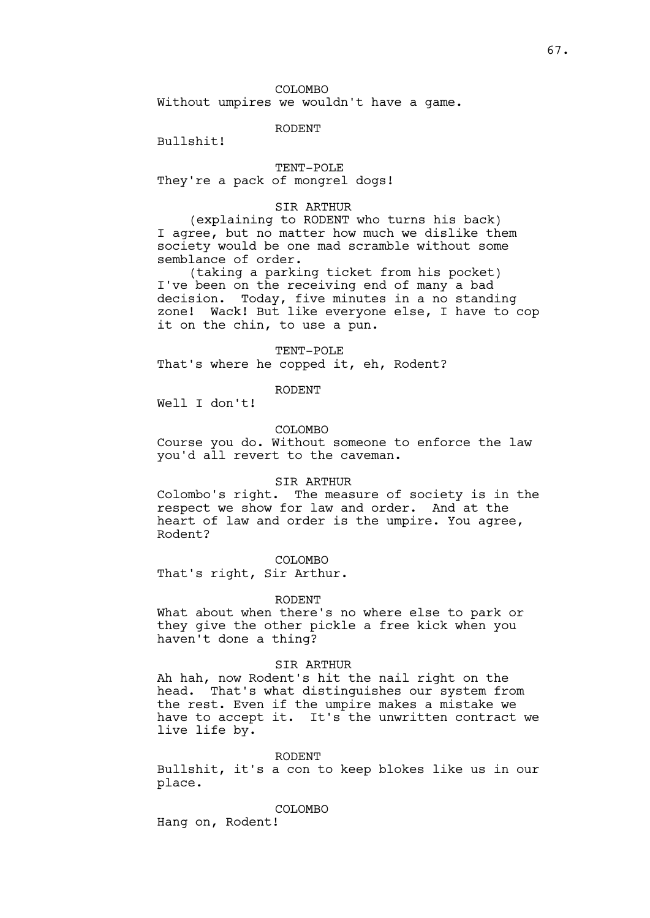COLOMBO Without umpires we wouldn't have a game.

### RODENT

Bullshit!

TENT-POLE

They're a pack of mongrel dogs!

### SIR ARTHUR

(explaining to RODENT who turns his back) I agree, but no matter how much we dislike them society would be one mad scramble without some semblance of order.

(taking a parking ticket from his pocket) I've been on the receiving end of many a bad decision. Today, five minutes in a no standing zone! Wack! But like everyone else, I have to cop it on the chin, to use a pun.

TENT-POLE

That's where he copped it, eh, Rodent?

RODENT

Well I don't!

# COLOMBO

Course you do. Without someone to enforce the law you'd all revert to the caveman.

# SIR ARTHUR

Colombo's right. The measure of society is in the respect we show for law and order. And at the heart of law and order is the umpire. You agree, Rodent?

COLOMBO

That's right, Sir Arthur.

#### RODENT

What about when there's no where else to park or they give the other pickle a free kick when you haven't done a thing?

### SIR ARTHUR

Ah hah, now Rodent's hit the nail right on the head. That's what distinguishes our system from the rest. Even if the umpire makes a mistake we have to accept it. It's the unwritten contract we live life by.

#### RODENT

Bullshit, it's a con to keep blokes like us in our place.

COLOMBO

Hang on, Rodent!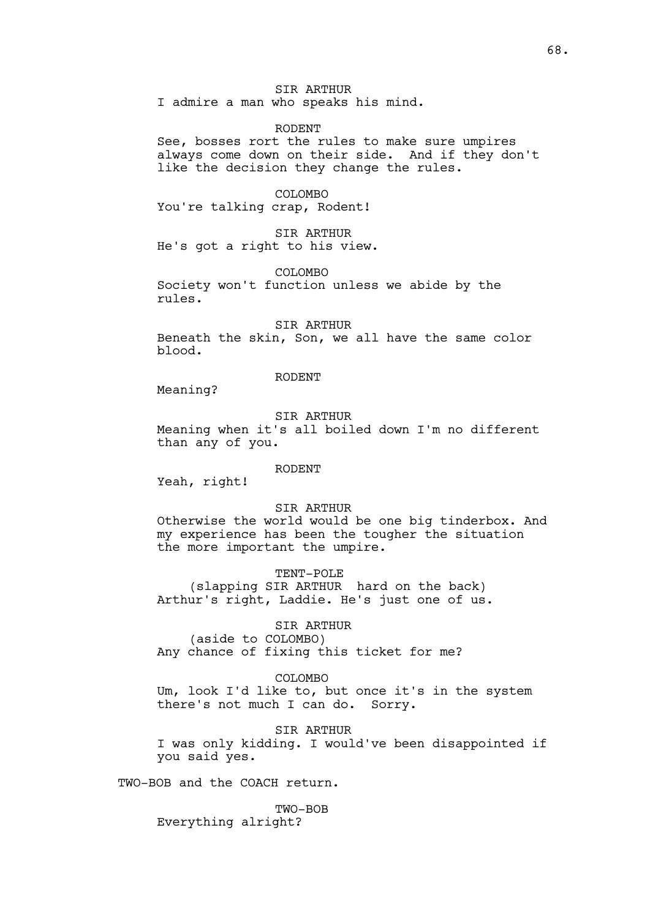SIR ARTHUR I admire a man who speaks his mind.

RODENT

See, bosses rort the rules to make sure umpires always come down on their side. And if they don't like the decision they change the rules.

COLOMBO You're talking crap, Rodent!

SIR ARTHUR He's got a right to his view.

COLOMBO Society won't function unless we abide by the

rules.

SIR ARTHUR

Beneath the skin, Son, we all have the same color blood.

### RODENT

Meaning?

#### SIR ARTHUR

Meaning when it's all boiled down I'm no different than any of you.

### RODENT

Yeah, right!

### SIR ARTHUR

Otherwise the world would be one big tinderbox. And my experience has been the tougher the situation the more important the umpire.

TENT-POLE

(slapping SIR ARTHUR hard on the back) Arthur's right, Laddie. He's just one of us.

SIR ARTHUR

(aside to COLOMBO) Any chance of fixing this ticket for me?

COLOMBO Um, look I'd like to, but once it's in the system there's not much I can do. Sorry.

SIR ARTHUR I was only kidding. I would've been disappointed if you said yes.

TWO-BOB and the COACH return.

TWO-BOB Everything alright?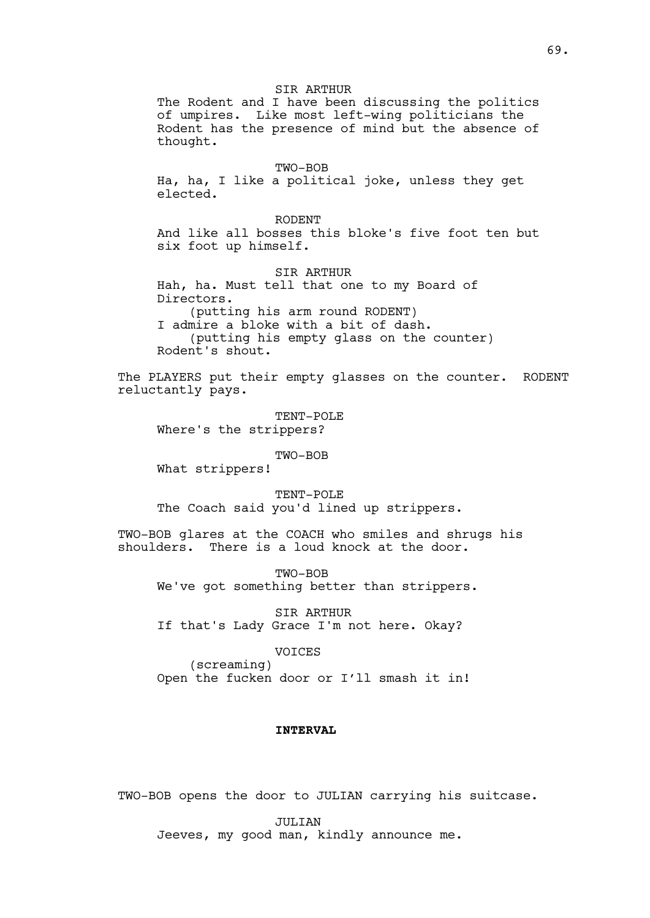SIR ARTHUR The Rodent and I have been discussing the politics of umpires. Like most left-wing politicians the Rodent has the presence of mind but the absence of thought.

TWO-BOB Ha, ha, I like a political joke, unless they get elected.

RODENT

And like all bosses this bloke's five foot ten but six foot up himself.

SIR ARTHUR Hah, ha. Must tell that one to my Board of Directors. (putting his arm round RODENT) I admire a bloke with a bit of dash. (putting his empty glass on the counter) Rodent's shout.

The PLAYERS put their empty glasses on the counter. RODENT reluctantly pays.

TENT-POLE Where's the strippers?

TWO-BOB

What strippers!

TENT-POLE The Coach said you'd lined up strippers.

TWO-BOB glares at the COACH who smiles and shrugs his shoulders. There is a loud knock at the door.

TWO-BOB We've got something better than strippers.

SIR ARTHUR If that's Lady Grace I'm not here. Okay?

> VOICES (screaming)

Open the fucken door or I'll smash it in!

### **INTERVAL**

TWO-BOB opens the door to JULIAN carrying his suitcase.

JULIAN Jeeves, my good man, kindly announce me.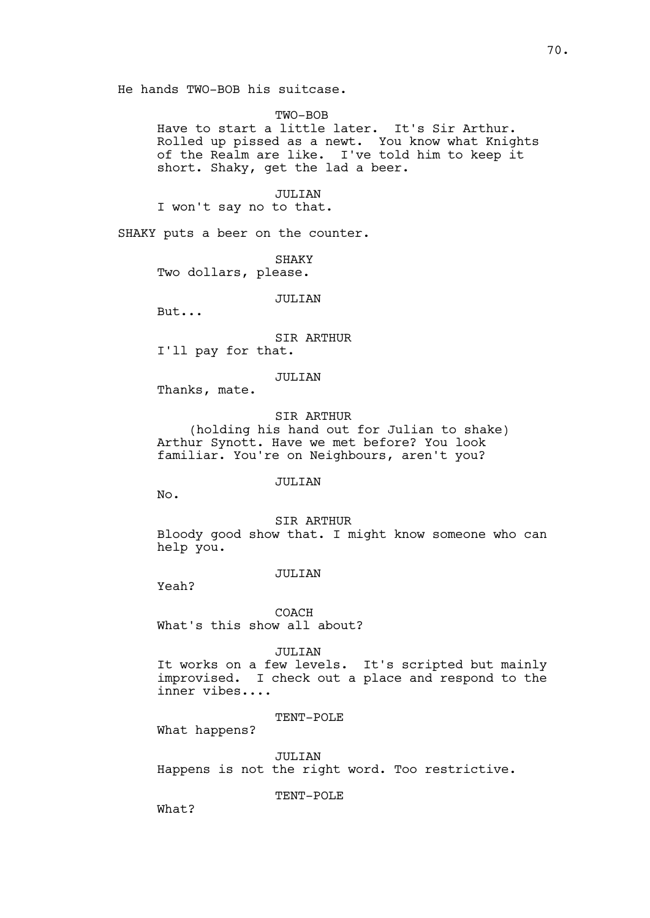## TWO-BOB

Have to start a little later. It's Sir Arthur. Rolled up pissed as a newt. You know what Knights of the Realm are like. I've told him to keep it short. Shaky, get the lad a beer.

JULIAN I won't say no to that.

SHAKY puts a beer on the counter.

SHAKY Two dollars, please.

#### JULIAN

But...

### SIR ARTHUR

I'll pay for that.

# JULIAN

Thanks, mate.

#### SIR ARTHUR

(holding his hand out for Julian to shake) Arthur Synott. Have we met before? You look familiar. You're on Neighbours, aren't you?

### JULIAN

No.

SIR ARTHUR

Bloody good show that. I might know someone who can help you.

# JULIAN

Yeah?

COACH What's this show all about?

### JULIAN

It works on a few levels. It's scripted but mainly improvised. I check out a place and respond to the inner vibes....

### TENT-POLE

What happens?

JULIAN

Happens is not the right word. Too restrictive.

TENT-POLE

What?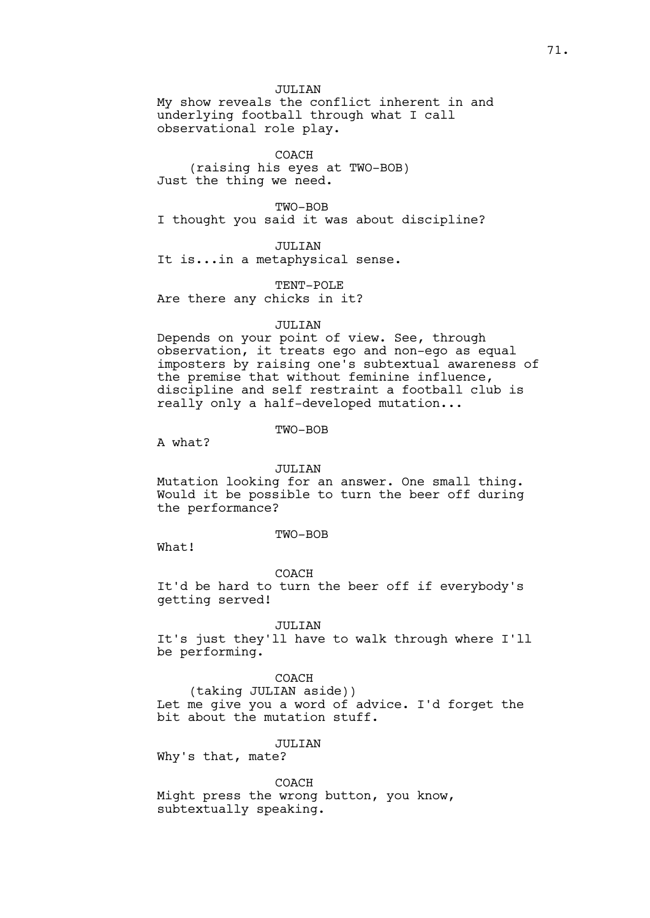JULIAN

My show reveals the conflict inherent in and underlying football through what I call observational role play.

COACH (raising his eyes at TWO-BOB) Just the thing we need.

TWO-BOB I thought you said it was about discipline?

JULIAN It is...in a metaphysical sense.

TENT-POLE Are there any chicks in it?

#### JULIAN

Depends on your point of view. See, through observation, it treats ego and non-ego as equal imposters by raising one's subtextual awareness of the premise that without feminine influence, discipline and self restraint a football club is really only a half-developed mutation...

TWO-BOB

A what?

#### JULIAN

Mutation looking for an answer. One small thing. Would it be possible to turn the beer off during the performance?

TWO-BOB

What!

COACH

It'd be hard to turn the beer off if everybody's getting served!

JULIAN

It's just they'll have to walk through where I'll be performing.

COACH

(taking JULIAN aside)) Let me give you a word of advice. I'd forget the bit about the mutation stuff.

JULIAN

Why's that, mate?

COACH

Might press the wrong button, you know, subtextually speaking.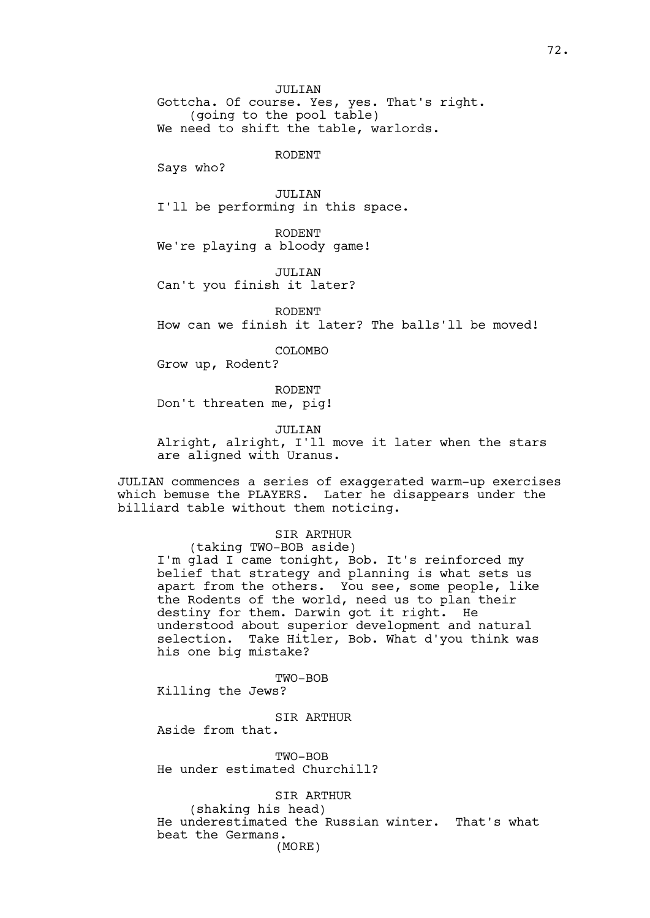Gottcha. Of course. Yes, yes. That's right. (going to the pool table) We need to shift the table, warlords.

RODENT

Says who?

JULIAN I'll be performing in this space.

RODENT We're playing a bloody game!

JULIAN

Can't you finish it later?

RODENT

How can we finish it later? The balls'll be moved!

COLOMBO

Grow up, Rodent?

RODENT Don't threaten me, pig!

JULIAN

Alright, alright, I'll move it later when the stars are aligned with Uranus.

JULIAN commences a series of exaggerated warm-up exercises which bemuse the PLAYERS. Later he disappears under the billiard table without them noticing.

# SIR ARTHUR

(taking TWO-BOB aside) I'm glad I came tonight, Bob. It's reinforced my belief that strategy and planning is what sets us apart from the others. You see, some people, like the Rodents of the world, need us to plan their destiny for them. Darwin got it right. He understood about superior development and natural selection. Take Hitler, Bob. What d'you think was his one big mistake?

TWO-BOB

Killing the Jews?

SIR ARTHUR

Aside from that.

TWO-BOB He under estimated Churchill?

SIR ARTHUR

(shaking his head) He underestimated the Russian winter. That's what beat the Germans. (MORE)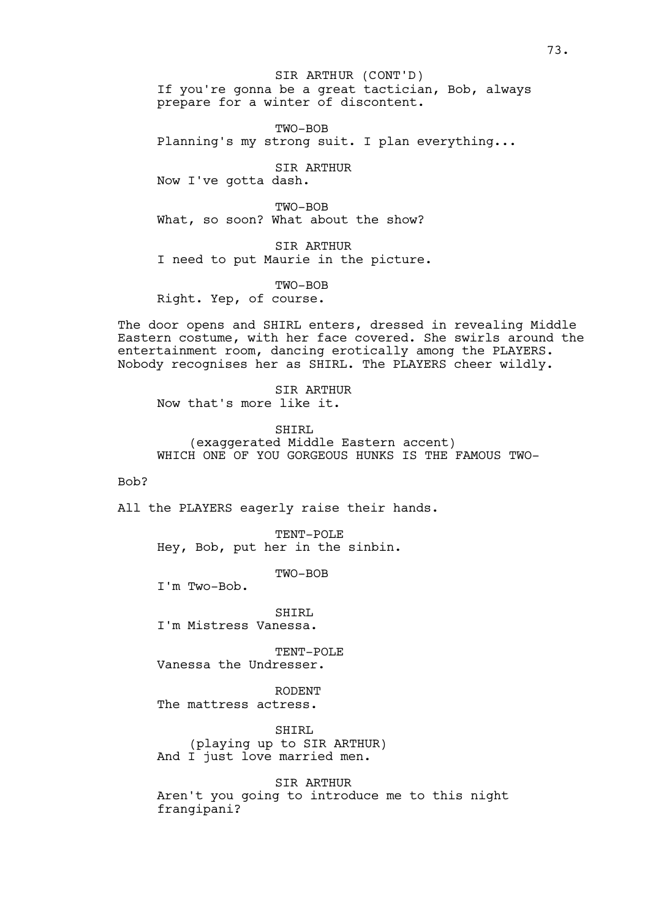If you're gonna be a great tactician, Bob, always prepare for a winter of discontent. SIR ARTHUR (CONT'D)

TWO-BOB Planning's my strong suit. I plan everything...

SIR ARTHUR Now I've gotta dash.

TWO-BOB What, so soon? What about the show?

SIR ARTHUR I need to put Maurie in the picture.

TWO-BOB Right. Yep, of course.

The door opens and SHIRL enters, dressed in revealing Middle Eastern costume, with her face covered. She swirls around the entertainment room, dancing erotically among the PLAYERS. Nobody recognises her as SHIRL. The PLAYERS cheer wildly.

SIR ARTHUR Now that's more like it.

SHIRL (exaggerated Middle Eastern accent) WHICH ONE OF YOU GORGEOUS HUNKS IS THE FAMOUS TWO-

## Bob?

All the PLAYERS eagerly raise their hands.

TENT-POLE Hey, Bob, put her in the sinbin.

TWO-BOB

I'm Two-Bob.

SHIRL I'm Mistress Vanessa.

TENT-POLE Vanessa the Undresser.

RODENT The mattress actress.

SHIRL (playing up to SIR ARTHUR) And I just love married men.

SIR ARTHUR Aren't you going to introduce me to this night frangipani?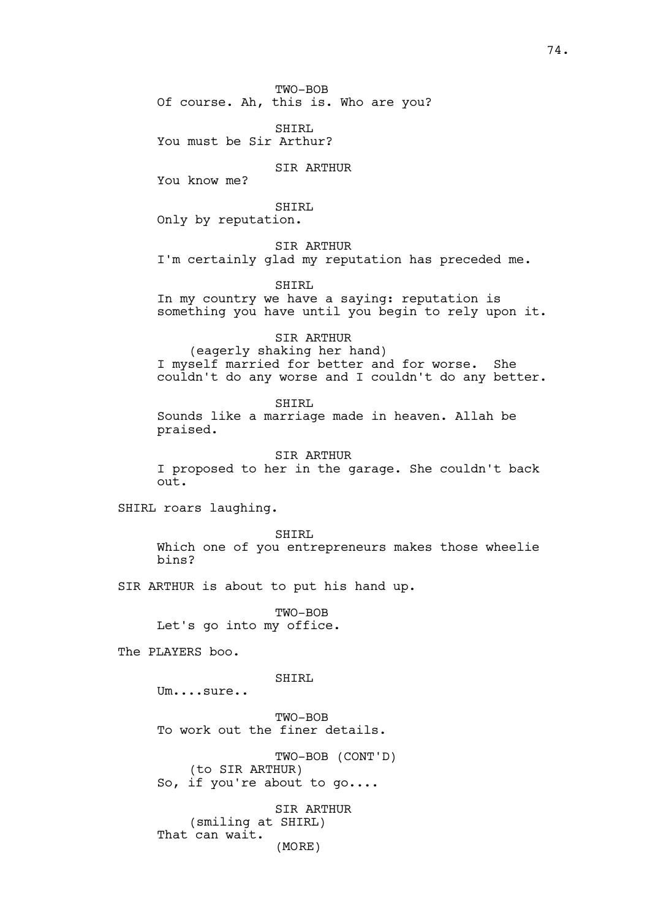TWO-BOB Of course. Ah, this is. Who are you?

SHIRL You must be Sir Arthur?

SIR ARTHUR

You know me?

SHIRL

Only by reputation.

SIR ARTHUR I'm certainly glad my reputation has preceded me.

SHIRL

In my country we have a saying: reputation is something you have until you begin to rely upon it.

SIR ARTHUR (eagerly shaking her hand) I myself married for better and for worse. She couldn't do any worse and I couldn't do any better.

SHIRL Sounds like a marriage made in heaven. Allah be praised.

SIR ARTHUR I proposed to her in the garage. She couldn't back out.

SHIRL roars laughing.

SHIRL Which one of you entrepreneurs makes those wheelie bins?

SIR ARTHUR is about to put his hand up.

TWO-BOB Let's go into my office.

The PLAYERS boo.

SHIRL

Um....sure..

TWO-BOB To work out the finer details.

TWO-BOB (CONT'D) (to SIR ARTHUR) So, if you're about to go....

SIR ARTHUR (smiling at SHIRL) That can wait. (MORE)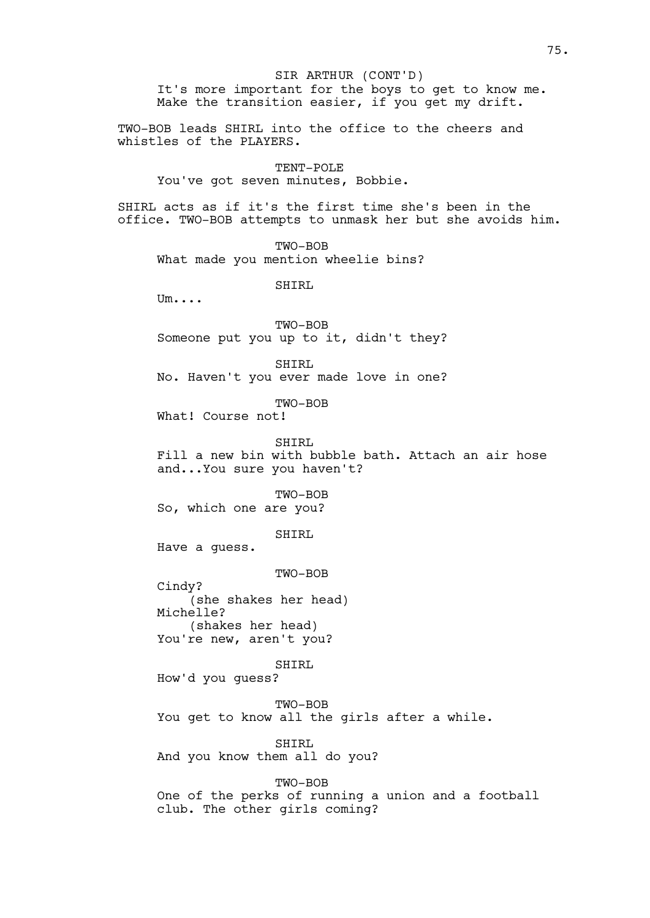It's more important for the boys to get to know me. Make the transition easier, if you get my drift. TWO-BOB leads SHIRL into the office to the cheers and whistles of the PLAYERS. TENT-POLE You've got seven minutes, Bobbie. SHIRL acts as if it's the first time she's been in the office. TWO-BOB attempts to unmask her but she avoids him. TWO-BOB What made you mention wheelie bins? SHIRL Um.... TWO-BOB Someone put you up to it, didn't they? SHIRL No. Haven't you ever made love in one? TWO-BOB What! Course not! SHIRL Fill a new bin with bubble bath. Attach an air hose and...You sure you haven't? TWO-BOB So, which one are you? SHIRL Have a guess. TWO-BOB Cindy? (she shakes her head) Michelle? (shakes her head) You're new, aren't you? SHIRL How'd you guess? TWO-BOB You get to know all the girls after a while. SHIRL And you know them all do you? TWO-BOB One of the perks of running a union and a football club. The other girls coming? SIR ARTHUR (CONT'D)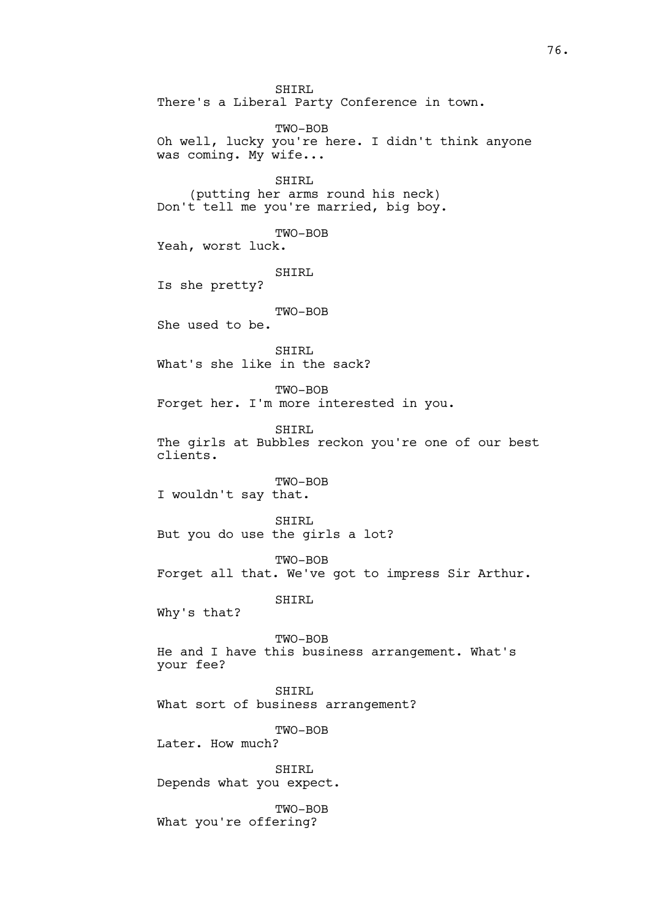SHIRL There's a Liberal Party Conference in town. TWO-BOB Oh well, lucky you're here. I didn't think anyone was coming. My wife... SHIRL (putting her arms round his neck) Don't tell me you're married, big boy. TWO-BOB Yeah, worst luck. SHIRL Is she pretty? TWO-BOB She used to be. SHIRL What's she like in the sack? TWO-BOB Forget her. I'm more interested in you. SHIRL The girls at Bubbles reckon you're one of our best clients. TWO-BOB I wouldn't say that. SHIRL But you do use the girls a lot? TWO-BOB Forget all that. We've got to impress Sir Arthur. SHIRL Why's that? TWO-BOB He and I have this business arrangement. What's your fee? SHIRL What sort of business arrangement? TWO-BOB Later. How much? SHIRL Depends what you expect. TWO-BOB What you're offering?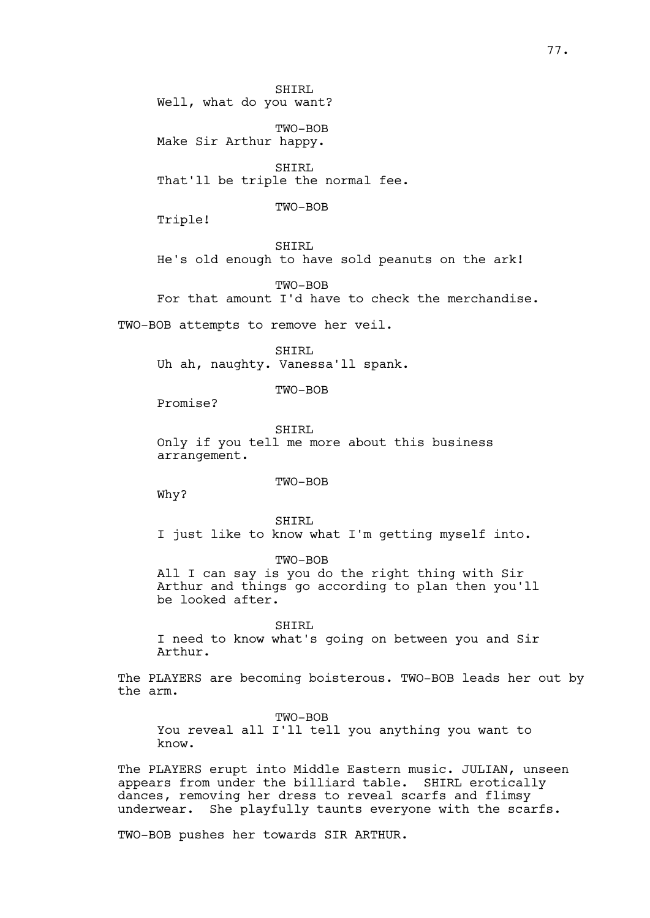SHIRL Well, what do you want?

TWO-BOB Make Sir Arthur happy.

SHIRL That'll be triple the normal fee.

TWO-BOB

Triple!

SHIRL He's old enough to have sold peanuts on the ark!

TWO-BOB For that amount I'd have to check the merchandise.

TWO-BOB attempts to remove her veil.

SHIRL Uh ah, naughty. Vanessa'll spank.

TWO-BOB

Promise?

SHIRL Only if you tell me more about this business arrangement.

TWO-BOB

Why?

SHIRL I just like to know what I'm getting myself into.

TWO-BOB All I can say is you do the right thing with Sir Arthur and things go according to plan then you'll be looked after.

SHIRL I need to know what's going on between you and Sir Arthur.

The PLAYERS are becoming boisterous. TWO-BOB leads her out by the arm.

TWO-BOB You reveal all I'll tell you anything you want to know.

The PLAYERS erupt into Middle Eastern music. JULIAN, unseen appears from under the billiard table. SHIRL erotically dances, removing her dress to reveal scarfs and flimsy underwear. She playfully taunts everyone with the scarfs.

TWO-BOB pushes her towards SIR ARTHUR.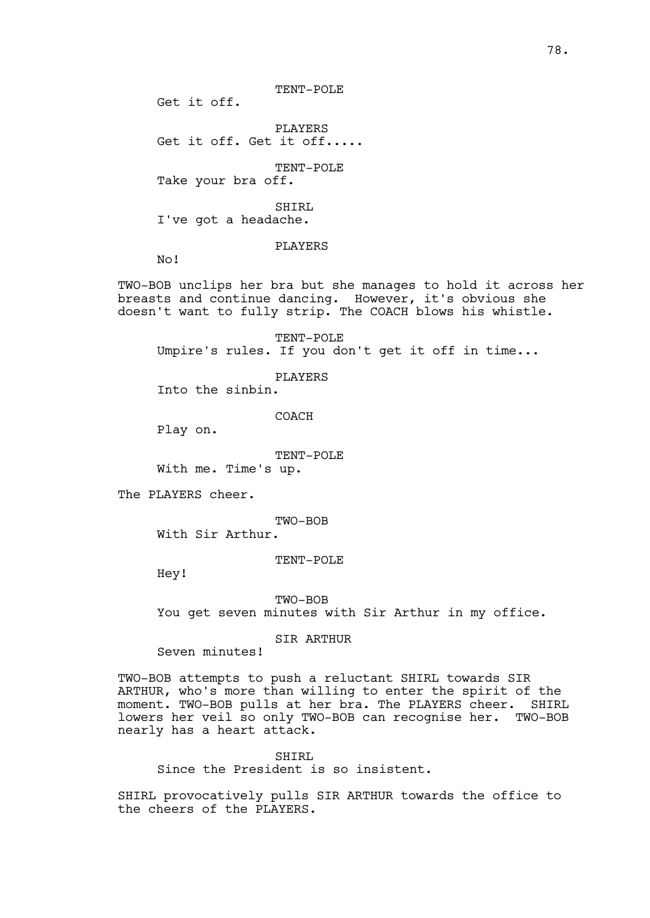TENT-POLE

Get it off.

PLAYERS Get it off. Get it off.....

TENT-POLE

Take your bra off.

SHIRL I've got a headache.

PLAYERS

No!

TWO-BOB unclips her bra but she manages to hold it across her breasts and continue dancing. However, it's obvious she doesn't want to fully strip. The COACH blows his whistle.

TENT-POLE Umpire's rules. If you don't get it off in time...

PLAYERS

Into the sinbin.

COACH

Play on.

TENT-POLE With me. Time's up.

The PLAYERS cheer.

TWO-BOB

With Sir Arthur.

#### TENT-POLE

Hey!

TWO-BOB

You get seven minutes with Sir Arthur in my office.

SIR ARTHUR

Seven minutes!

TWO-BOB attempts to push a reluctant SHIRL towards SIR ARTHUR, who's more than willing to enter the spirit of the moment. TWO-BOB pulls at her bra. The PLAYERS cheer. SHIRL lowers her veil so only TWO-BOB can recognise her. TWO-BOB nearly has a heart attack.

SHIRL Since the President is so insistent.

SHIRL provocatively pulls SIR ARTHUR towards the office to the cheers of the PLAYERS.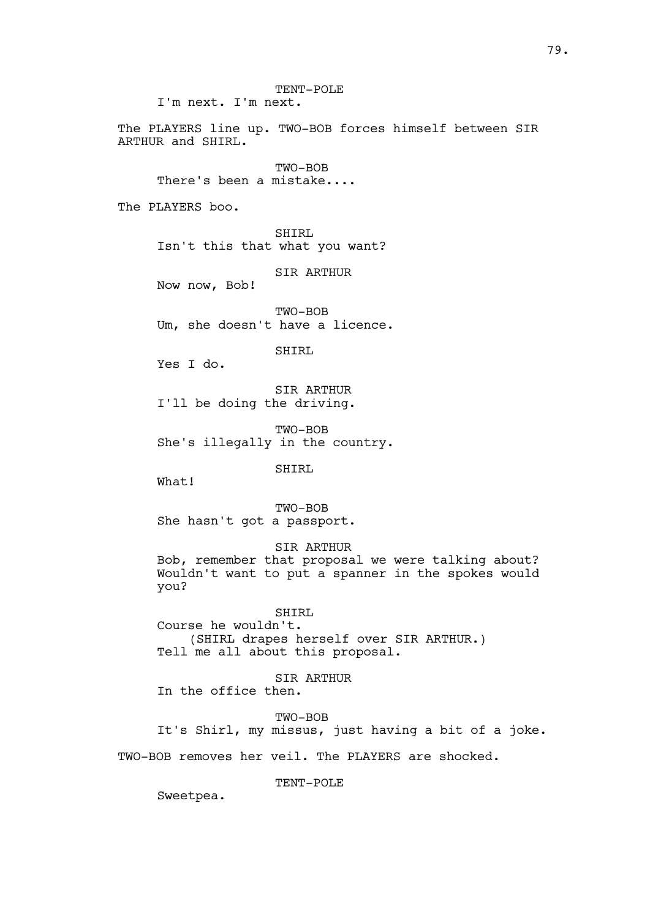TENT-POLE I'm next. I'm next.

The PLAYERS line up. TWO-BOB forces himself between SIR ARTHUR and SHIRL.

TWO-BOB There's been a mistake....

The PLAYERS boo.

SHIRL Isn't this that what you want?

SIR ARTHUR

Now now, Bob!

TWO-BOB Um, she doesn't have a licence.

SHIRL

Yes I do.

SIR ARTHUR I'll be doing the driving.

TWO-BOB She's illegally in the country.

SHIRL

What!

TWO-BOB She hasn't got a passport.

SIR ARTHUR

Bob, remember that proposal we were talking about? Wouldn't want to put a spanner in the spokes would you?

SHIRL Course he wouldn't. (SHIRL drapes herself over SIR ARTHUR.) Tell me all about this proposal.

SIR ARTHUR

In the office then.

TWO-BOB

It's Shirl, my missus, just having a bit of a joke.

TWO-BOB removes her veil. The PLAYERS are shocked.

TENT-POLE

Sweetpea.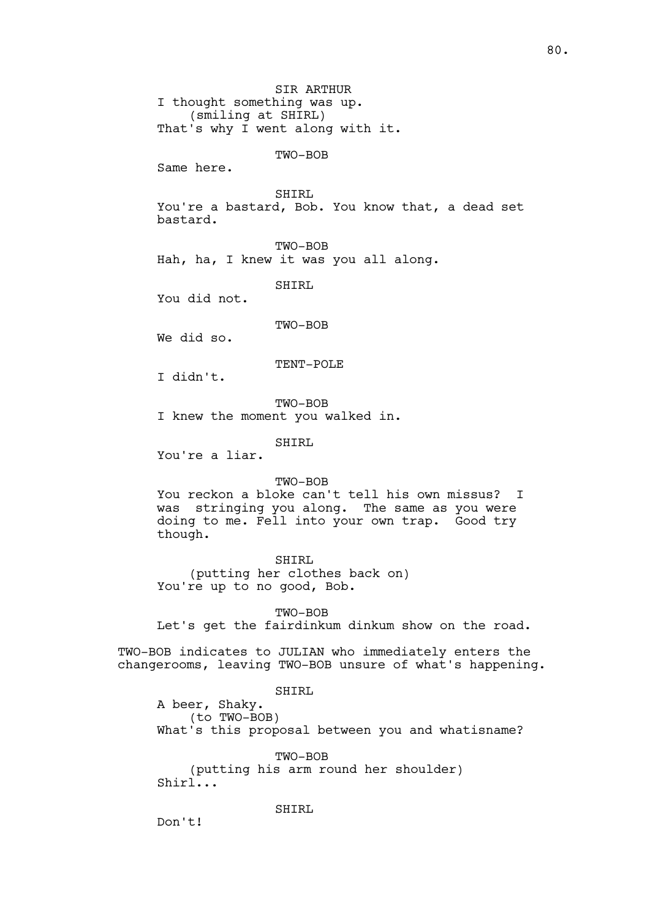SIR ARTHUR I thought something was up. (smiling at SHIRL) That's why I went along with it.

TWO-BOB

Same here.

SHIRL

You're a bastard, Bob. You know that, a dead set bastard.

TWO-BOB

Hah, ha, I knew it was you all along.

SHIRL

You did not.

TWO-BOB

We did so.

TENT-POLE

I didn't.

TWO-BOB I knew the moment you walked in.

SHIRL

You're a liar.

### TWO-BOB

You reckon a bloke can't tell his own missus? I was stringing you along. The same as you were doing to me. Fell into your own trap. Good try though.

SHIRL (putting her clothes back on) You're up to no good, Bob.

TWO-BOB Let's get the fairdinkum dinkum show on the road.

TWO-BOB indicates to JULIAN who immediately enters the changerooms, leaving TWO-BOB unsure of what's happening.

SHIRL

A beer, Shaky. (to TWO-BOB) What's this proposal between you and whatisname?

TWO-BOB (putting his arm round her shoulder) Shirl...

SHIRL

Don't!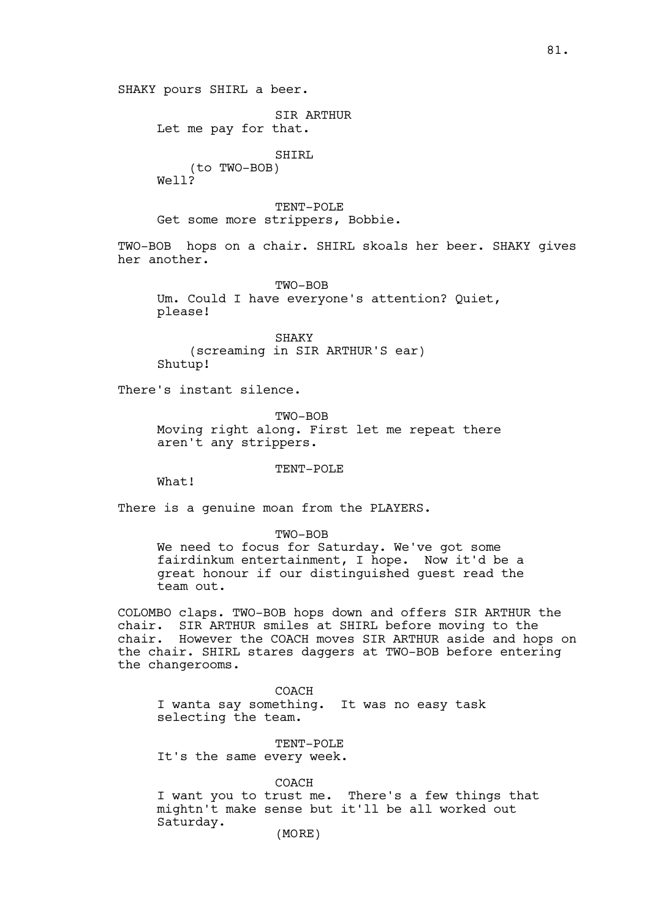SHAKY pours SHIRL a beer.

SIR ARTHUR

Let me pay for that.

SHIRL (to TWO-BOB)

Well?

TENT-POLE Get some more strippers, Bobbie.

TWO-BOB hops on a chair. SHIRL skoals her beer. SHAKY gives her another.

TWO-BOB Um. Could I have everyone's attention? Quiet, please!

SHAKY (screaming in SIR ARTHUR'S ear) Shutup!

There's instant silence.

TWO-BOB Moving right along. First let me repeat there aren't any strippers.

TENT-POLE

What!

There is a genuine moan from the PLAYERS.

TWO-BOB

We need to focus for Saturday. We've got some fairdinkum entertainment, I hope. Now it'd be a great honour if our distinguished guest read the team out.

COLOMBO claps. TWO-BOB hops down and offers SIR ARTHUR the chair. SIR ARTHUR smiles at SHIRL before moving to the chair. However the COACH moves SIR ARTHUR aside and hops on the chair. SHIRL stares daggers at TWO-BOB before entering the changerooms.

COACH I wanta say something. It was no easy task selecting the team.

TENT-POLE It's the same every week.

COACH I want you to trust me. There's a few things that mightn't make sense but it'll be all worked out Saturday.

(MORE)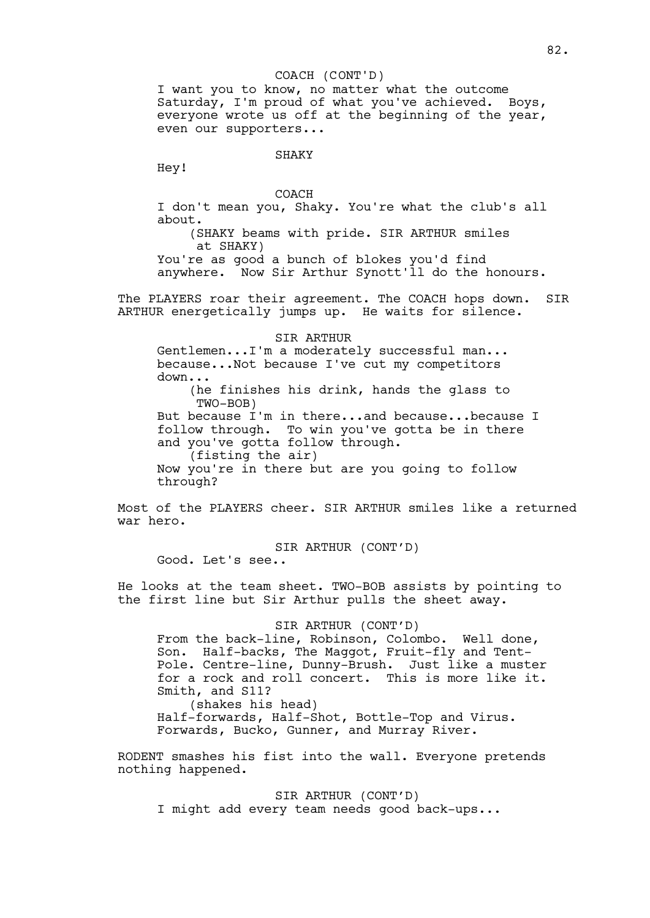### COACH (CONT'D)

I want you to know, no matter what the outcome Saturday, I'm proud of what you've achieved. Boys, everyone wrote us off at the beginning of the year, even our supporters...

## SHAKY

Hey!

### COACH

I don't mean you, Shaky. You're what the club's all about.

(SHAKY beams with pride. SIR ARTHUR smiles at SHAKY)

You're as good a bunch of blokes you'd find anywhere. Now Sir Arthur Synott'll do the honours.

The PLAYERS roar their agreement. The COACH hops down. SIR ARTHUR energetically jumps up. He waits for silence.

#### SIR ARTHUR

Gentlemen...I'm a moderately successful man... because...Not because I've cut my competitors down... (he finishes his drink, hands the glass to TWO-BOB) But because I'm in there...and because...because I follow through. To win you've gotta be in there and you've gotta follow through. (fisting the air) Now you're in there but are you going to follow through?

Most of the PLAYERS cheer. SIR ARTHUR smiles like a returned war hero.

SIR ARTHUR (CONT'D) Good. Let's see..

He looks at the team sheet. TWO-BOB assists by pointing to the first line but Sir Arthur pulls the sheet away.

# SIR ARTHUR (CONT'D)

From the back-line, Robinson, Colombo. Well done, Son. Half-backs, The Maggot, Fruit-fly and Tent-Pole. Centre-line, Dunny-Brush. Just like a muster for a rock and roll concert. This is more like it. Smith, and S11?

(shakes his head) Half-forwards, Half-Shot, Bottle-Top and Virus. Forwards, Bucko, Gunner, and Murray River.

RODENT smashes his fist into the wall. Everyone pretends nothing happened.

SIR ARTHUR (CONT'D) I might add every team needs good back-ups...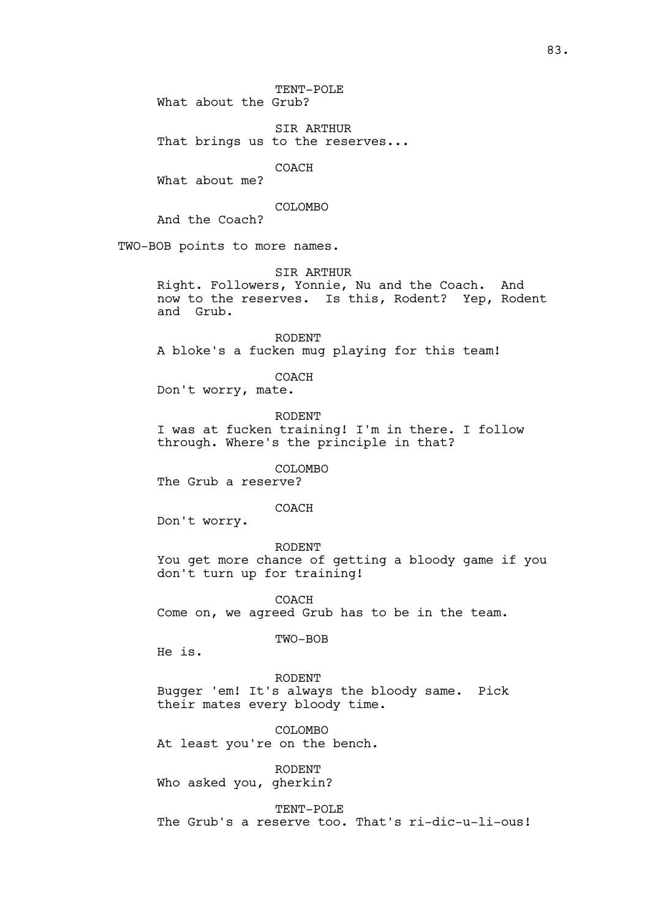TENT-POLE What about the Grub?

SIR ARTHUR That brings us to the reserves...

COACH

What about me?

# COLOMBO

And the Coach?

TWO-BOB points to more names.

## SIR ARTHUR

Right. Followers, Yonnie, Nu and the Coach. And now to the reserves. Is this, Rodent? Yep, Rodent and Grub.

RODENT A bloke's a fucken mug playing for this team!

COACH

Don't worry, mate.

RODENT I was at fucken training! I'm in there. I follow through. Where's the principle in that?

COLOMBO

The Grub a reserve?

## COACH

Don't worry.

RODENT

You get more chance of getting a bloody game if you don't turn up for training!

COACH Come on, we agreed Grub has to be in the team.

TWO-BOB

He is.

RODENT Bugger 'em! It's always the bloody same. Pick their mates every bloody time.

COLOMBO At least you're on the bench.

RODENT Who asked you, gherkin?

TENT-POLE The Grub's a reserve too. That's ri-dic-u-li-ous!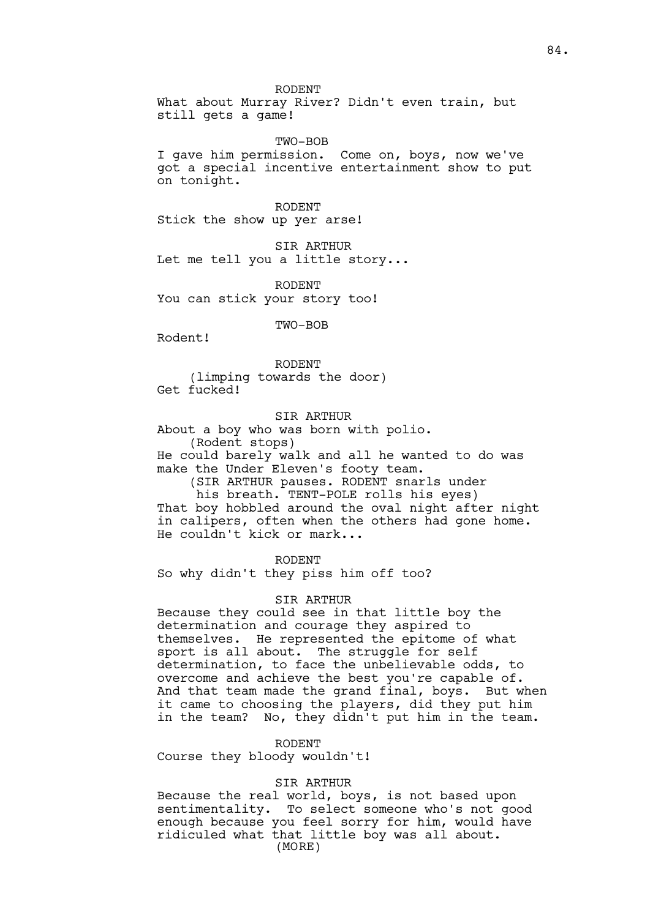RODENT

What about Murray River? Didn't even train, but still gets a game!

TWO-BOB

I gave him permission. Come on, boys, now we've got a special incentive entertainment show to put on tonight.

RODENT Stick the show up yer arse!

SIR ARTHUR Let me tell you a little story...

RODENT You can stick your story too!

TWO-BOB

Rodent!

RODENT (limping towards the door) Get fucked!

SIR ARTHUR

About a boy who was born with polio. (Rodent stops)

He could barely walk and all he wanted to do was make the Under Eleven's footy team.

(SIR ARTHUR pauses. RODENT snarls under

his breath. TENT-POLE rolls his eyes)

That boy hobbled around the oval night after night in calipers, often when the others had gone home. He couldn't kick or mark...

RODENT

So why didn't they piss him off too?

SIR ARTHUR

Because they could see in that little boy the determination and courage they aspired to themselves. He represented the epitome of what<br>sport is all about. The struggle for self The struggle for self determination, to face the unbelievable odds, to overcome and achieve the best you're capable of. And that team made the grand final, boys. But when it came to choosing the players, did they put him in the team? No, they didn't put him in the team.

RODENT

Course they bloody wouldn't!

SIR ARTHUR

Because the real world, boys, is not based upon sentimentality. To select someone who's not good enough because you feel sorry for him, would have ridiculed what that little boy was all about. (MORE)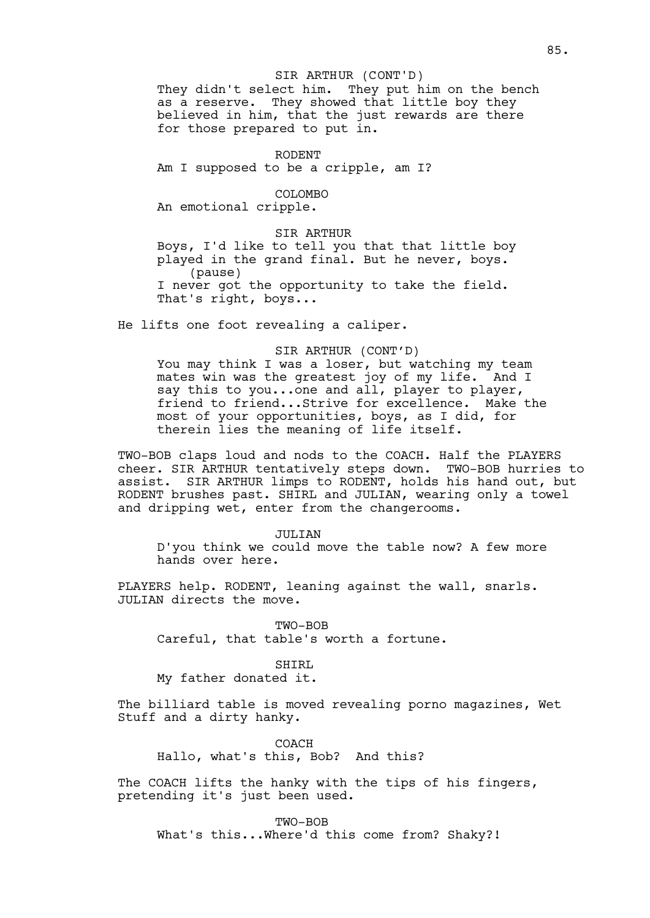### SIR ARTHUR (CONT'D)

They didn't select him. They put him on the bench as a reserve. They showed that little boy they believed in him, that the just rewards are there for those prepared to put in.

### RODENT

Am I supposed to be a cripple, am I?

## COLOMBO

An emotional cripple.

# SIR ARTHUR

Boys, I'd like to tell you that that little boy played in the grand final. But he never, boys. (pause) I never got the opportunity to take the field. That's right, boys...

He lifts one foot revealing a caliper.

## SIR ARTHUR (CONT'D)

You may think I was a loser, but watching my team mates win was the greatest joy of my life. And I say this to you...one and all, player to player, friend to friend...Strive for excellence. Make the most of your opportunities, boys, as I did, for therein lies the meaning of life itself.

TWO-BOB claps loud and nods to the COACH. Half the PLAYERS cheer. SIR ARTHUR tentatively steps down. TWO-BOB hurries to assist. SIR ARTHUR limps to RODENT, holds his hand out, but RODENT brushes past. SHIRL and JULIAN, wearing only a towel and dripping wet, enter from the changerooms.

#### JULIAN

D'you think we could move the table now? A few more hands over here.

PLAYERS help. RODENT, leaning against the wall, snarls. JULIAN directs the move.

TWO-BOB Careful, that table's worth a fortune.

## SHIRL

My father donated it.

The billiard table is moved revealing porno magazines, Wet Stuff and a dirty hanky.

COACH Hallo, what's this, Bob? And this?

The COACH lifts the hanky with the tips of his fingers, pretending it's just been used.

TWO-BOB What's this...Where'd this come from? Shaky?!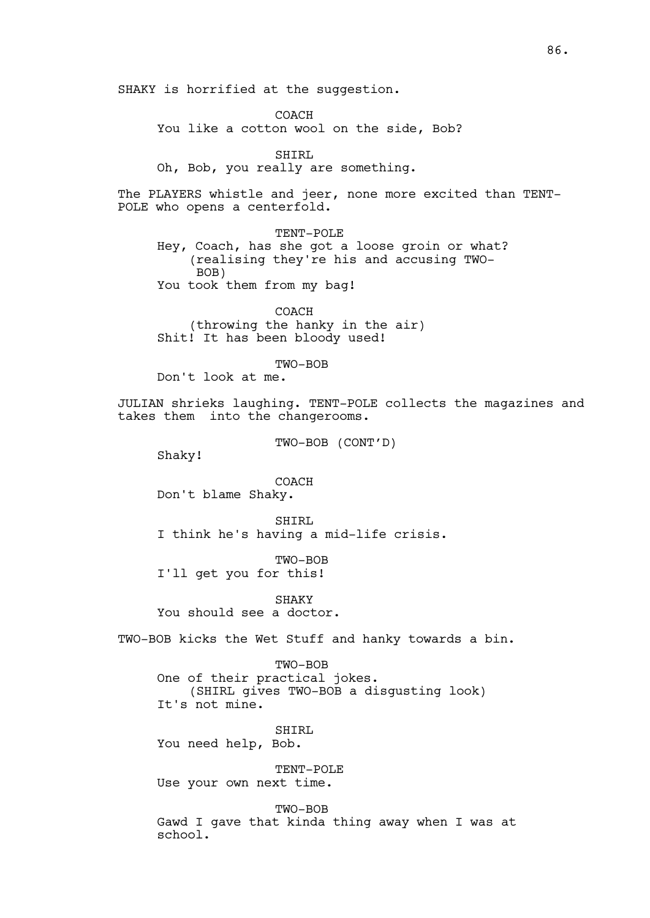SHAKY is horrified at the suggestion.

COACH You like a cotton wool on the side, Bob?

SHIRL

Oh, Bob, you really are something.

The PLAYERS whistle and jeer, none more excited than TENT-POLE who opens a centerfold.

TENT-POLE Hey, Coach, has she got a loose groin or what? (realising they're his and accusing TWO-BOB) You took them from my bag!

COACH (throwing the hanky in the air) Shit! It has been bloody used!

TWO-BOB

Don't look at me.

JULIAN shrieks laughing. TENT-POLE collects the magazines and takes them into the changerooms.

TWO-BOB (CONT'D)

Shaky!

COACH Don't blame Shaky.

SHIRL I think he's having a mid-life crisis.

TWO-BOB I'll get you for this!

SHAKY You should see a doctor.

TWO-BOB kicks the Wet Stuff and hanky towards a bin.

TWO-BOB

One of their practical jokes. (SHIRL gives TWO-BOB a disgusting look) It's not mine.

SHIRL You need help, Bob.

TENT-POLE Use your own next time.

TWO-BOB Gawd I gave that kinda thing away when I was at school.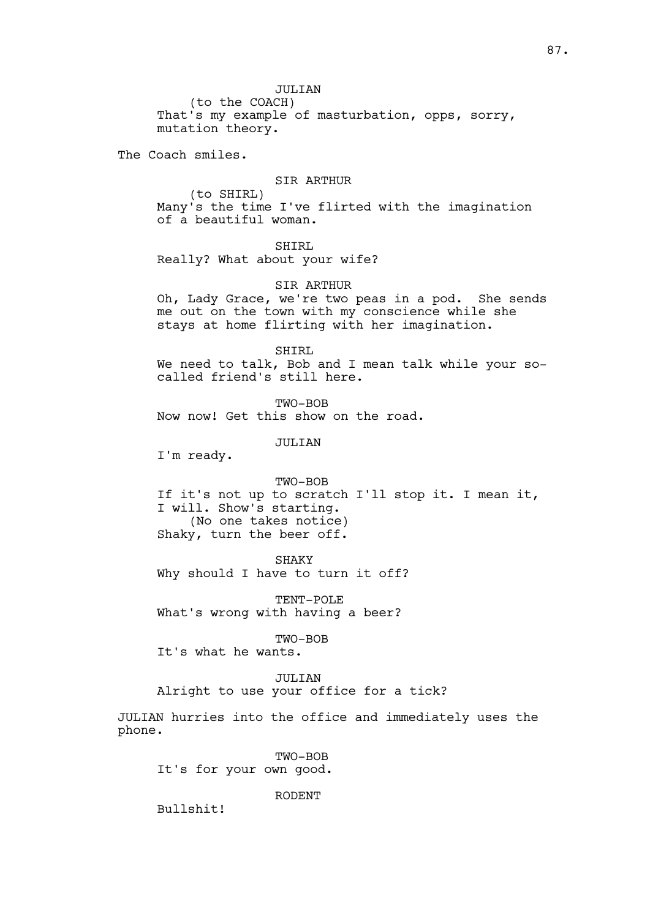JULIAN

(to the COACH) That's my example of masturbation, opps, sorry, mutation theory.

The Coach smiles.

## SIR ARTHUR

(to SHIRL) Many's the time I've flirted with the imagination of a beautiful woman.

SHIRL

Really? What about your wife?

## SIR ARTHUR

Oh, Lady Grace, we're two peas in a pod. She sends me out on the town with my conscience while she stays at home flirting with her imagination.

SHIRL

We need to talk, Bob and I mean talk while your socalled friend's still here.

TWO-BOB Now now! Get this show on the road.

JULIAN

I'm ready.

TWO-BOB If it's not up to scratch I'll stop it. I mean it, I will. Show's starting. (No one takes notice) Shaky, turn the beer off.

SHAKY Why should I have to turn it off?

TENT-POLE What's wrong with having a beer?

TWO-BOB

It's what he wants.

JULIAN

Alright to use your office for a tick?

JULIAN hurries into the office and immediately uses the phone.

TWO-BOB It's for your own good.

RODENT

Bullshit!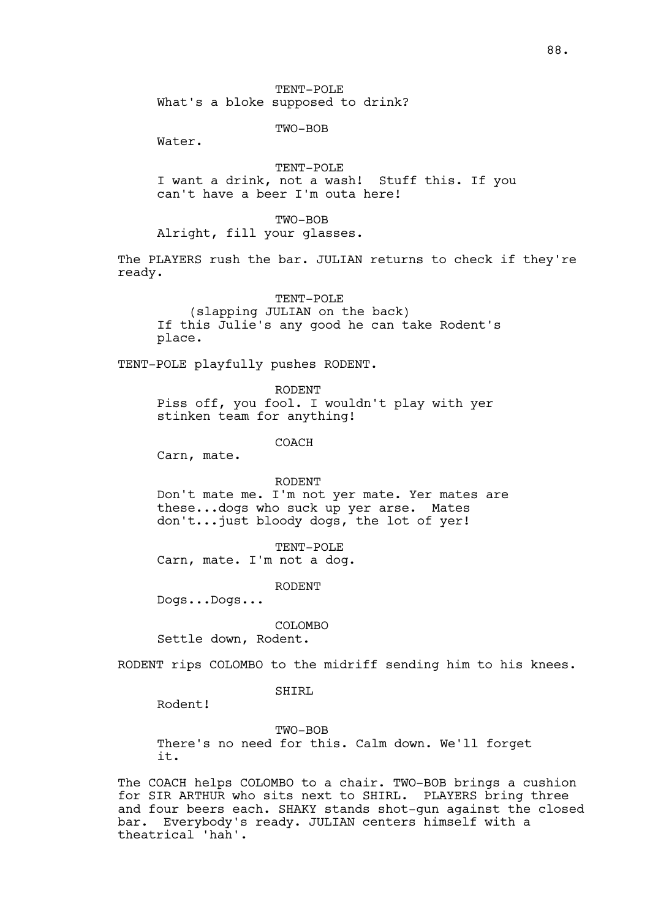TENT-POLE What's a bloke supposed to drink?

TWO-BOB

Water.

TENT-POLE I want a drink, not a wash! Stuff this. If you can't have a beer I'm outa here!

TWO-BOB

Alright, fill your glasses.

The PLAYERS rush the bar. JULIAN returns to check if they're ready.

TENT-POLE

(slapping JULIAN on the back) If this Julie's any good he can take Rodent's place.

TENT-POLE playfully pushes RODENT.

RODENT Piss off, you fool. I wouldn't play with yer stinken team for anything!

COACH

Carn, mate.

RODENT

Don't mate me. I'm not yer mate. Yer mates are these...dogs who suck up yer arse. Mates don't...just bloody dogs, the lot of yer!

TENT-POLE

Carn, mate. I'm not a dog.

RODENT

Dogs...Dogs...

COLOMBO

Settle down, Rodent.

RODENT rips COLOMBO to the midriff sending him to his knees.

SHIRL

Rodent!

TWO-BOB There's no need for this. Calm down. We'll forget it.

The COACH helps COLOMBO to a chair. TWO-BOB brings a cushion for SIR ARTHUR who sits next to SHIRL. PLAYERS bring three and four beers each. SHAKY stands shot-gun against the closed bar. Everybody's ready. JULIAN centers himself with a theatrical 'hah'.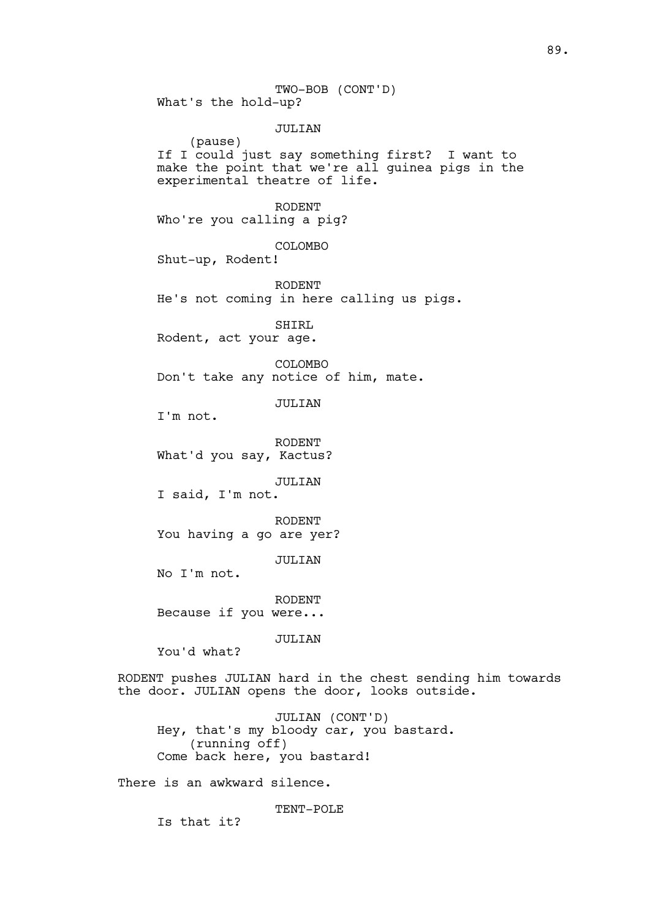TWO-BOB (CONT'D) What's the hold-up? JULIAN (pause) If I could just say something first? I want to make the point that we're all guinea pigs in the experimental theatre of life. RODENT Who're you calling a pig? COLOMBO Shut-up, Rodent! RODENT He's not coming in here calling us pigs. SHIRL Rodent, act your age. COLOMBO Don't take any notice of him, mate. JULIAN I'm not. RODENT What'd you say, Kactus? JULIAN I said, I'm not. RODENT You having a go are yer? JULIAN No I'm not. RODENT Because if you were... JULIAN You'd what? RODENT pushes JULIAN hard in the chest sending him towards the door. JULIAN opens the door, looks outside. JULIAN (CONT'D)

Hey, that's my bloody car, you bastard. (running off) Come back here, you bastard!

There is an awkward silence.

TENT-POLE

Is that it?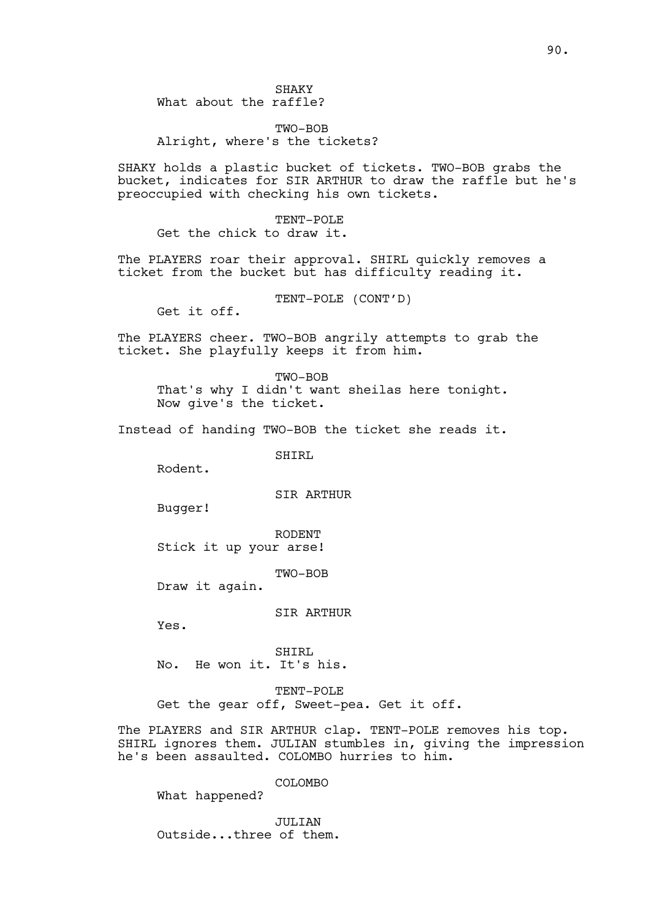# TWO-BOB Alright, where's the tickets?

SHAKY holds a plastic bucket of tickets. TWO-BOB grabs the bucket, indicates for SIR ARTHUR to draw the raffle but he's preoccupied with checking his own tickets.

TENT-POLE Get the chick to draw it.

The PLAYERS roar their approval. SHIRL quickly removes a ticket from the bucket but has difficulty reading it.

TENT-POLE (CONT'D)

Get it off.

The PLAYERS cheer. TWO-BOB angrily attempts to grab the ticket. She playfully keeps it from him.

TWO-BOB That's why I didn't want sheilas here tonight. Now give's the ticket.

Instead of handing TWO-BOB the ticket she reads it.

SHIRL

Rodent.

SIR ARTHUR

Bugger!

RODENT Stick it up your arse!

TWO-BOB

Draw it again.

SIR ARTHUR

Yes.

SHIRL No. He won it. It's his.

TENT-POLE Get the gear off, Sweet-pea. Get it off.

The PLAYERS and SIR ARTHUR clap. TENT-POLE removes his top. SHIRL ignores them. JULIAN stumbles in, giving the impression he's been assaulted. COLOMBO hurries to him.

COLOMBO

What happened?

**JULIAN** Outside...three of them.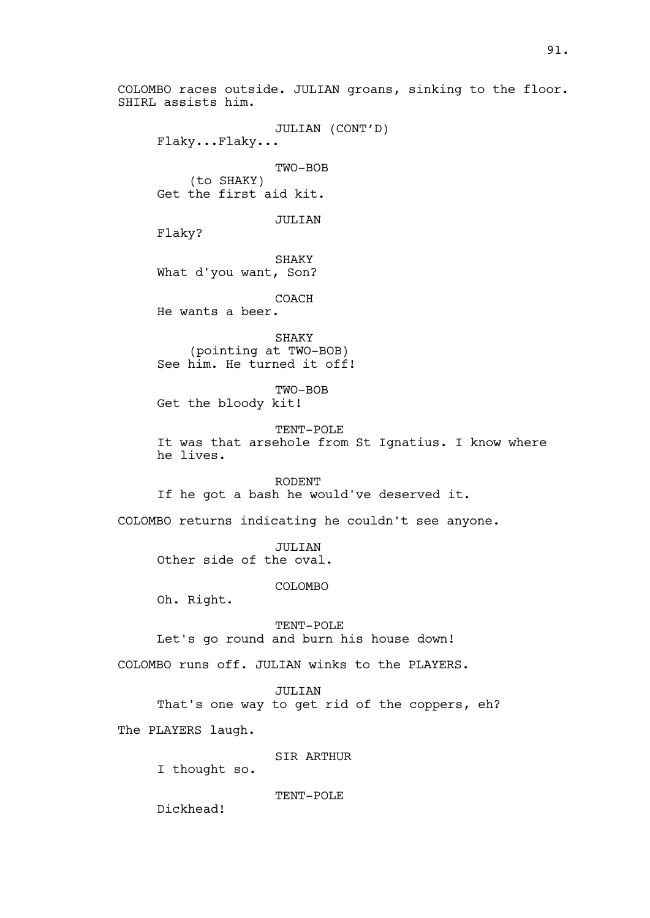COLOMBO races outside. JULIAN groans, sinking to the floor. SHIRL assists him. JULIAN (CONT'D) Flaky...Flaky... TWO-BOB (to SHAKY) Get the first aid kit. JULIAN Flaky? SHAKY What d'you want, Son? COACH He wants a beer. SHAKY (pointing at TWO-BOB) See him. He turned it off! TWO-BOB Get the bloody kit! TENT-POLE It was that arsehole from St Ignatius. I know where he lives. RODENT If he got a bash he would've deserved it. COLOMBO returns indicating he couldn't see anyone. JULIAN Other side of the oval. COLOMBO Oh. Right. TENT-POLE Let's go round and burn his house down! COLOMBO runs off. JULIAN winks to the PLAYERS. JULIAN That's one way to get rid of the coppers, eh? The PLAYERS laugh. SIR ARTHUR I thought so. TENT-POLE Dickhead!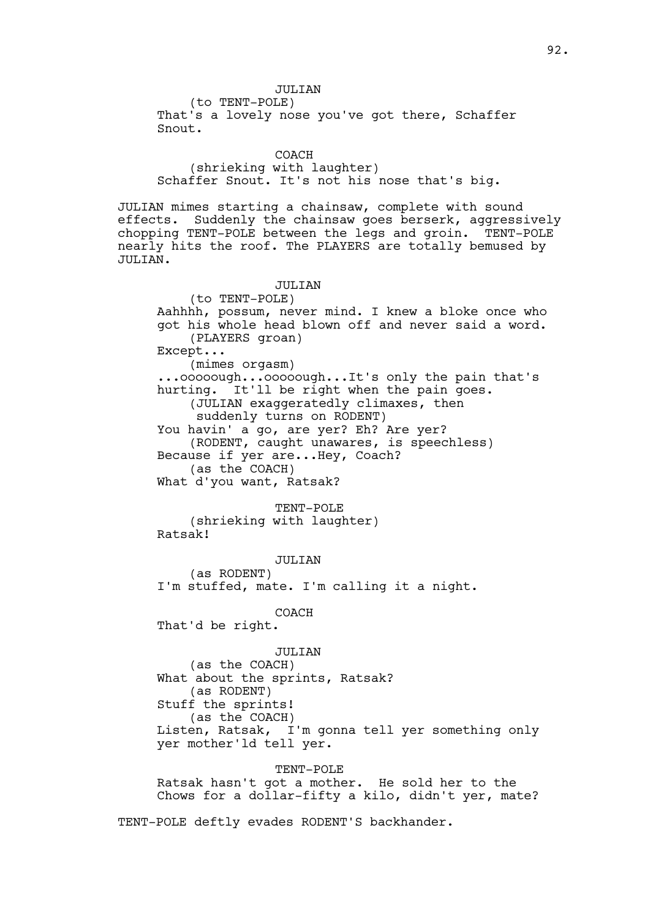# JULIAN

(to TENT-POLE) That's a lovely nose you've got there, Schaffer Snout.

### COACH

(shrieking with laughter) Schaffer Snout. It's not his nose that's big.

JULIAN mimes starting a chainsaw, complete with sound effects. Suddenly the chainsaw goes berserk, aggressively chopping TENT-POLE between the legs and groin. TENT-POLE nearly hits the roof. The PLAYERS are totally bemused by JULIAN.

### JULITAN

(to TENT-POLE) Aahhhh, possum, never mind. I knew a bloke once who got his whole head blown off and never said a word. (PLAYERS groan) Except... (mimes orgasm) ...ooooough...ooooough...It's only the pain that's hurting. It'll be right when the pain goes. (JULIAN exaggeratedly climaxes, then suddenly turns on RODENT) You havin' a go, are yer? Eh? Are yer? (RODENT, caught unawares, is speechless) Because if yer are...Hey, Coach? (as the COACH) What d'you want, Ratsak? TENT-POLE (shrieking with laughter) Ratsak! JULIAN (as RODENT) I'm stuffed, mate. I'm calling it a night. COACH That'd be right. JULIAN (as the COACH) What about the sprints, Ratsak? (as RODENT) Stuff the sprints! (as the COACH) Listen, Ratsak, I'm gonna tell yer something only yer mother'ld tell yer.

## TENT-POLE

Ratsak hasn't got a mother. He sold her to the Chows for a dollar-fifty a kilo, didn't yer, mate?

TENT-POLE deftly evades RODENT'S backhander.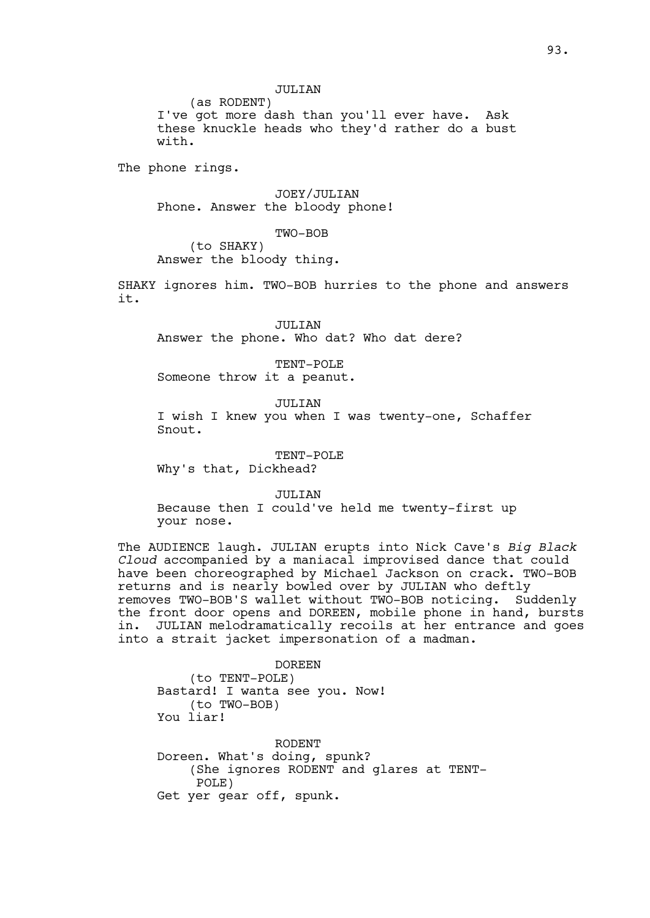JULIAN

(as RODENT) I've got more dash than you'll ever have. Ask these knuckle heads who they'd rather do a bust with.

The phone rings.

JOEY/JULIAN Phone. Answer the bloody phone!

TWO-BOB

(to SHAKY) Answer the bloody thing.

SHAKY ignores him. TWO-BOB hurries to the phone and answers it.

JULIAN Answer the phone. Who dat? Who dat dere?

TENT-POLE Someone throw it a peanut.

JULIAN I wish I knew you when I was twenty-one, Schaffer Snout.

TENT-POLE Why's that, Dickhead?

JULIAN

Because then I could've held me twenty-first up your nose.

The AUDIENCE laugh. JULIAN erupts into Nick Cave's *Big Black Cloud* accompanied by a maniacal improvised dance that could have been choreographed by Michael Jackson on crack. TWO-BOB returns and is nearly bowled over by JULIAN who deftly removes TWO-BOB'S wallet without TWO-BOB noticing. Suddenly the front door opens and DOREEN, mobile phone in hand, bursts in. JULIAN melodramatically recoils at her entrance and goes into a strait jacket impersonation of a madman.

DOREEN (to TENT-POLE) Bastard! I wanta see you. Now! (to TWO-BOB) You liar!

RODENT Doreen. What's doing, spunk? (She ignores RODENT and glares at TENT-POLE) Get yer gear off, spunk.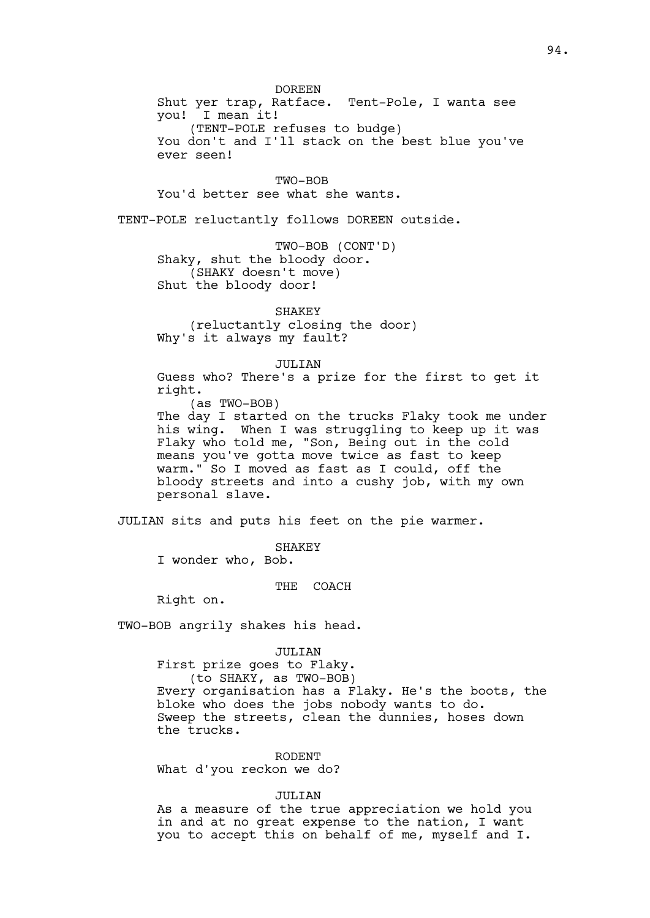DOREEN

Shut yer trap, Ratface. Tent-Pole, I wanta see you! I mean it! (TENT-POLE refuses to budge) You don't and I'll stack on the best blue you've ever seen!

TWO-BOB You'd better see what she wants.

TENT-POLE reluctantly follows DOREEN outside.

TWO-BOB (CONT'D) Shaky, shut the bloody door. (SHAKY doesn't move) Shut the bloody door!

SHAKEY (reluctantly closing the door) Why's it always my fault?

JULIAN

Guess who? There's a prize for the first to get it right.

(as TWO-BOB)

The day I started on the trucks Flaky took me under his wing. When I was struggling to keep up it was Flaky who told me, "Son, Being out in the cold means you've gotta move twice as fast to keep warm." So I moved as fast as I could, off the bloody streets and into a cushy job, with my own personal slave.

JULIAN sits and puts his feet on the pie warmer.

SHAKEY

I wonder who, Bob.

THE COACH

Right on.

TWO-BOB angrily shakes his head.

# JULIAN

First prize goes to Flaky. (to SHAKY, as TWO-BOB) Every organisation has a Flaky. He's the boots, the bloke who does the jobs nobody wants to do. Sweep the streets, clean the dunnies, hoses down the trucks.

RODENT What d'you reckon we do?

## **JULIAN**

As a measure of the true appreciation we hold you in and at no great expense to the nation, I want you to accept this on behalf of me, myself and I.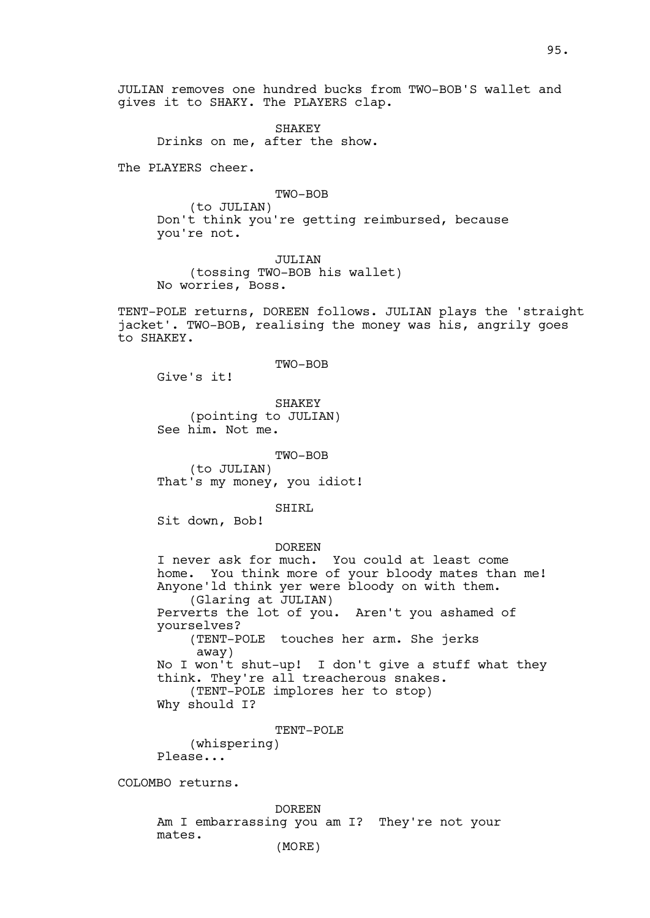JULIAN removes one hundred bucks from TWO-BOB'S wallet and gives it to SHAKY. The PLAYERS clap.

**SHAKEY** Drinks on me, after the show.

The PLAYERS cheer.

TWO-BOB

(to JULIAN) Don't think you're getting reimbursed, because you're not.

JULIAN (tossing TWO-BOB his wallet) No worries, Boss.

TENT-POLE returns, DOREEN follows. JULIAN plays the 'straight jacket'. TWO-BOB, realising the money was his, angrily goes to SHAKEY.

TWO-BOB

Give's it!

SHAKEY (pointing to JULIAN) See him. Not me.

TWO-BOB (to JULIAN) That's my money, you idiot!

SHIRL

Sit down, Bob!

mates.

DOREEN

I never ask for much. You could at least come home. You think more of your bloody mates than me! Anyone'ld think yer were bloody on with them. (Glaring at JULIAN) Perverts the lot of you. Aren't you ashamed of yourselves? (TENT-POLE touches her arm. She jerks away) No I won't shut-up! I don't give a stuff what they think. They're all treacherous snakes. (TENT-POLE implores her to stop) Why should I? TENT-POLE (whispering) Please... COLOMBO returns. DOREEN Am I embarrassing you am I? They're not your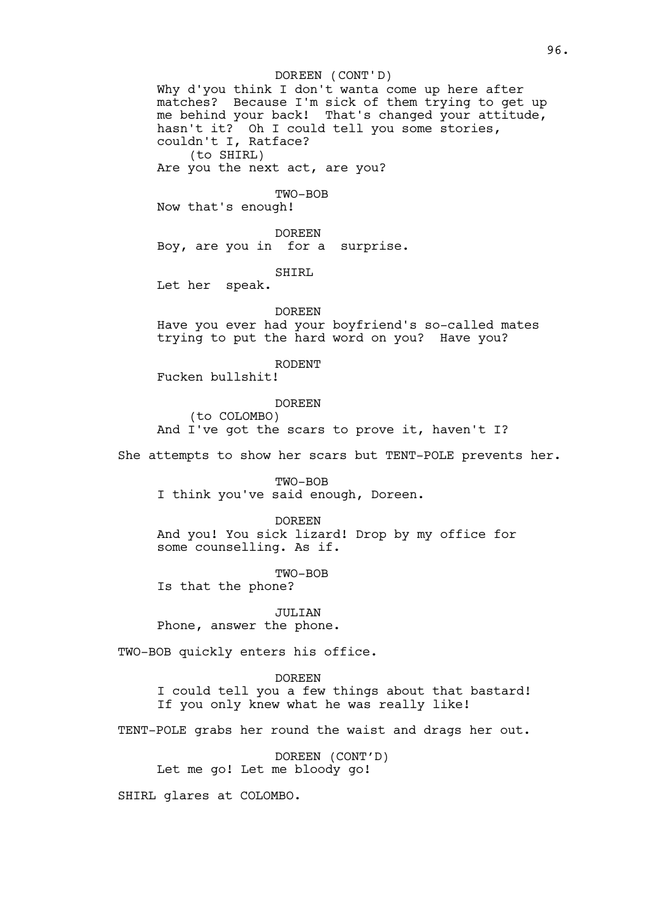### DOREEN (CONT'D)

Why d'you think I don't wanta come up here after matches? Because I'm sick of them trying to get up me behind your back! That's changed your attitude, hasn't it? Oh I could tell you some stories, couldn't I, Ratface? (to SHIRL)

Are you the next act, are you?

## TWO-BOB

Now that's enough!

DOREEN Boy, are you in for a surprise.

SHIRL

Let her speak.

DOREEN Have you ever had your boyfriend's so-called mates trying to put the hard word on you? Have you?

RODENT Fucken bullshit!

DOREEN (to COLOMBO) And I've got the scars to prove it, haven't I?

She attempts to show her scars but TENT-POLE prevents her.

TWO-BOB I think you've said enough, Doreen.

DOREEN And you! You sick lizard! Drop by my office for some counselling. As if.

TWO-BOB Is that the phone?

JULIAN Phone, answer the phone.

TWO-BOB quickly enters his office.

DOREEN I could tell you a few things about that bastard! If you only knew what he was really like!

TENT-POLE grabs her round the waist and drags her out.

DOREEN (CONT'D) Let me go! Let me bloody go!

SHIRL glares at COLOMBO.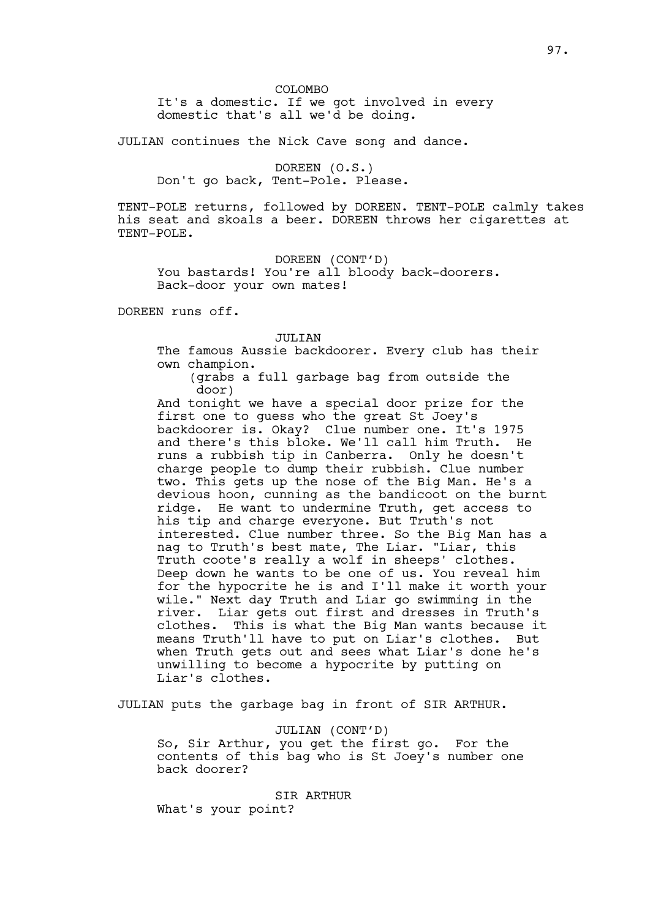It's a domestic. If we got involved in every domestic that's all we'd be doing.

JULIAN continues the Nick Cave song and dance.

DOREEN (O.S.) Don't go back, Tent-Pole. Please.

TENT-POLE returns, followed by DOREEN. TENT-POLE calmly takes his seat and skoals a beer. DOREEN throws her cigarettes at TENT-POLE.

DOREEN (CONT'D) You bastards! You're all bloody back-doorers. Back-door your own mates!

DOREEN runs off.

#### JULIAN

The famous Aussie backdoorer. Every club has their own champion.

(grabs a full garbage bag from outside the door)

And tonight we have a special door prize for the first one to guess who the great St Joey's backdoorer is. Okay? Clue number one. It's 1975 and there's this bloke. We'll call him Truth. He runs a rubbish tip in Canberra. Only he doesn't charge people to dump their rubbish. Clue number two. This gets up the nose of the Big Man. He's a devious hoon, cunning as the bandicoot on the burnt ridge. He want to undermine Truth, get access to his tip and charge everyone. But Truth's not interested. Clue number three. So the Big Man has a nag to Truth's best mate, The Liar. "Liar, this Truth coote's really a wolf in sheeps' clothes. Deep down he wants to be one of us. You reveal him for the hypocrite he is and I'll make it worth your wile." Next day Truth and Liar go swimming in the river. Liar gets out first and dresses in Truth's<br>clothes. This is what the Big Man wants because i This is what the Big Man wants because it means Truth'll have to put on Liar's clothes. But when Truth gets out and sees what Liar's done he's unwilling to become a hypocrite by putting on Liar's clothes.

JULIAN puts the garbage bag in front of SIR ARTHUR.

JULIAN (CONT'D)

So, Sir Arthur, you get the first go. For the contents of this bag who is St Joey's number one back doorer?

SIR ARTHUR What's your point?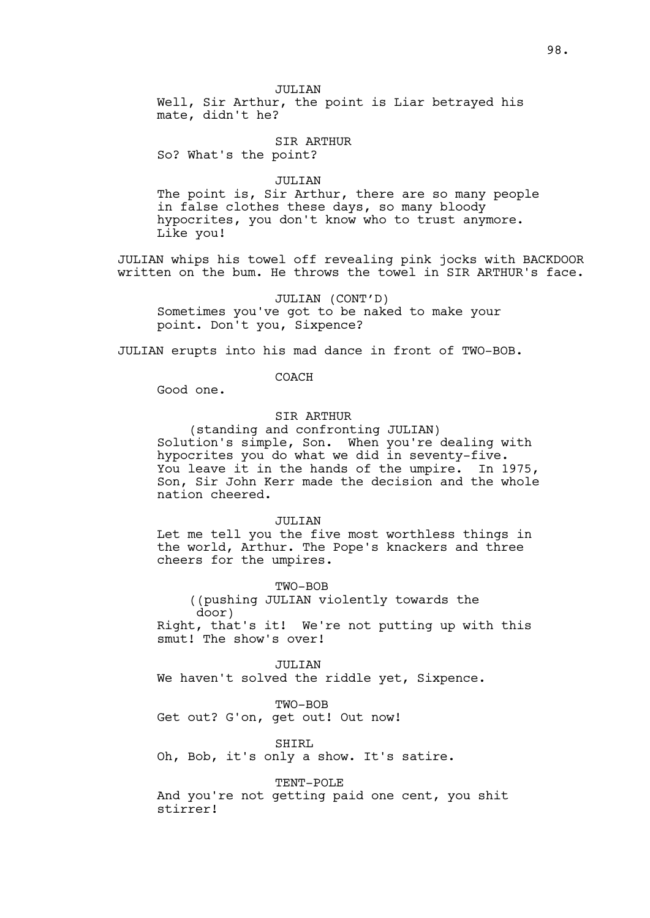JULIAN

Well, Sir Arthur, the point is Liar betrayed his mate, didn't he?

## SIR ARTHUR

So? What's the point?

## JULIAN

The point is, Sir Arthur, there are so many people in false clothes these days, so many bloody hypocrites, you don't know who to trust anymore. Like you!

JULIAN whips his towel off revealing pink jocks with BACKDOOR written on the bum. He throws the towel in SIR ARTHUR's face.

JULIAN (CONT'D) Sometimes you've got to be naked to make your point. Don't you, Sixpence?

JULIAN erupts into his mad dance in front of TWO-BOB.

## COACH

Good one.

## SIR ARTHUR

(standing and confronting JULIAN) Solution's simple, Son. When you're dealing with hypocrites you do what we did in seventy-five. You leave it in the hands of the umpire. In 1975, Son, Sir John Kerr made the decision and the whole nation cheered.

### JULITAN

Let me tell you the five most worthless things in the world, Arthur. The Pope's knackers and three cheers for the umpires.

TWO-BOB

((pushing JULIAN violently towards the door)

Right, that's it! We're not putting up with this smut! The show's over!

## JULITAN

We haven't solved the riddle yet, Sixpence.

TWO-BOB

Get out? G'on, get out! Out now!

SHIRL

Oh, Bob, it's only a show. It's satire.

TENT-POLE

And you're not getting paid one cent, you shit stirrer!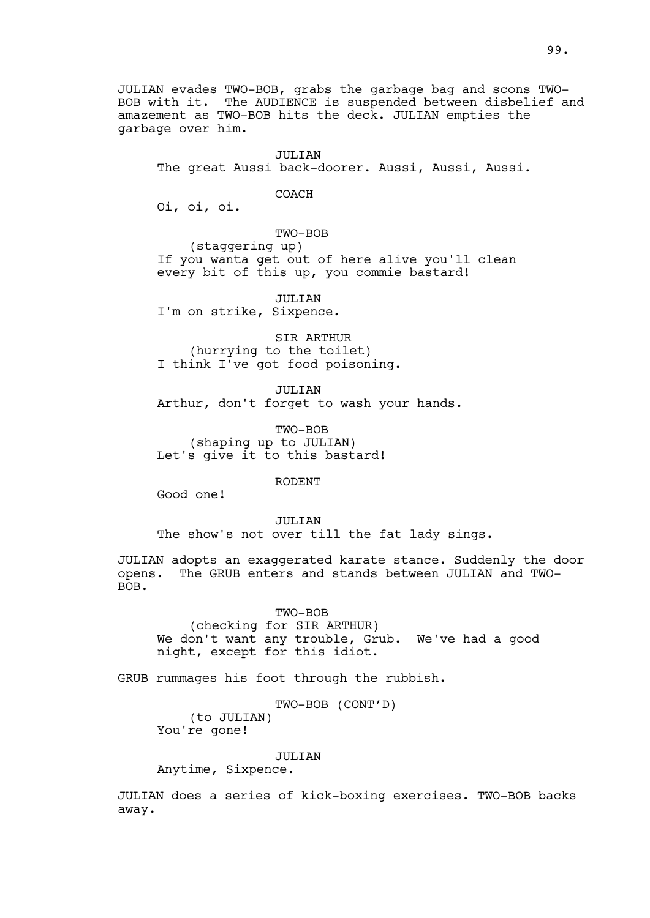JULIAN evades TWO-BOB, grabs the garbage bag and scons TWO-BOB with it. The AUDIENCE is suspended between disbelief and amazement as TWO-BOB hits the deck. JULIAN empties the garbage over him.

JULIAN The great Aussi back-doorer. Aussi, Aussi, Aussi.

COACH

Oi, oi, oi.

TWO-BOB

(staggering up) If you wanta get out of here alive you'll clean every bit of this up, you commie bastard!

JULIAN

I'm on strike, Sixpence.

SIR ARTHUR (hurrying to the toilet) I think I've got food poisoning.

JULIAN Arthur, don't forget to wash your hands.

TWO-BOB (shaping up to JULIAN) Let's give it to this bastard!

RODENT

Good one!

JULITAN The show's not over till the fat lady sings.

JULIAN adopts an exaggerated karate stance. Suddenly the door opens. The GRUB enters and stands between JULIAN and TWO-BOB.

TWO-BOB

(checking for SIR ARTHUR) We don't want any trouble, Grub. We've had a good night, except for this idiot.

GRUB rummages his foot through the rubbish.

TWO-BOB (CONT'D)

(to JULIAN) You're gone!

JULIAN

Anytime, Sixpence.

JULIAN does a series of kick-boxing exercises. TWO-BOB backs away.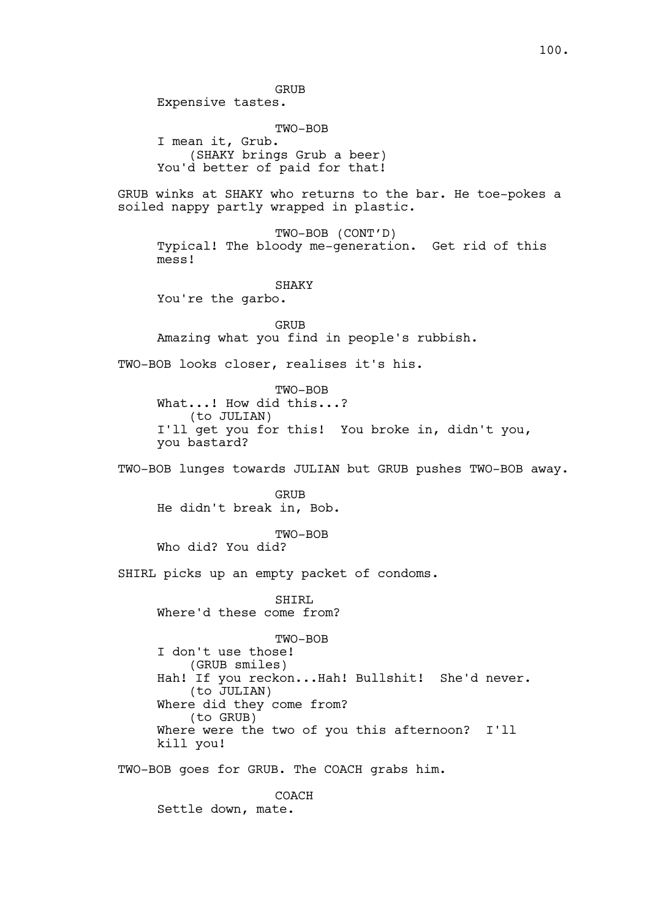GRUB

Expensive tastes.

TWO-BOB I mean it, Grub. (SHAKY brings Grub a beer) You'd better of paid for that!

GRUB winks at SHAKY who returns to the bar. He toe-pokes a soiled nappy partly wrapped in plastic.

TWO-BOB (CONT'D) Typical! The bloody me-generation. Get rid of this mess!

**SHAKY** 

You're the garbo.

GRUB Amazing what you find in people's rubbish.

TWO-BOB looks closer, realises it's his.

TWO-BOB What...! How did this...? (to JULIAN) I'll get you for this! You broke in, didn't you, you bastard?

TWO-BOB lunges towards JULIAN but GRUB pushes TWO-BOB away.

GRUB He didn't break in, Bob.

TWO-BOB Who did? You did?

SHIRL picks up an empty packet of condoms.

SHIRL Where'd these come from?

TWO-BOB

I don't use those! (GRUB smiles) Hah! If you reckon...Hah! Bullshit! She'd never. (to JULIAN) Where did they come from? (to GRUB) Where were the two of you this afternoon? I'll kill you!

TWO-BOB goes for GRUB. The COACH grabs him.

COACH Settle down, mate.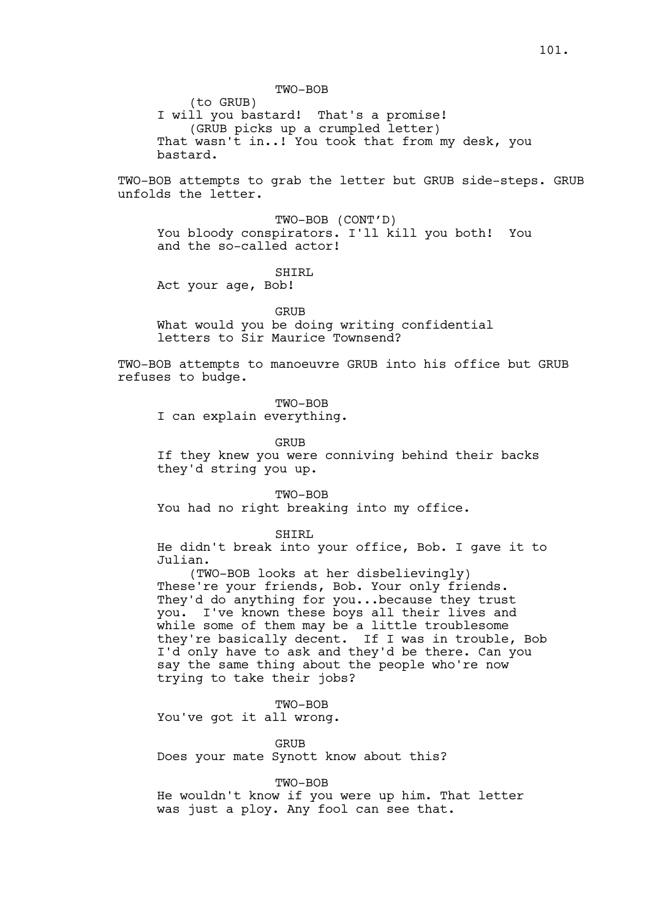TWO-BOB

(to GRUB)

I will you bastard! That's a promise! (GRUB picks up a crumpled letter) That wasn't in..! You took that from my desk, you bastard.

TWO-BOB attempts to grab the letter but GRUB side-steps. GRUB unfolds the letter.

TWO-BOB (CONT'D) You bloody conspirators. I'll kill you both! You and the so-called actor!

## SHIRL

Act your age, Bob!

#### GRUB

What would you be doing writing confidential letters to Sir Maurice Townsend?

TWO-BOB attempts to manoeuvre GRUB into his office but GRUB refuses to budge.

TWO-BOB

I can explain everything.

GRUB

If they knew you were conniving behind their backs they'd string you up.

TWO-BOB

You had no right breaking into my office.

SHIRL

He didn't break into your office, Bob. I gave it to Julian.

(TWO-BOB looks at her disbelievingly) These're your friends, Bob. Your only friends. They'd do anything for you...because they trust you. I've known these boys all their lives and while some of them may be a little troublesome they're basically decent. If I was in trouble, Bob I'd only have to ask and they'd be there. Can you say the same thing about the people who're now trying to take their jobs?

TWO-BOB

You've got it all wrong.

GRUB Does your mate Synott know about this?

TWO-BOB

He wouldn't know if you were up him. That letter was just a ploy. Any fool can see that.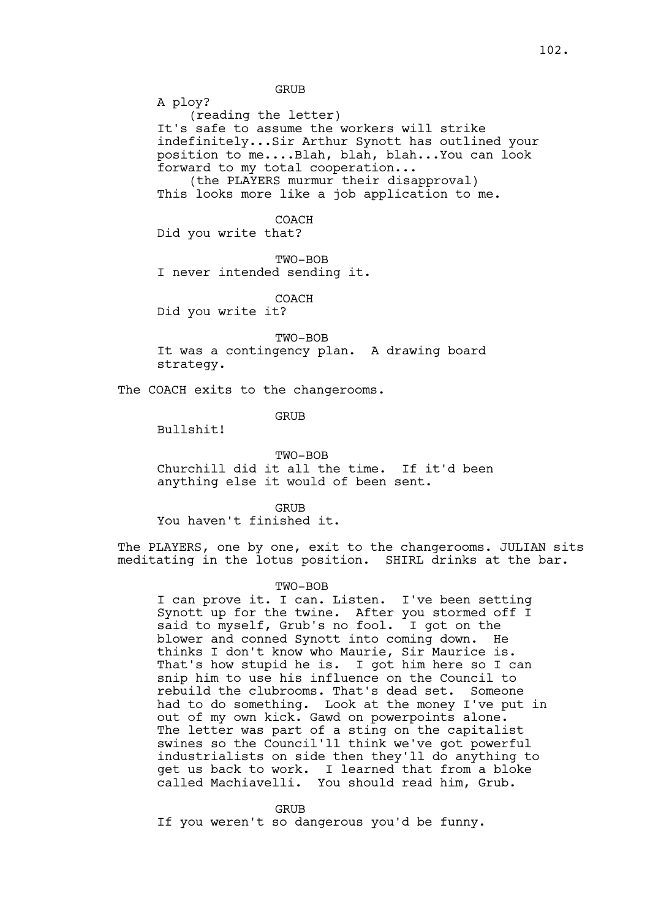GRUB

A ploy? (reading the letter) It's safe to assume the workers will strike indefinitely...Sir Arthur Synott has outlined your position to me....Blah, blah, blah...You can look forward to my total cooperation...

(the PLAYERS murmur their disapproval) This looks more like a job application to me.

COACH Did you write that?

TWO-BOB I never intended sending it.

COACH

Did you write it?

TWO-BOB

It was a contingency plan. A drawing board strategy.

The COACH exits to the changerooms.

GRUB

Bullshit!

TWO-BOB

Churchill did it all the time. If it'd been anything else it would of been sent.

GRUB You haven't finished it.

The PLAYERS, one by one, exit to the changerooms. JULIAN sits meditating in the lotus position. SHIRL drinks at the bar.

### TWO-BOB

I can prove it. I can. Listen. I've been setting Synott up for the twine. After you stormed off I said to myself, Grub's no fool. I got on the blower and conned Synott into coming down. He thinks I don't know who Maurie, Sir Maurice is. That's how stupid he is. I got him here so I can snip him to use his influence on the Council to rebuild the clubrooms. That's dead set. Someone had to do something. Look at the money I've put in out of my own kick. Gawd on powerpoints alone. The letter was part of a sting on the capitalist swines so the Council'll think we've got powerful industrialists on side then they'll do anything to get us back to work. I learned that from a bloke called Machiavelli. You should read him, Grub.

GRUB

If you weren't so dangerous you'd be funny.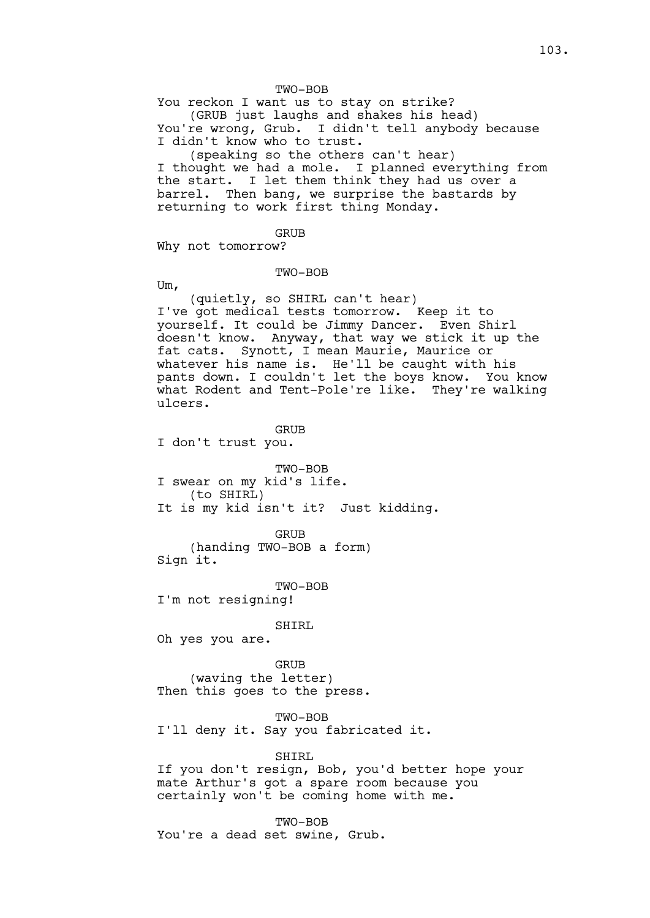### TWO-BOB

You reckon I want us to stay on strike? (GRUB just laughs and shakes his head) You're wrong, Grub. I didn't tell anybody because I didn't know who to trust.

(speaking so the others can't hear) I thought we had a mole. I planned everything from the start. I let them think they had us over a barrel. Then bang, we surprise the bastards by returning to work first thing Monday.

#### GRUB

Why not tomorrow?

#### TWO-BOB

Um,

(quietly, so SHIRL can't hear) I've got medical tests tomorrow. Keep it to yourself. It could be Jimmy Dancer. Even Shirl doesn't know. Anyway, that way we stick it up the fat cats. Synott, I mean Maurie, Maurice or whatever his name is. He'll be caught with his pants down. I couldn't let the boys know. You know what Rodent and Tent-Pole're like. They're walking ulcers.

GRUB

I don't trust you.

TWO-BOB I swear on my kid's life. (to SHIRL) It is my kid isn't it? Just kidding.

GRUB (handing TWO-BOB a form) Sign it.

TWO-BOB I'm not resigning!

### SHIRL

Oh yes you are.

GRUB (waving the letter) Then this goes to the press.

TWO-BOB I'll deny it. Say you fabricated it.

SHIRL

If you don't resign, Bob, you'd better hope your mate Arthur's got a spare room because you certainly won't be coming home with me.

TWO-BOB You're a dead set swine, Grub.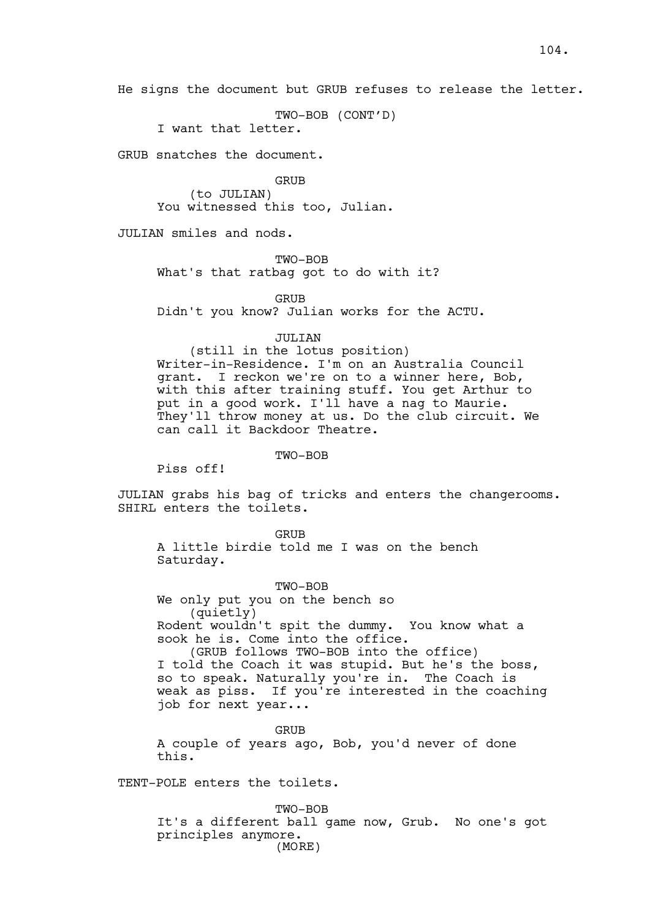He signs the document but GRUB refuses to release the letter.

TWO-BOB (CONT'D)

I want that letter.

GRUB snatches the document.

GRUB (to JULIAN) You witnessed this too, Julian.

JULIAN smiles and nods.

TWO-BOB

What's that ratbag got to do with it?

GRIJB

Didn't you know? Julian works for the ACTU.

JULIAN

(still in the lotus position) Writer-in-Residence. I'm on an Australia Council grant. I reckon we're on to a winner here, Bob, with this after training stuff. You get Arthur to put in a good work. I'll have a nag to Maurie. They'll throw money at us. Do the club circuit. We can call it Backdoor Theatre.

TWO-BOB

Piss off!

JULIAN grabs his bag of tricks and enters the changerooms. SHIRL enters the toilets.

**GRUB** A little birdie told me I was on the bench Saturday.

TWO-BOB We only put you on the bench so (quietly) Rodent wouldn't spit the dummy. You know what a sook he is. Come into the office.

(GRUB follows TWO-BOB into the office) I told the Coach it was stupid. But he's the boss, so to speak. Naturally you're in. The Coach is weak as piss. If you're interested in the coaching job for next year...

**GRUB** A couple of years ago, Bob, you'd never of done this.

TENT-POLE enters the toilets.

TWO-BOB It's a different ball game now, Grub. No one's got principles anymore. (MORE)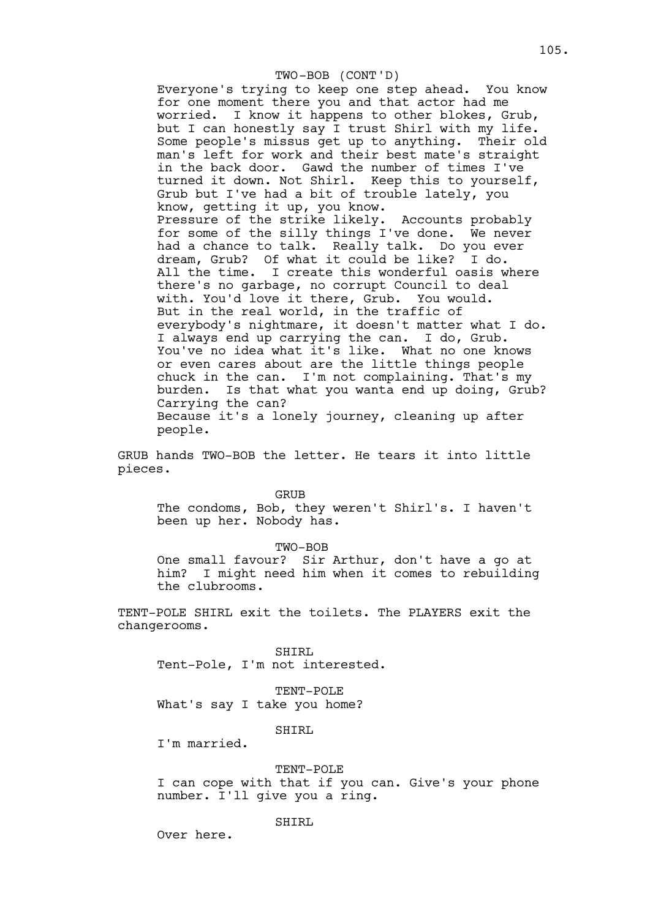### TWO-BOB (CONT'D)

Everyone's trying to keep one step ahead. You know for one moment there you and that actor had me worried. I know it happens to other blokes, Grub, but I can honestly say I trust Shirl with my life. Some people's missus get up to anything. Their old man's left for work and their best mate's straight in the back door. Gawd the number of times I've turned it down. Not Shirl. Keep this to yourself, Grub but I've had a bit of trouble lately, you know, getting it up, you know. Pressure of the strike likely. Accounts probably for some of the silly things I've done. We never had a chance to talk. Really talk. Do you ever dream, Grub? Of what it could be like? I do. All the time. I create this wonderful oasis where there's no garbage, no corrupt Council to deal with. You'd love it there, Grub. You would. But in the real world, in the traffic of everybody's nightmare, it doesn't matter what I do. I always end up carrying the can. I do, Grub. You've no idea what it's like. What no one knows or even cares about are the little things people chuck in the can. I'm not complaining. That's my burden. Is that what you wanta end up doing, Grub? Carrying the can? Because it's a lonely journey, cleaning up after people.

GRUB hands TWO-BOB the letter. He tears it into little pieces.

GRUB

The condoms, Bob, they weren't Shirl's. I haven't been up her. Nobody has.

TWO-BOB

One small favour? Sir Arthur, don't have a go at him? I might need him when it comes to rebuilding the clubrooms.

TENT-POLE SHIRL exit the toilets. The PLAYERS exit the changerooms.

SHIRL Tent-Pole, I'm not interested.

TENT-POLE What's say I take you home?

SHIRL

I'm married.

TENT-POLE

I can cope with that if you can. Give's your phone number. I'll give you a ring.

SHIRL

Over here.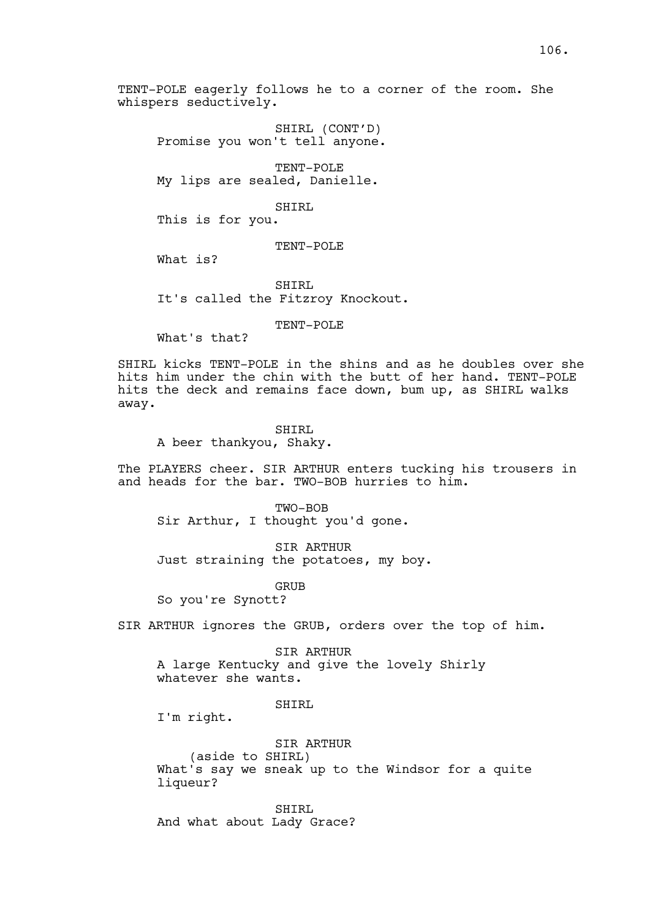TENT-POLE eagerly follows he to a corner of the room. She whispers seductively.

SHIRL (CONT'D) Promise you won't tell anyone.

TENT-POLE My lips are sealed, Danielle.

SHIRL

This is for you.

# TENT-POLE

What is?

SHIRL It's called the Fitzroy Knockout.

TENT-POLE

What's that?

SHIRL kicks TENT-POLE in the shins and as he doubles over she hits him under the chin with the butt of her hand. TENT-POLE hits the deck and remains face down, bum up, as SHIRL walks away.

## SHIRL

A beer thankyou, Shaky.

The PLAYERS cheer. SIR ARTHUR enters tucking his trousers in and heads for the bar. TWO-BOB hurries to him.

TWO-BOB Sir Arthur, I thought you'd gone.

SIR ARTHUR Just straining the potatoes, my boy.

GRUB

So you're Synott?

SIR ARTHUR ignores the GRUB, orders over the top of him.

SIR ARTHUR A large Kentucky and give the lovely Shirly whatever she wants.

## SHIRL

I'm right.

SIR ARTHUR

(aside to SHIRL)

What's say we sneak up to the Windsor for a quite liqueur?

SHIRL And what about Lady Grace?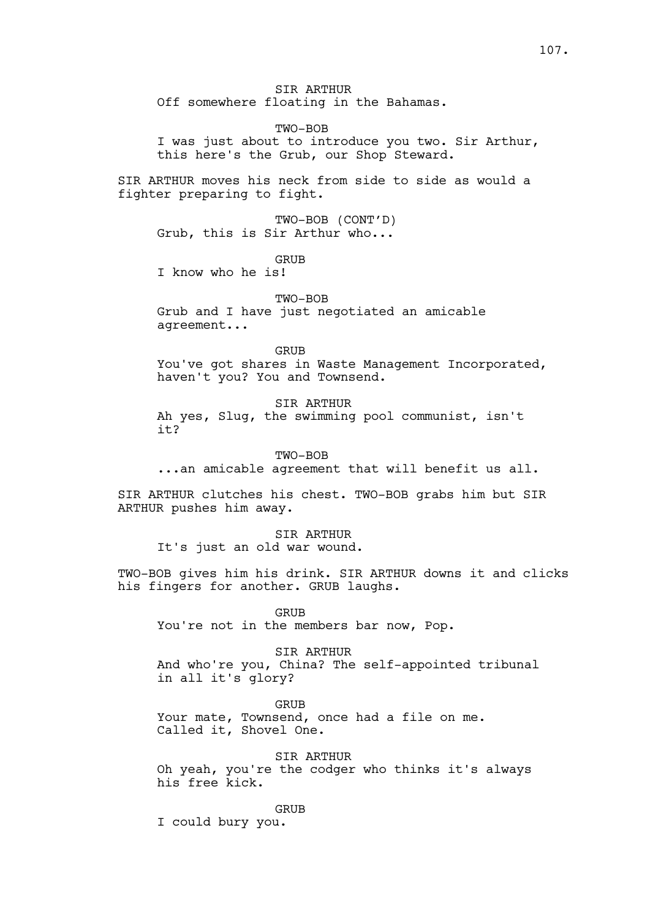SIR ARTHUR Off somewhere floating in the Bahamas.

TWO-BOB I was just about to introduce you two. Sir Arthur, this here's the Grub, our Shop Steward.

SIR ARTHUR moves his neck from side to side as would a fighter preparing to fight.

TWO-BOB (CONT'D) Grub, this is Sir Arthur who...

GRUB

I know who he is!

TWO-BOB Grub and I have just negotiated an amicable agreement...

GRUB You've got shares in Waste Management Incorporated, haven't you? You and Townsend.

SIR ARTHUR Ah yes, Slug, the swimming pool communist, isn't it?

TWO-BOB ...an amicable agreement that will benefit us all.

SIR ARTHUR clutches his chest. TWO-BOB grabs him but SIR ARTHUR pushes him away.

SIR ARTHUR It's just an old war wound.

TWO-BOB gives him his drink. SIR ARTHUR downs it and clicks his fingers for another. GRUB laughs.

GRUB

You're not in the members bar now, Pop.

SIR ARTHUR

And who're you, China? The self-appointed tribunal in all it's glory?

GRUB Your mate, Townsend, once had a file on me. Called it, Shovel One.

SIR ARTHUR Oh yeah, you're the codger who thinks it's always his free kick.

GRUB

I could bury you.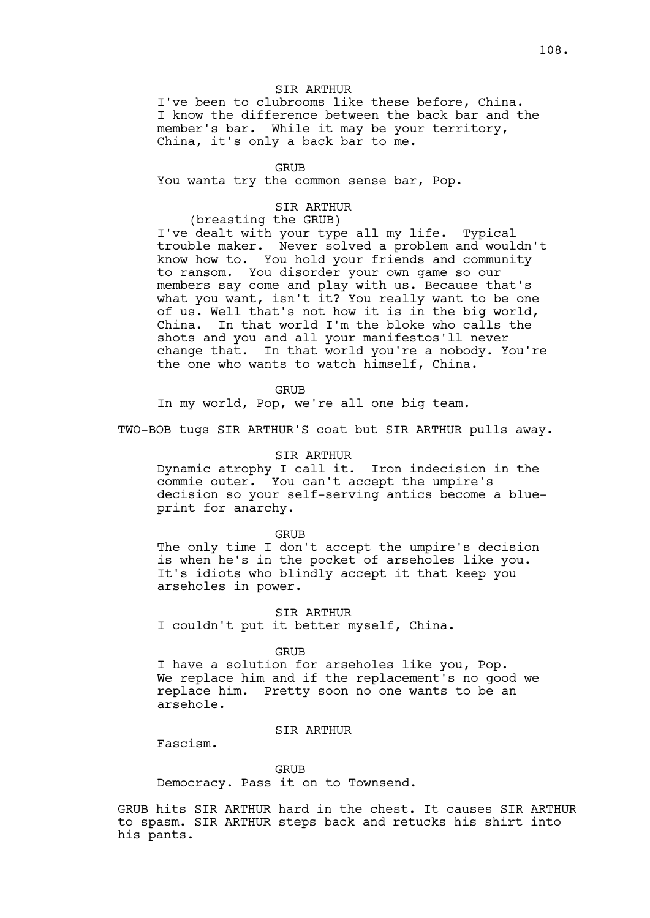## SIR ARTHUR

I've been to clubrooms like these before, China. I know the difference between the back bar and the member's bar. While it may be your territory, China, it's only a back bar to me.

GRUB

You wanta try the common sense bar, Pop.

## SIR ARTHUR

(breasting the GRUB)

I've dealt with your type all my life. Typical trouble maker. Never solved a problem and wouldn't know how to. You hold your friends and community to ransom. You disorder your own game so our members say come and play with us. Because that's what you want, isn't it? You really want to be one of us. Well that's not how it is in the big world, China. In that world I'm the bloke who calls the shots and you and all your manifestos'll never change that. In that world you're a nobody. You're the one who wants to watch himself, China.

**GRUB** 

In my world, Pop, we're all one big team.

TWO-BOB tugs SIR ARTHUR'S coat but SIR ARTHUR pulls away.

#### SIR ARTHUR

Dynamic atrophy I call it. Iron indecision in the commie outer. You can't accept the umpire's decision so your self-serving antics become a blueprint for anarchy.

#### GRUB

The only time I don't accept the umpire's decision is when he's in the pocket of arseholes like you. It's idiots who blindly accept it that keep you arseholes in power.

SIR ARTHUR I couldn't put it better myself, China.

### GRUB

I have a solution for arseholes like you, Pop. We replace him and if the replacement's no good we replace him. Pretty soon no one wants to be an arsehole.

## SIR ARTHUR

Fascism.

GRUB

Democracy. Pass it on to Townsend.

GRUB hits SIR ARTHUR hard in the chest. It causes SIR ARTHUR to spasm. SIR ARTHUR steps back and retucks his shirt into his pants.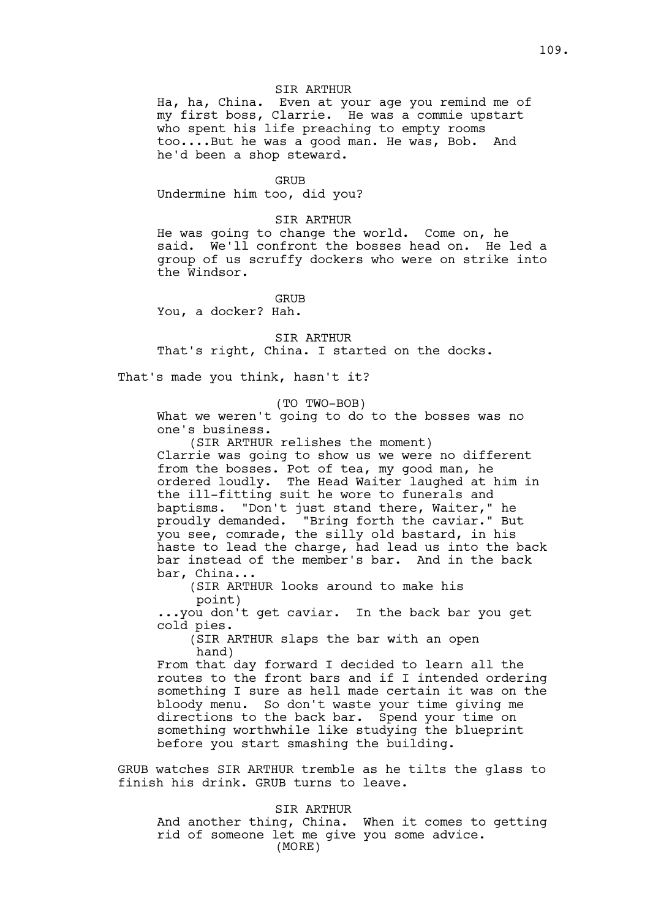# SIR ARTHUR

Ha, ha, China. Even at your age you remind me of my first boss, Clarrie. He was a commie upstart who spent his life preaching to empty rooms too....But he was a good man. He was, Bob. And he'd been a shop steward.

#### GRUB

Undermine him too, did you?

## SIR ARTHUR

He was going to change the world. Come on, he said. We'll confront the bosses head on. He led a group of us scruffy dockers who were on strike into the Windsor.

## GRUB

You, a docker? Hah.

SIR ARTHUR That's right, China. I started on the docks.

That's made you think, hasn't it?

#### (TO TWO-BOB)

What we weren't going to do to the bosses was no one's business.

(SIR ARTHUR relishes the moment) Clarrie was going to show us we were no different from the bosses. Pot of tea, my good man, he ordered loudly. The Head Waiter laughed at him in the ill-fitting suit he wore to funerals and baptisms. "Don't just stand there, Waiter," he proudly demanded. "Bring forth the caviar." But "Bring forth the caviar." But you see, comrade, the silly old bastard, in his haste to lead the charge, had lead us into the back bar instead of the member's bar. And in the back bar, China...

(SIR ARTHUR looks around to make his point)

...you don't get caviar. In the back bar you get cold pies.

(SIR ARTHUR slaps the bar with an open hand)

From that day forward I decided to learn all the routes to the front bars and if I intended ordering something I sure as hell made certain it was on the bloody menu. So don't waste your time giving me directions to the back bar. Spend your time on something worthwhile like studying the blueprint before you start smashing the building.

GRUB watches SIR ARTHUR tremble as he tilts the glass to finish his drink. GRUB turns to leave.

## SIR ARTHUR

And another thing, China. When it comes to getting rid of someone let me give you some advice. (MORE)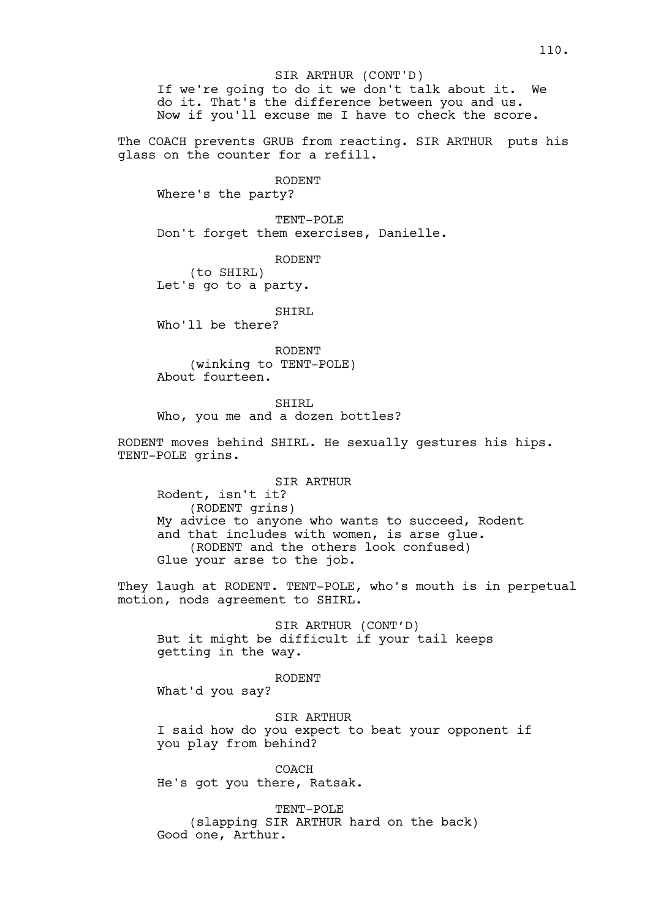If we're going to do it we don't talk about it. We do it. That's the difference between you and us. Now if you'll excuse me I have to check the score.

The COACH prevents GRUB from reacting. SIR ARTHUR puts his glass on the counter for a refill.

RODENT

Where's the party?

TENT-POLE Don't forget them exercises, Danielle.

RODENT

(to SHIRL) Let's go to a party.

SHIRL

Who'll be there?

RODENT (winking to TENT-POLE) About fourteen.

SHIRL Who, you me and a dozen bottles?

RODENT moves behind SHIRL. He sexually gestures his hips. TENT-POLE grins.

SIR ARTHUR Rodent, isn't it? (RODENT grins) My advice to anyone who wants to succeed, Rodent and that includes with women, is arse glue. (RODENT and the others look confused) Glue your arse to the job.

They laugh at RODENT. TENT-POLE, who's mouth is in perpetual motion, nods agreement to SHIRL.

SIR ARTHUR (CONT'D) But it might be difficult if your tail keeps getting in the way.

# RODENT

What'd you say?

SIR ARTHUR I said how do you expect to beat your opponent if you play from behind?

COACH He's got you there, Ratsak.

TENT-POLE (slapping SIR ARTHUR hard on the back) Good one, Arthur.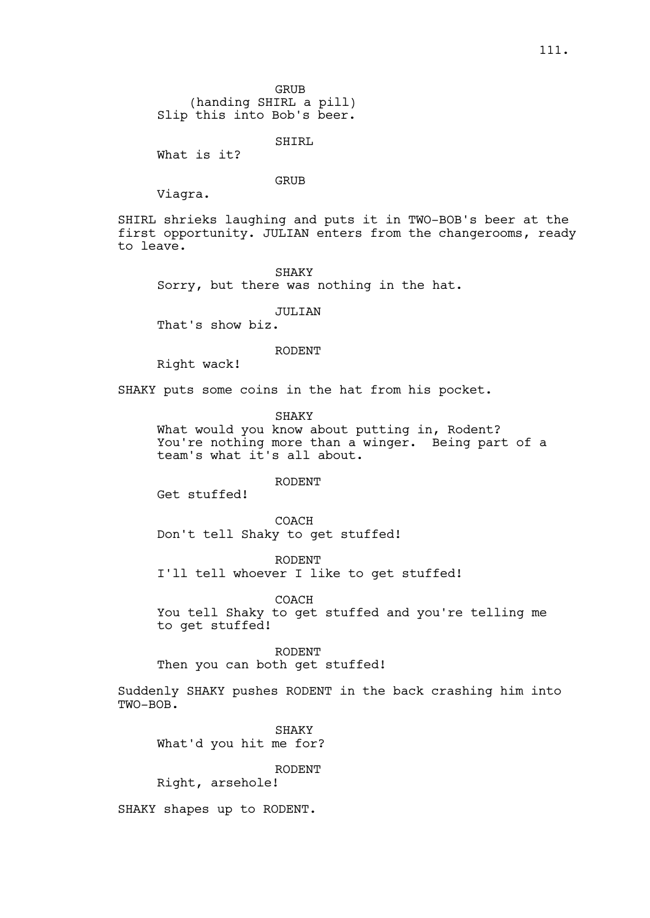GRUB

(handing SHIRL a pill) Slip this into Bob's beer.

SHIRL

What is it?

## GRUB

Viagra.

SHIRL shrieks laughing and puts it in TWO-BOB's beer at the first opportunity. JULIAN enters from the changerooms, ready to leave.

SHAKY Sorry, but there was nothing in the hat.

JULIAN

That's show biz.

# RODENT

Right wack!

SHAKY puts some coins in the hat from his pocket.

SHAKY

What would you know about putting in, Rodent? You're nothing more than a winger. Being part of a team's what it's all about.

RODENT

Get stuffed!

**COACH** Don't tell Shaky to get stuffed!

RODENT I'll tell whoever I like to get stuffed!

COACH You tell Shaky to get stuffed and you're telling me to get stuffed!

RODENT

Then you can both get stuffed!

Suddenly SHAKY pushes RODENT in the back crashing him into TWO-BOB.

SHAKY What'd you hit me for?

RODENT

Right, arsehole!

SHAKY shapes up to RODENT.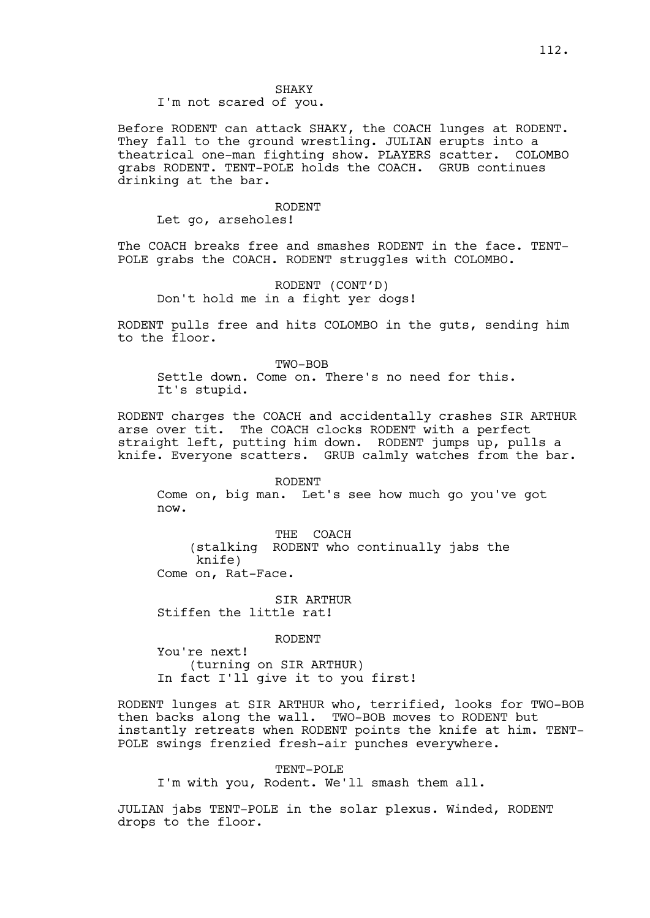SHAKY I'm not scared of you.

Before RODENT can attack SHAKY, the COACH lunges at RODENT. They fall to the ground wrestling. JULIAN erupts into a theatrical one-man fighting show. PLAYERS scatter. COLOMBO grabs RODENT. TENT-POLE holds the COACH. GRUB continues drinking at the bar.

#### RODENT

Let go, arseholes!

The COACH breaks free and smashes RODENT in the face. TENT-POLE grabs the COACH. RODENT struggles with COLOMBO.

RODENT (CONT'D) Don't hold me in a fight yer dogs!

RODENT pulls free and hits COLOMBO in the guts, sending him to the floor.

TWO-BOB Settle down. Come on. There's no need for this. It's stupid.

RODENT charges the COACH and accidentally crashes SIR ARTHUR arse over tit. The COACH clocks RODENT with a perfect straight left, putting him down. RODENT jumps up, pulls a knife. Everyone scatters. GRUB calmly watches from the bar.

RODENT

Come on, big man. Let's see how much go you've got now.

THE COACH (stalking RODENT who continually jabs the knife) Come on, Rat-Face.

SIR ARTHUR Stiffen the little rat!

RODENT

You're next! (turning on SIR ARTHUR) In fact I'll give it to you first!

RODENT lunges at SIR ARTHUR who, terrified, looks for TWO-BOB then backs along the wall. TWO-BOB moves to RODENT but instantly retreats when RODENT points the knife at him. TENT-POLE swings frenzied fresh-air punches everywhere.

TENT-POLE

I'm with you, Rodent. We'll smash them all.

JULIAN jabs TENT-POLE in the solar plexus. Winded, RODENT drops to the floor.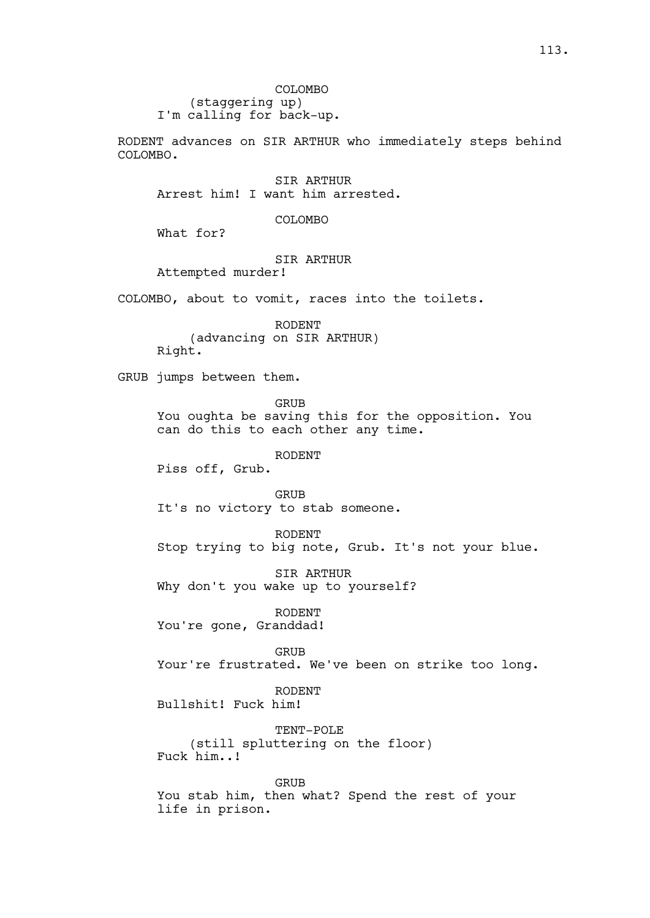COLOMBO (staggering up) I'm calling for back-up.

RODENT advances on SIR ARTHUR who immediately steps behind COLOMBO.

SIR ARTHUR Arrest him! I want him arrested.

COLOMBO

What for?

## SIR ARTHUR

Attempted murder!

COLOMBO, about to vomit, races into the toilets.

RODENT (advancing on SIR ARTHUR) Right.

GRUB jumps between them.

GRUB

You oughta be saving this for the opposition. You can do this to each other any time.

RODENT

Piss off, Grub.

GRUB It's no victory to stab someone.

RODENT Stop trying to big note, Grub. It's not your blue.

SIR ARTHUR Why don't you wake up to yourself?

RODENT You're gone, Granddad!

GRUB Your're frustrated. We've been on strike too long.

RODENT Bullshit! Fuck him!

TENT-POLE (still spluttering on the floor) Fuck him..!

GRUB

You stab him, then what? Spend the rest of your life in prison.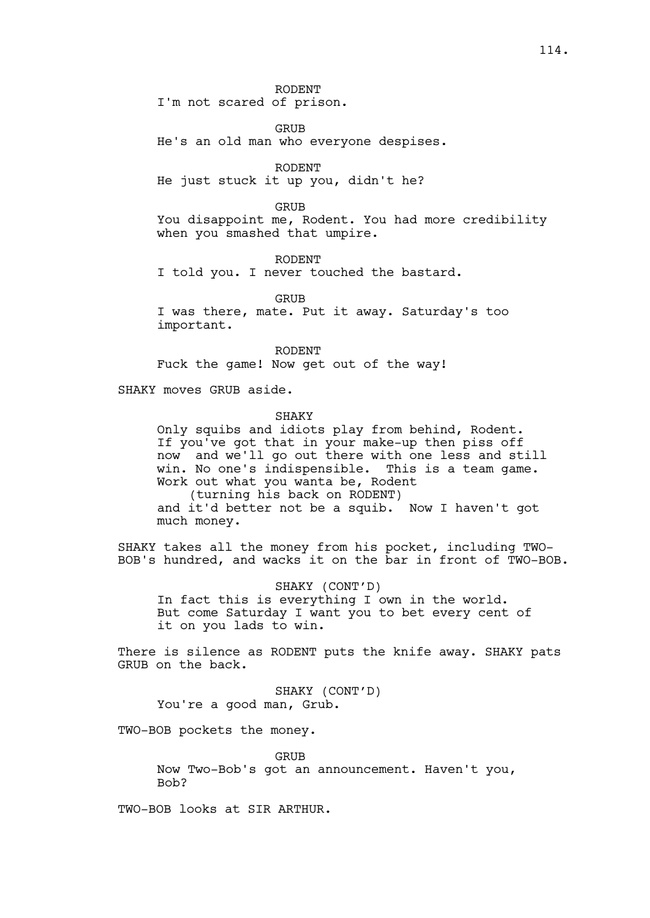RODENT I'm not scared of prison.

**GRUB** He's an old man who everyone despises.

RODENT He just stuck it up you, didn't he?

GRUB

You disappoint me, Rodent. You had more credibility when you smashed that umpire.

RODENT

I told you. I never touched the bastard.

GRIJB I was there, mate. Put it away. Saturday's too important.

RODENT Fuck the game! Now get out of the way!

SHAKY moves GRUB aside.

#### SHAKY

Only squibs and idiots play from behind, Rodent. If you've got that in your make-up then piss off now and we'll go out there with one less and still win. No one's indispensible. This is a team game. Work out what you wanta be, Rodent (turning his back on RODENT) and it'd better not be a squib. Now I haven't got much money.

SHAKY takes all the money from his pocket, including TWO-BOB's hundred, and wacks it on the bar in front of TWO-BOB.

SHAKY (CONT'D) In fact this is everything I own in the world. But come Saturday I want you to bet every cent of it on you lads to win.

There is silence as RODENT puts the knife away. SHAKY pats GRUB on the back.

SHAKY (CONT'D) You're a good man, Grub.

TWO-BOB pockets the money.

GRUB Now Two-Bob's got an announcement. Haven't you, Bob?

TWO-BOB looks at SIR ARTHUR.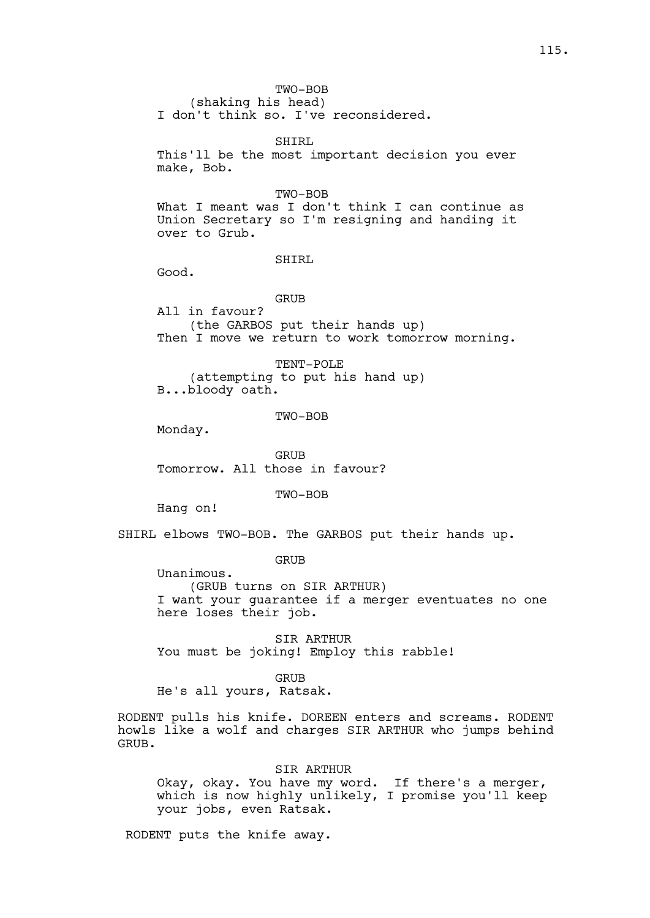TWO-BOB

(shaking his head) I don't think so. I've reconsidered.

SHIRL

This'll be the most important decision you ever make, Bob.

#### TWO-BOB

What I meant was I don't think I can continue as Union Secretary so I'm resigning and handing it over to Grub.

#### SHIRL

Good.

## GRUB

All in favour? (the GARBOS put their hands up) Then I move we return to work tomorrow morning.

TENT-POLE (attempting to put his hand up) B...bloody oath.

TWO-BOB

Monday.

GRUB Tomorrow. All those in favour?

TWO-BOB

Hang on!

SHIRL elbows TWO-BOB. The GARBOS put their hands up.

GRUB

Unanimous. (GRUB turns on SIR ARTHUR) I want your guarantee if a merger eventuates no one here loses their job.

SIR ARTHUR You must be joking! Employ this rabble!

GRUB

He's all yours, Ratsak.

RODENT pulls his knife. DOREEN enters and screams. RODENT howls like a wolf and charges SIR ARTHUR who jumps behind GRUB.

# SIR ARTHUR

Okay, okay. You have my word. If there's a merger, which is now highly unlikely, I promise you'll keep your jobs, even Ratsak.

RODENT puts the knife away.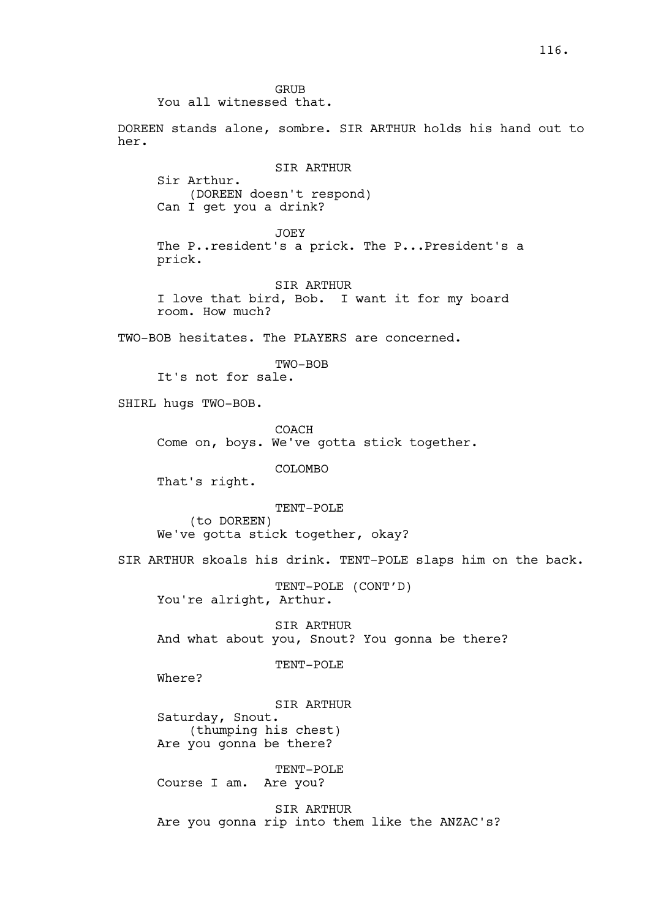GRUB You all witnessed that.

DOREEN stands alone, sombre. SIR ARTHUR holds his hand out to her.

SIR ARTHUR Sir Arthur. (DOREEN doesn't respond) Can I get you a drink?

JOEY The P..resident's a prick. The P...President's a prick.

SIR ARTHUR I love that bird, Bob. I want it for my board room. How much?

TWO-BOB hesitates. The PLAYERS are concerned.

TWO-BOB

It's not for sale.

SHIRL hugs TWO-BOB.

COACH Come on, boys. We've gotta stick together.

COLOMBO

That's right.

TENT-POLE (to DOREEN) We've gotta stick together, okay?

SIR ARTHUR skoals his drink. TENT-POLE slaps him on the back.

TENT-POLE (CONT'D) You're alright, Arthur.

SIR ARTHUR And what about you, Snout? You gonna be there?

TENT-POLE

Where?

SIR ARTHUR Saturday, Snout. (thumping his chest) Are you gonna be there?

TENT-POLE Course I am. Are you?

SIR ARTHUR Are you gonna rip into them like the ANZAC's?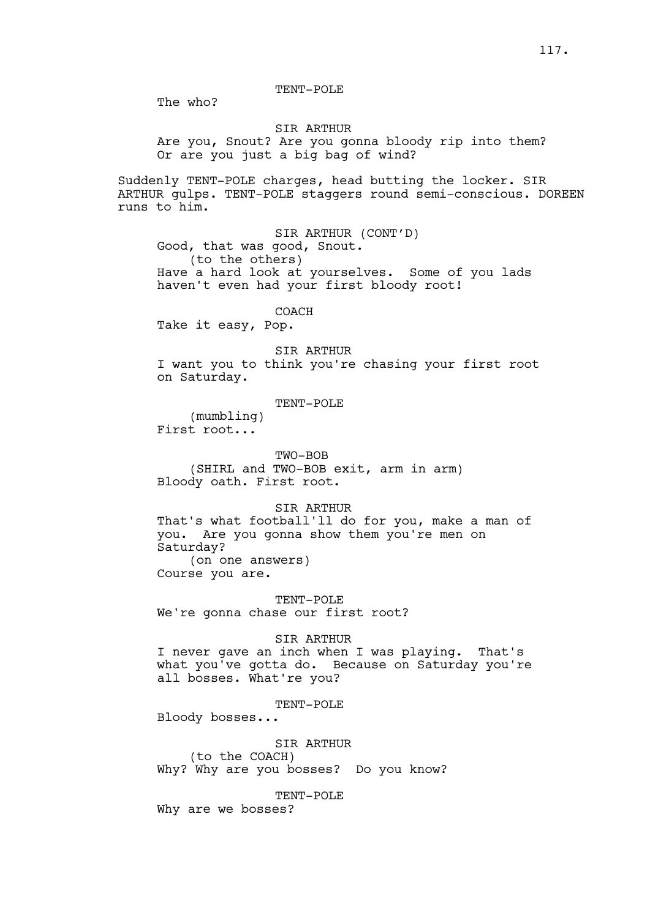TENT-POLE

The who?

#### SIR ARTHUR

Are you, Snout? Are you gonna bloody rip into them? Or are you just a big bag of wind?

Suddenly TENT-POLE charges, head butting the locker. SIR ARTHUR gulps. TENT-POLE staggers round semi-conscious. DOREEN runs to him.

SIR ARTHUR (CONT'D) Good, that was good, Snout. (to the others) Have a hard look at yourselves. Some of you lads haven't even had your first bloody root!

COACH

Take it easy, Pop.

SIR ARTHUR

I want you to think you're chasing your first root on Saturday.

#### TENT-POLE

(mumbling) First root...

TWO-BOB (SHIRL and TWO-BOB exit, arm in arm)

Bloody oath. First root.

### SIR ARTHUR

That's what football'll do for you, make a man of you. Are you gonna show them you're men on Saturday? (on one answers)

Course you are.

TENT-POLE We're gonna chase our first root?

## SIR ARTHUR

I never gave an inch when I was playing. That's what you've gotta do. Because on Saturday you're all bosses. What're you?

#### TENT-POLE

Bloody bosses...

SIR ARTHUR (to the COACH) Why? Why are you bosses? Do you know?

TENT-POLE

Why are we bosses?